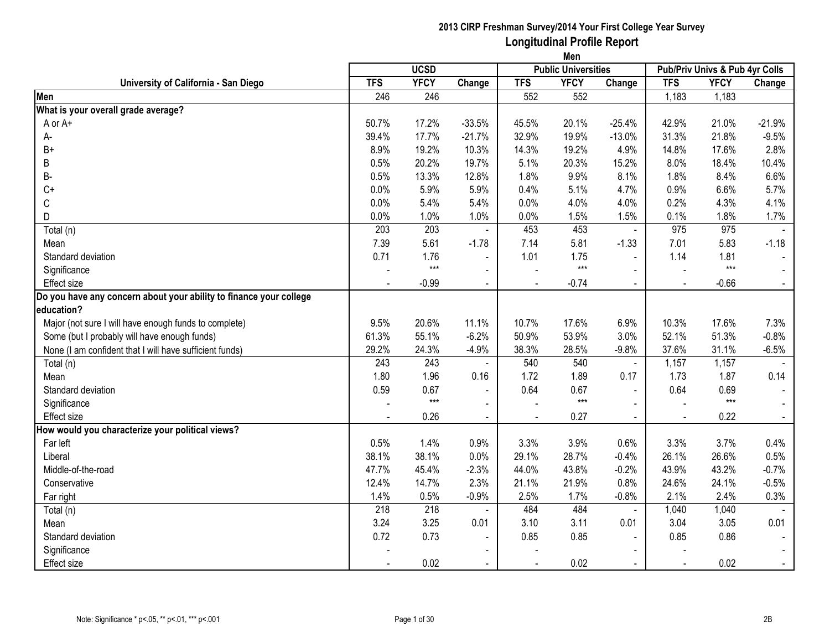|                                                                    |            | <b>UCSD</b> |                |                | <b>Public Universities</b> |                |                | Pub/Priv Univs & Pub 4yr Colls |          |
|--------------------------------------------------------------------|------------|-------------|----------------|----------------|----------------------------|----------------|----------------|--------------------------------|----------|
| University of California - San Diego                               | <b>TFS</b> | <b>YFCY</b> | Change         | <b>TFS</b>     | <b>YFCY</b>                | Change         | <b>TFS</b>     | <b>YFCY</b>                    | Change   |
| Men                                                                | 246        | 246         |                | 552            | 552                        |                | 1,183          | 1,183                          |          |
| What is your overall grade average?                                |            |             |                |                |                            |                |                |                                |          |
| A or A+                                                            | 50.7%      | 17.2%       | $-33.5%$       | 45.5%          | 20.1%                      | $-25.4%$       | 42.9%          | 21.0%                          | $-21.9%$ |
| А-                                                                 | 39.4%      | 17.7%       | $-21.7%$       | 32.9%          | 19.9%                      | $-13.0%$       | 31.3%          | 21.8%                          | $-9.5%$  |
| $B+$                                                               | 8.9%       | 19.2%       | 10.3%          | 14.3%          | 19.2%                      | 4.9%           | 14.8%          | 17.6%                          | 2.8%     |
| В                                                                  | 0.5%       | 20.2%       | 19.7%          | 5.1%           | 20.3%                      | 15.2%          | 8.0%           | 18.4%                          | 10.4%    |
| B-                                                                 | 0.5%       | 13.3%       | 12.8%          | 1.8%           | 9.9%                       | 8.1%           | 1.8%           | 8.4%                           | 6.6%     |
| $C+$                                                               | 0.0%       | 5.9%        | 5.9%           | 0.4%           | 5.1%                       | 4.7%           | 0.9%           | 6.6%                           | 5.7%     |
| С                                                                  | 0.0%       | 5.4%        | 5.4%           | 0.0%           | 4.0%                       | 4.0%           | 0.2%           | 4.3%                           | 4.1%     |
| D                                                                  | 0.0%       | 1.0%        | 1.0%           | 0.0%           | 1.5%                       | 1.5%           | 0.1%           | 1.8%                           | 1.7%     |
| Total (n)                                                          | 203        | 203         |                | 453            | 453                        | $\blacksquare$ | 975            | 975                            |          |
| Mean                                                               | 7.39       | 5.61        | $-1.78$        | 7.14           | 5.81                       | $-1.33$        | 7.01           | 5.83                           | $-1.18$  |
| Standard deviation                                                 | 0.71       | 1.76        |                | 1.01           | 1.75                       | $\blacksquare$ | 1.14           | 1.81                           |          |
| Significance                                                       |            | $***$       |                |                | $***$                      |                |                | $***$                          |          |
| <b>Effect size</b>                                                 |            | $-0.99$     |                |                | $-0.74$                    |                |                | $-0.66$                        |          |
| Do you have any concern about your ability to finance your college |            |             |                |                |                            |                |                |                                |          |
| education?                                                         |            |             |                |                |                            |                |                |                                |          |
| Major (not sure I will have enough funds to complete)              | 9.5%       | 20.6%       | 11.1%          | 10.7%          | 17.6%                      | 6.9%           | 10.3%          | 17.6%                          | 7.3%     |
| Some (but I probably will have enough funds)                       | 61.3%      | 55.1%       | $-6.2%$        | 50.9%          | 53.9%                      | 3.0%           | 52.1%          | 51.3%                          | $-0.8%$  |
| None (I am confident that I will have sufficient funds)            | 29.2%      | 24.3%       | $-4.9%$        | 38.3%          | 28.5%                      | $-9.8%$        | 37.6%          | 31.1%                          | $-6.5%$  |
| Total (n)                                                          | 243        | 243         |                | 540            | 540                        | $\blacksquare$ | 1,157          | 1,157                          |          |
| Mean                                                               | 1.80       | 1.96        | 0.16           | 1.72           | 1.89                       | 0.17           | 1.73           | 1.87                           | 0.14     |
| Standard deviation                                                 | 0.59       | 0.67        | $\sim$         | 0.64           | 0.67                       | $\blacksquare$ | 0.64           | 0.69                           |          |
| Significance                                                       |            | $***$       | $\sim$         |                | $***$                      | $\blacksquare$ |                | $***$                          |          |
| Effect size                                                        |            | 0.26        | $\blacksquare$ | $\blacksquare$ | 0.27                       | $\sim$         | $\blacksquare$ | 0.22                           |          |
| How would you characterize your political views?                   |            |             |                |                |                            |                |                |                                |          |
| Far left                                                           | 0.5%       | 1.4%        | 0.9%           | 3.3%           | 3.9%                       | 0.6%           | 3.3%           | 3.7%                           | 0.4%     |
| Liberal                                                            | 38.1%      | 38.1%       | 0.0%           | 29.1%          | 28.7%                      | $-0.4%$        | 26.1%          | 26.6%                          | 0.5%     |
| Middle-of-the-road                                                 | 47.7%      | 45.4%       | $-2.3%$        | 44.0%          | 43.8%                      | $-0.2%$        | 43.9%          | 43.2%                          | $-0.7%$  |
| Conservative                                                       | 12.4%      | 14.7%       | 2.3%           | 21.1%          | 21.9%                      | 0.8%           | 24.6%          | 24.1%                          | $-0.5%$  |
| Far right                                                          | 1.4%       | 0.5%        | $-0.9%$        | 2.5%           | 1.7%                       | $-0.8%$        | 2.1%           | 2.4%                           | 0.3%     |
| Total (n)                                                          | 218        | 218         |                | 484            | 484                        | $\sim$         | 1,040          | 1,040                          |          |
| Mean                                                               | 3.24       | 3.25        | 0.01           | 3.10           | 3.11                       | 0.01           | 3.04           | 3.05                           | 0.01     |
| Standard deviation                                                 | 0.72       | 0.73        |                | 0.85           | 0.85                       |                | 0.85           | 0.86                           |          |
| Significance                                                       |            |             |                |                |                            |                |                |                                |          |
| <b>Effect size</b>                                                 |            | 0.02        | $\blacksquare$ |                | 0.02                       | $\sim$         | $\blacksquare$ | 0.02                           |          |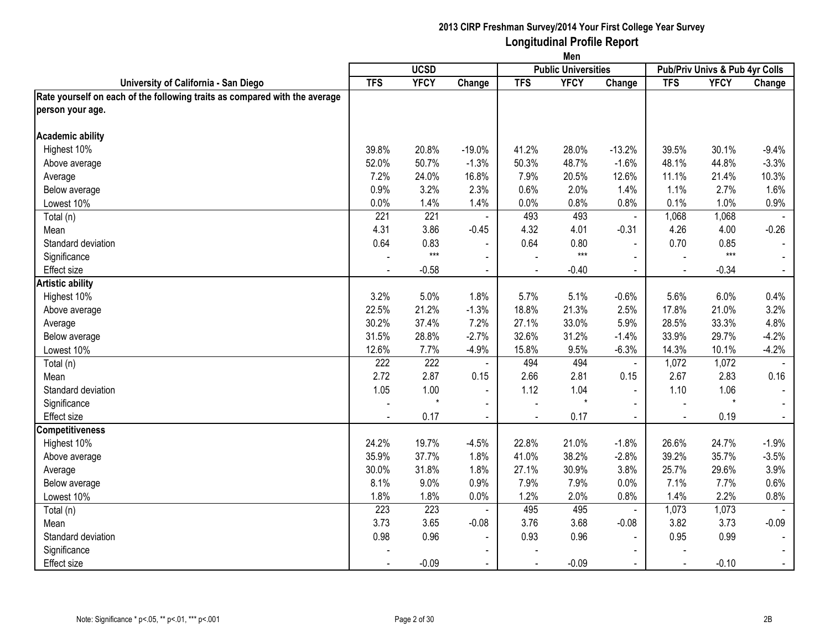|                                                                            | Men            |                  |                          |                |                            |                          |                                |             |                |  |
|----------------------------------------------------------------------------|----------------|------------------|--------------------------|----------------|----------------------------|--------------------------|--------------------------------|-------------|----------------|--|
|                                                                            |                | <b>UCSD</b>      |                          |                | <b>Public Universities</b> |                          | Pub/Priv Univs & Pub 4yr Colls |             |                |  |
| University of California - San Diego                                       | <b>TFS</b>     | <b>YFCY</b>      | Change                   | <b>TFS</b>     | <b>YFCY</b>                | Change                   | <b>TFS</b>                     | <b>YFCY</b> | Change         |  |
| Rate yourself on each of the following traits as compared with the average |                |                  |                          |                |                            |                          |                                |             |                |  |
| person your age.                                                           |                |                  |                          |                |                            |                          |                                |             |                |  |
| <b>Academic ability</b>                                                    |                |                  |                          |                |                            |                          |                                |             |                |  |
| Highest 10%                                                                | 39.8%          | 20.8%            | $-19.0%$                 | 41.2%          | 28.0%                      | $-13.2%$                 | 39.5%                          | 30.1%       | $-9.4%$        |  |
| Above average                                                              | 52.0%          | 50.7%            | $-1.3%$                  | 50.3%          | 48.7%                      | $-1.6%$                  | 48.1%                          | 44.8%       | $-3.3%$        |  |
| Average                                                                    | 7.2%           | 24.0%            | 16.8%                    | 7.9%           | 20.5%                      | 12.6%                    | 11.1%                          | 21.4%       | 10.3%          |  |
| Below average                                                              | 0.9%           | 3.2%             | 2.3%                     | 0.6%           | 2.0%                       | 1.4%                     | 1.1%                           | 2.7%        | 1.6%           |  |
| Lowest 10%                                                                 | 0.0%           | 1.4%             | 1.4%                     | 0.0%           | 0.8%                       | 0.8%                     | 0.1%                           | 1.0%        | 0.9%           |  |
| Total (n)                                                                  | 221            | 221              |                          | 493            | 493                        | $\blacksquare$           | 1,068                          | 1,068       |                |  |
| Mean                                                                       | 4.31           | 3.86             | $-0.45$                  | 4.32           | 4.01                       | $-0.31$                  | 4.26                           | 4.00        | $-0.26$        |  |
| Standard deviation                                                         | 0.64           | 0.83             |                          | 0.64           | 0.80                       |                          | 0.70                           | 0.85        |                |  |
| Significance                                                               |                | $***$            | $\blacksquare$           |                | $***$                      | $\blacksquare$           |                                | $***$       |                |  |
| Effect size                                                                | $\blacksquare$ | $-0.58$          | $\blacksquare$           | $\blacksquare$ | $-0.40$                    | $\blacksquare$           | $\blacksquare$                 | $-0.34$     | $\sim$         |  |
| <b>Artistic ability</b>                                                    |                |                  |                          |                |                            |                          |                                |             |                |  |
| Highest 10%                                                                | 3.2%           | 5.0%             | 1.8%                     | 5.7%           | 5.1%                       | $-0.6%$                  | 5.6%                           | 6.0%        | 0.4%           |  |
| Above average                                                              | 22.5%          | 21.2%            | $-1.3%$                  | 18.8%          | 21.3%                      | 2.5%                     | 17.8%                          | 21.0%       | 3.2%           |  |
| Average                                                                    | 30.2%          | 37.4%            | 7.2%                     | 27.1%          | 33.0%                      | 5.9%                     | 28.5%                          | 33.3%       | 4.8%           |  |
| Below average                                                              | 31.5%          | 28.8%            | $-2.7%$                  | 32.6%          | 31.2%                      | $-1.4%$                  | 33.9%                          | 29.7%       | $-4.2%$        |  |
| Lowest 10%                                                                 | 12.6%          | 7.7%             | $-4.9%$                  | 15.8%          | 9.5%                       | $-6.3%$                  | 14.3%                          | 10.1%       | $-4.2%$        |  |
| Total (n)                                                                  | 222            | $\overline{222}$ |                          | 494            | 494                        | $\blacksquare$           | 1,072                          | 1,072       |                |  |
| Mean                                                                       | 2.72           | 2.87             | 0.15                     | 2.66           | 2.81                       | 0.15                     | 2.67                           | 2.83        | 0.16           |  |
| Standard deviation                                                         | 1.05           | 1.00             | $\blacksquare$           | 1.12           | 1.04                       | $\blacksquare$           | 1.10                           | 1.06        |                |  |
| Significance                                                               |                | $\star$          | $\blacksquare$           |                | $\star$                    | $\blacksquare$           |                                | $\star$     |                |  |
| <b>Effect size</b>                                                         |                | 0.17             | $\blacksquare$           |                | 0.17                       | $\blacksquare$           |                                | 0.19        |                |  |
| <b>Competitiveness</b>                                                     |                |                  |                          |                |                            |                          |                                |             |                |  |
| Highest 10%                                                                | 24.2%          | 19.7%            | $-4.5%$                  | 22.8%          | 21.0%                      | $-1.8%$                  | 26.6%                          | 24.7%       | $-1.9%$        |  |
| Above average                                                              | 35.9%          | 37.7%            | 1.8%                     | 41.0%          | 38.2%                      | $-2.8%$                  | 39.2%                          | 35.7%       | $-3.5%$        |  |
| Average                                                                    | 30.0%          | 31.8%            | 1.8%                     | 27.1%          | 30.9%                      | 3.8%                     | 25.7%                          | 29.6%       | 3.9%           |  |
| Below average                                                              | 8.1%           | 9.0%             | 0.9%                     | 7.9%           | 7.9%                       | 0.0%                     | 7.1%                           | 7.7%        | 0.6%           |  |
| Lowest 10%                                                                 | 1.8%           | 1.8%             | 0.0%                     | 1.2%           | 2.0%                       | 0.8%                     | 1.4%                           | 2.2%        | 0.8%           |  |
| Total (n)                                                                  | 223            | 223              |                          | 495            | 495                        | $\blacksquare$           | 1,073                          | 1,073       |                |  |
| Mean                                                                       | 3.73           | 3.65             | $-0.08$                  | 3.76           | 3.68                       | $-0.08$                  | 3.82                           | 3.73        | $-0.09$        |  |
| Standard deviation                                                         | 0.98           | 0.96             | $\overline{\phantom{a}}$ | 0.93           | 0.96                       |                          | 0.95                           | 0.99        |                |  |
| Significance                                                               |                |                  | $\blacksquare$           |                |                            | $\overline{\phantom{a}}$ |                                |             |                |  |
| Effect size                                                                |                | $-0.09$          | $\blacksquare$           |                | $-0.09$                    | $\blacksquare$           | $\sim$                         | $-0.10$     | $\blacksquare$ |  |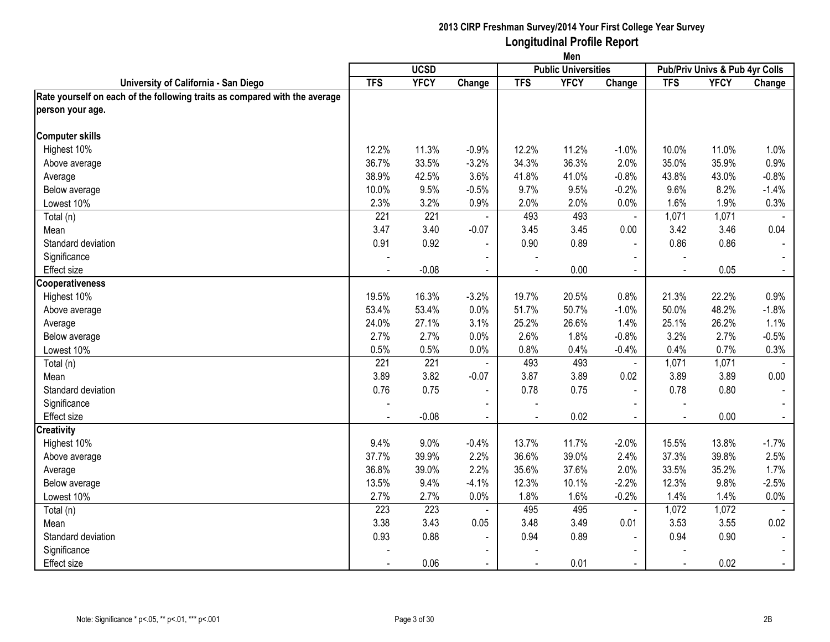|                                                                            |              |                  |                | Men          |                            |                          |                                |             |                |
|----------------------------------------------------------------------------|--------------|------------------|----------------|--------------|----------------------------|--------------------------|--------------------------------|-------------|----------------|
|                                                                            |              | <b>UCSD</b>      |                |              | <b>Public Universities</b> |                          | Pub/Priv Univs & Pub 4yr Colls |             |                |
| University of California - San Diego                                       | <b>TFS</b>   | <b>YFCY</b>      | Change         | <b>TFS</b>   | <b>YFCY</b>                | Change                   | <b>TFS</b>                     | <b>YFCY</b> | Change         |
| Rate yourself on each of the following traits as compared with the average |              |                  |                |              |                            |                          |                                |             |                |
| person your age.                                                           |              |                  |                |              |                            |                          |                                |             |                |
| <b>Computer skills</b>                                                     |              |                  |                |              |                            |                          |                                |             |                |
| Highest 10%                                                                | 12.2%        | 11.3%            | $-0.9%$        | 12.2%        | 11.2%                      | $-1.0%$                  | 10.0%                          | 11.0%       | 1.0%           |
| Above average                                                              | 36.7%        | 33.5%            | $-3.2%$        | 34.3%        | 36.3%                      | 2.0%                     | 35.0%                          | 35.9%       | 0.9%           |
| Average                                                                    | 38.9%        | 42.5%            | 3.6%           | 41.8%        | 41.0%                      | $-0.8%$                  | 43.8%                          | 43.0%       | $-0.8%$        |
| Below average                                                              | 10.0%        | 9.5%             | $-0.5%$        | 9.7%         | 9.5%                       | $-0.2%$                  | 9.6%                           | 8.2%        | $-1.4%$        |
| Lowest 10%                                                                 | 2.3%         | 3.2%             | 0.9%           | 2.0%         | 2.0%                       | 0.0%                     | 1.6%                           | 1.9%        | 0.3%           |
| Total (n)                                                                  | 221          | 221              |                | 493          | 493                        | $\blacksquare$           | 1,071                          | 1,071       |                |
| Mean                                                                       | 3.47         | 3.40             | $-0.07$        | 3.45         | 3.45                       | 0.00                     | 3.42                           | 3.46        | 0.04           |
| Standard deviation                                                         | 0.91         | 0.92             | $\blacksquare$ | 0.90         | 0.89                       |                          | 0.86                           | 0.86        |                |
| Significance                                                               |              |                  | $\blacksquare$ |              |                            | $\blacksquare$           |                                |             |                |
| <b>Effect size</b>                                                         | $\mathbf{r}$ | $-0.08$          | $\sim$         | $\mathbf{r}$ | 0.00                       | $\blacksquare$           | $\sim$                         | 0.05        | $\sim$         |
| <b>Cooperativeness</b>                                                     |              |                  |                |              |                            |                          |                                |             |                |
| Highest 10%                                                                | 19.5%        | 16.3%            | $-3.2%$        | 19.7%        | 20.5%                      | 0.8%                     | 21.3%                          | 22.2%       | 0.9%           |
| Above average                                                              | 53.4%        | 53.4%            | 0.0%           | 51.7%        | 50.7%                      | $-1.0%$                  | 50.0%                          | 48.2%       | $-1.8%$        |
| Average                                                                    | 24.0%        | 27.1%            | 3.1%           | 25.2%        | 26.6%                      | 1.4%                     | 25.1%                          | 26.2%       | 1.1%           |
| Below average                                                              | 2.7%         | 2.7%             | 0.0%           | 2.6%         | 1.8%                       | $-0.8%$                  | 3.2%                           | 2.7%        | $-0.5%$        |
| Lowest 10%                                                                 | 0.5%         | 0.5%             | 0.0%           | 0.8%         | 0.4%                       | $-0.4%$                  | 0.4%                           | 0.7%        | 0.3%           |
| Total (n)                                                                  | 221          | $\overline{221}$ |                | 493          | 493                        | $\blacksquare$           | 1,071                          | 1,071       |                |
| Mean                                                                       | 3.89         | 3.82             | $-0.07$        | 3.87         | 3.89                       | 0.02                     | 3.89                           | 3.89        | 0.00           |
| Standard deviation                                                         | 0.76         | 0.75             | $\blacksquare$ | 0.78         | 0.75                       | $\blacksquare$           | 0.78                           | 0.80        |                |
| Significance                                                               |              |                  | $\blacksquare$ |              |                            | $\blacksquare$           |                                |             |                |
| Effect size                                                                |              | $-0.08$          | $\blacksquare$ |              | 0.02                       | $\blacksquare$           |                                | 0.00        |                |
| <b>Creativity</b>                                                          |              |                  |                |              |                            |                          |                                |             |                |
| Highest 10%                                                                | 9.4%         | 9.0%             | $-0.4%$        | 13.7%        | 11.7%                      | $-2.0%$                  | 15.5%                          | 13.8%       | $-1.7%$        |
| Above average                                                              | 37.7%        | 39.9%            | 2.2%           | 36.6%        | 39.0%                      | 2.4%                     | 37.3%                          | 39.8%       | 2.5%           |
| Average                                                                    | 36.8%        | 39.0%            | 2.2%           | 35.6%        | 37.6%                      | 2.0%                     | 33.5%                          | 35.2%       | 1.7%           |
| Below average                                                              | 13.5%        | 9.4%             | $-4.1%$        | 12.3%        | 10.1%                      | $-2.2%$                  | 12.3%                          | 9.8%        | $-2.5%$        |
| Lowest 10%                                                                 | 2.7%         | 2.7%             | 0.0%           | 1.8%         | 1.6%                       | $-0.2%$                  | 1.4%                           | 1.4%        | 0.0%           |
| Total (n)                                                                  | 223          | 223              |                | 495          | 495                        | $\blacksquare$           | 1,072                          | 1,072       |                |
| Mean                                                                       | 3.38         | 3.43             | 0.05           | 3.48         | 3.49                       | 0.01                     | 3.53                           | 3.55        | 0.02           |
| Standard deviation                                                         | 0.93         | 0.88             | $\blacksquare$ | 0.94         | 0.89                       |                          | 0.94                           | 0.90        |                |
| Significance                                                               |              |                  | $\blacksquare$ |              |                            | $\overline{\phantom{a}}$ |                                |             |                |
| <b>Effect size</b>                                                         |              | 0.06             | $\blacksquare$ |              | 0.01                       | $\blacksquare$           | $\sim$                         | 0.02        | $\blacksquare$ |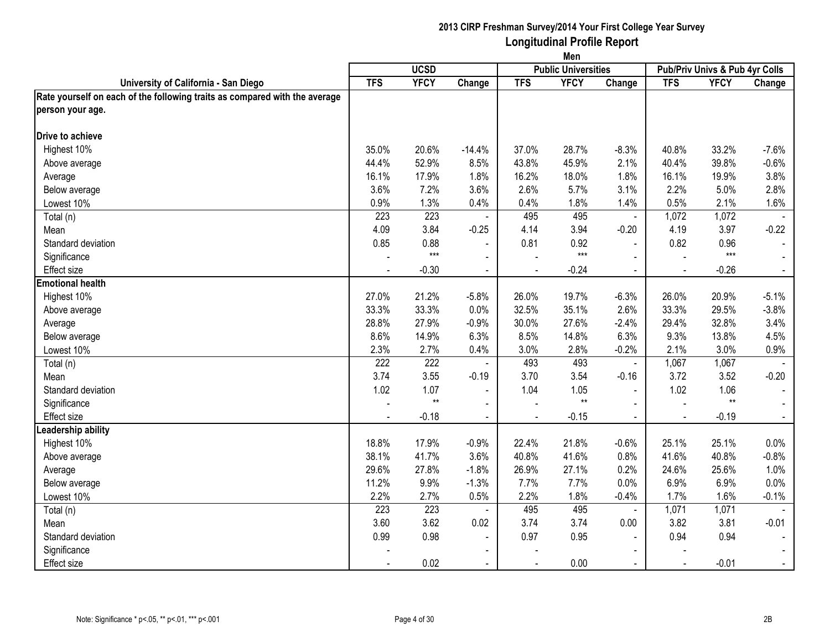|                                                                            | Men            |                 |                          |                |                            |                |                                |             |         |  |
|----------------------------------------------------------------------------|----------------|-----------------|--------------------------|----------------|----------------------------|----------------|--------------------------------|-------------|---------|--|
|                                                                            |                | <b>UCSD</b>     |                          |                | <b>Public Universities</b> |                | Pub/Priv Univs & Pub 4yr Colls |             |         |  |
| University of California - San Diego                                       | <b>TFS</b>     | <b>YFCY</b>     | Change                   | <b>TFS</b>     | <b>YFCY</b>                | Change         | <b>TFS</b>                     | <b>YFCY</b> | Change  |  |
| Rate yourself on each of the following traits as compared with the average |                |                 |                          |                |                            |                |                                |             |         |  |
| person your age.                                                           |                |                 |                          |                |                            |                |                                |             |         |  |
| Drive to achieve                                                           |                |                 |                          |                |                            |                |                                |             |         |  |
| Highest 10%                                                                | 35.0%          | 20.6%           | $-14.4%$                 | 37.0%          | 28.7%                      | $-8.3%$        | 40.8%                          | 33.2%       | $-7.6%$ |  |
| Above average                                                              | 44.4%          | 52.9%           | 8.5%                     | 43.8%          | 45.9%                      | 2.1%           | 40.4%                          | 39.8%       | $-0.6%$ |  |
| Average                                                                    | 16.1%          | 17.9%           | 1.8%                     | 16.2%          | 18.0%                      | 1.8%           | 16.1%                          | 19.9%       | 3.8%    |  |
| Below average                                                              | 3.6%           | 7.2%            | 3.6%                     | 2.6%           | 5.7%                       | 3.1%           | 2.2%                           | 5.0%        | 2.8%    |  |
| Lowest 10%                                                                 | 0.9%           | 1.3%            | 0.4%                     | 0.4%           | 1.8%                       | 1.4%           | 0.5%                           | 2.1%        | 1.6%    |  |
| Total (n)                                                                  | 223            | 223             |                          | 495            | 495                        | $\blacksquare$ | 1,072                          | 1,072       |         |  |
| Mean                                                                       | 4.09           | 3.84            | $-0.25$                  | 4.14           | 3.94                       | $-0.20$        | 4.19                           | 3.97        | $-0.22$ |  |
| Standard deviation                                                         | 0.85           | 0.88            |                          | 0.81           | 0.92                       |                | 0.82                           | 0.96        |         |  |
| Significance                                                               |                | $***$           | $\blacksquare$           |                | $***$                      |                |                                | $***$       |         |  |
| <b>Effect size</b>                                                         | $\blacksquare$ | $-0.30$         | $\blacksquare$           | $\blacksquare$ | $-0.24$                    | $\blacksquare$ | $\blacksquare$                 | $-0.26$     | $\sim$  |  |
| <b>Emotional health</b>                                                    |                |                 |                          |                |                            |                |                                |             |         |  |
| Highest 10%                                                                | 27.0%          | 21.2%           | $-5.8%$                  | 26.0%          | 19.7%                      | $-6.3%$        | 26.0%                          | 20.9%       | $-5.1%$ |  |
| Above average                                                              | 33.3%          | 33.3%           | 0.0%                     | 32.5%          | 35.1%                      | 2.6%           | 33.3%                          | 29.5%       | $-3.8%$ |  |
| Average                                                                    | 28.8%          | 27.9%           | $-0.9%$                  | 30.0%          | 27.6%                      | $-2.4%$        | 29.4%                          | 32.8%       | 3.4%    |  |
| Below average                                                              | 8.6%           | 14.9%           | 6.3%                     | 8.5%           | 14.8%                      | 6.3%           | 9.3%                           | 13.8%       | 4.5%    |  |
| Lowest 10%                                                                 | 2.3%           | 2.7%            | 0.4%                     | 3.0%           | 2.8%                       | $-0.2%$        | 2.1%                           | 3.0%        | 0.9%    |  |
| Total (n)                                                                  | 222            | 222             |                          | 493            | 493                        | $\blacksquare$ | 1,067                          | 1,067       |         |  |
| Mean                                                                       | 3.74           | 3.55            | $-0.19$                  | 3.70           | 3.54                       | $-0.16$        | 3.72                           | 3.52        | $-0.20$ |  |
| Standard deviation                                                         | 1.02           | 1.07            | $\blacksquare$           | 1.04           | 1.05                       | $\overline{a}$ | 1.02                           | 1.06        |         |  |
| Significance                                                               |                | $^{\star\star}$ | $\blacksquare$           |                | $^{\star\star}$            | $\blacksquare$ | $\overline{a}$                 | $**$        |         |  |
| <b>Effect size</b>                                                         |                | $-0.18$         | $\blacksquare$           |                | $-0.15$                    | $\overline{a}$ |                                | $-0.19$     |         |  |
| Leadership ability                                                         |                |                 |                          |                |                            |                |                                |             |         |  |
| Highest 10%                                                                | 18.8%          | 17.9%           | $-0.9%$                  | 22.4%          | 21.8%                      | $-0.6%$        | 25.1%                          | 25.1%       | 0.0%    |  |
| Above average                                                              | 38.1%          | 41.7%           | 3.6%                     | 40.8%          | 41.6%                      | 0.8%           | 41.6%                          | 40.8%       | $-0.8%$ |  |
| Average                                                                    | 29.6%          | 27.8%           | $-1.8%$                  | 26.9%          | 27.1%                      | 0.2%           | 24.6%                          | 25.6%       | 1.0%    |  |
| Below average                                                              | 11.2%          | 9.9%            | $-1.3%$                  | 7.7%           | 7.7%                       | 0.0%           | 6.9%                           | 6.9%        | 0.0%    |  |
| Lowest 10%                                                                 | 2.2%           | 2.7%            | 0.5%                     | 2.2%           | 1.8%                       | $-0.4%$        | 1.7%                           | 1.6%        | $-0.1%$ |  |
| Total (n)                                                                  | 223            | 223             | $\mathbf{r}$             | 495            | 495                        | $\blacksquare$ | 1,071                          | 1,071       |         |  |
| Mean                                                                       | 3.60           | 3.62            | 0.02                     | 3.74           | 3.74                       | 0.00           | 3.82                           | 3.81        | $-0.01$ |  |
| Standard deviation                                                         | 0.99           | 0.98            | $\overline{\phantom{a}}$ | 0.97           | 0.95                       |                | 0.94                           | 0.94        |         |  |
| Significance                                                               |                |                 | $\blacksquare$           |                |                            | $\blacksquare$ |                                |             |         |  |
| <b>Effect size</b>                                                         | $\blacksquare$ | 0.02            | $\blacksquare$           | $\blacksquare$ | 0.00                       | $\blacksquare$ | $\blacksquare$                 | $-0.01$     |         |  |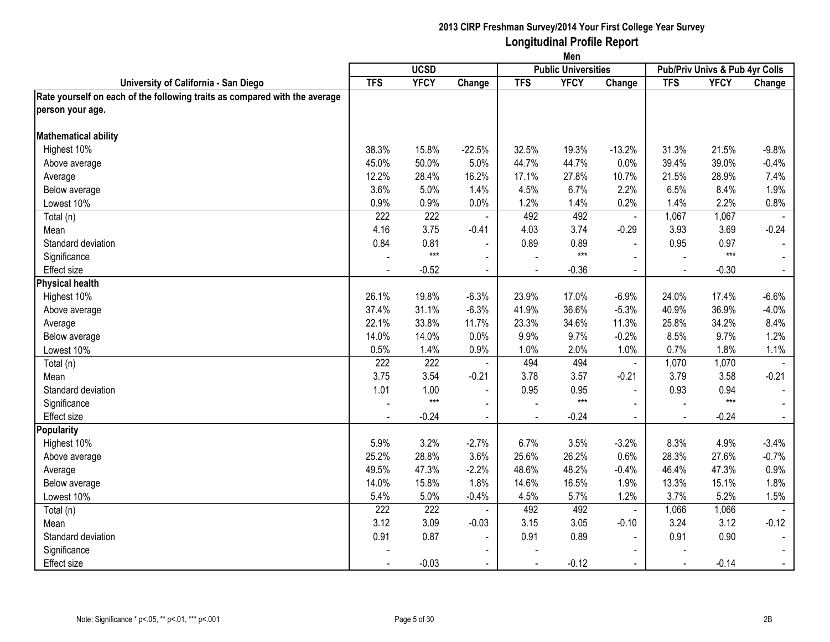|                                                                            | Men            |                  |                          |                |                            |                |                                |             |                |  |  |  |
|----------------------------------------------------------------------------|----------------|------------------|--------------------------|----------------|----------------------------|----------------|--------------------------------|-------------|----------------|--|--|--|
|                                                                            |                | <b>UCSD</b>      |                          |                | <b>Public Universities</b> |                | Pub/Priv Univs & Pub 4yr Colls |             |                |  |  |  |
| University of California - San Diego                                       | <b>TFS</b>     | <b>YFCY</b>      | Change                   | <b>TFS</b>     | <b>YFCY</b>                | Change         | <b>TFS</b>                     | <b>YFCY</b> | Change         |  |  |  |
| Rate yourself on each of the following traits as compared with the average |                |                  |                          |                |                            |                |                                |             |                |  |  |  |
| person your age.                                                           |                |                  |                          |                |                            |                |                                |             |                |  |  |  |
| <b>Mathematical ability</b>                                                |                |                  |                          |                |                            |                |                                |             |                |  |  |  |
| Highest 10%                                                                | 38.3%          | 15.8%            | $-22.5%$                 | 32.5%          | 19.3%                      | $-13.2%$       | 31.3%                          | 21.5%       | $-9.8%$        |  |  |  |
| Above average                                                              | 45.0%          | 50.0%            | 5.0%                     | 44.7%          | 44.7%                      | 0.0%           | 39.4%                          | 39.0%       | $-0.4%$        |  |  |  |
| Average                                                                    | 12.2%          | 28.4%            | 16.2%                    | 17.1%          | 27.8%                      | 10.7%          | 21.5%                          | 28.9%       | 7.4%           |  |  |  |
| Below average                                                              | 3.6%           | 5.0%             | 1.4%                     | 4.5%           | 6.7%                       | 2.2%           | 6.5%                           | 8.4%        | 1.9%           |  |  |  |
| Lowest 10%                                                                 | 0.9%           | 0.9%             | 0.0%                     | 1.2%           | 1.4%                       | 0.2%           | 1.4%                           | 2.2%        | 0.8%           |  |  |  |
| Total (n)                                                                  | 222            | $\overline{222}$ |                          | 492            | 492                        | $\blacksquare$ | 1,067                          | 1,067       |                |  |  |  |
| Mean                                                                       | 4.16           | 3.75             | $-0.41$                  | 4.03           | 3.74                       | $-0.29$        | 3.93                           | 3.69        | $-0.24$        |  |  |  |
| Standard deviation                                                         | 0.84           | 0.81             |                          | 0.89           | 0.89                       |                | 0.95                           | 0.97        |                |  |  |  |
| Significance                                                               |                | $***$            | $\blacksquare$           |                | $***$                      |                |                                | $***$       |                |  |  |  |
| <b>Effect size</b>                                                         | $\blacksquare$ | $-0.52$          | $\blacksquare$           | $\blacksquare$ | $-0.36$                    | $\sim$         | $\blacksquare$                 | $-0.30$     | $\sim$         |  |  |  |
| <b>Physical health</b>                                                     |                |                  |                          |                |                            |                |                                |             |                |  |  |  |
| Highest 10%                                                                | 26.1%          | 19.8%            | $-6.3%$                  | 23.9%          | 17.0%                      | $-6.9%$        | 24.0%                          | 17.4%       | $-6.6%$        |  |  |  |
| Above average                                                              | 37.4%          | 31.1%            | $-6.3%$                  | 41.9%          | 36.6%                      | $-5.3%$        | 40.9%                          | 36.9%       | $-4.0%$        |  |  |  |
| Average                                                                    | 22.1%          | 33.8%            | 11.7%                    | 23.3%          | 34.6%                      | 11.3%          | 25.8%                          | 34.2%       | 8.4%           |  |  |  |
| Below average                                                              | 14.0%          | 14.0%            | 0.0%                     | 9.9%           | 9.7%                       | $-0.2%$        | 8.5%                           | 9.7%        | 1.2%           |  |  |  |
| Lowest 10%                                                                 | 0.5%           | 1.4%             | 0.9%                     | 1.0%           | 2.0%                       | 1.0%           | 0.7%                           | 1.8%        | 1.1%           |  |  |  |
| Total (n)                                                                  | 222            | 222              |                          | 494            | 494                        | $\blacksquare$ | 1,070                          | 1,070       |                |  |  |  |
| Mean                                                                       | 3.75           | 3.54             | $-0.21$                  | 3.78           | 3.57                       | $-0.21$        | 3.79                           | 3.58        | $-0.21$        |  |  |  |
| Standard deviation                                                         | 1.01           | 1.00             | $\overline{\phantom{a}}$ | 0.95           | 0.95                       | $\blacksquare$ | 0.93                           | 0.94        |                |  |  |  |
| Significance                                                               |                | $***$            | $\blacksquare$           |                | $***$                      | $\blacksquare$ |                                | $***$       |                |  |  |  |
| <b>Effect size</b>                                                         |                | $-0.24$          | $\blacksquare$           |                | $-0.24$                    | $\blacksquare$ |                                | $-0.24$     |                |  |  |  |
| Popularity                                                                 |                |                  |                          |                |                            |                |                                |             |                |  |  |  |
| Highest 10%                                                                | 5.9%           | 3.2%             | $-2.7%$                  | 6.7%           | 3.5%                       | $-3.2%$        | 8.3%                           | 4.9%        | $-3.4%$        |  |  |  |
| Above average                                                              | 25.2%          | 28.8%            | 3.6%                     | 25.6%          | 26.2%                      | 0.6%           | 28.3%                          | 27.6%       | $-0.7%$        |  |  |  |
| Average                                                                    | 49.5%          | 47.3%            | $-2.2%$                  | 48.6%          | 48.2%                      | $-0.4%$        | 46.4%                          | 47.3%       | 0.9%           |  |  |  |
| Below average                                                              | 14.0%          | 15.8%            | 1.8%                     | 14.6%          | 16.5%                      | 1.9%           | 13.3%                          | 15.1%       | 1.8%           |  |  |  |
| Lowest 10%                                                                 | 5.4%           | 5.0%             | $-0.4%$                  | 4.5%           | 5.7%                       | 1.2%           | 3.7%                           | 5.2%        | 1.5%           |  |  |  |
| Total (n)                                                                  | 222            | 222              |                          | 492            | 492                        | $\blacksquare$ | 1,066                          | 1,066       |                |  |  |  |
| Mean                                                                       | 3.12           | 3.09             | $-0.03$                  | 3.15           | 3.05                       | $-0.10$        | 3.24                           | 3.12        | $-0.12$        |  |  |  |
| Standard deviation                                                         | 0.91           | 0.87             |                          | 0.91           | 0.89                       |                | 0.91                           | 0.90        |                |  |  |  |
| Significance                                                               |                |                  |                          |                |                            |                |                                |             |                |  |  |  |
| <b>Effect size</b>                                                         |                | $-0.03$          | $\sim$                   | $\blacksquare$ | $-0.12$                    | $\blacksquare$ | $\sim$                         | $-0.14$     | $\blacksquare$ |  |  |  |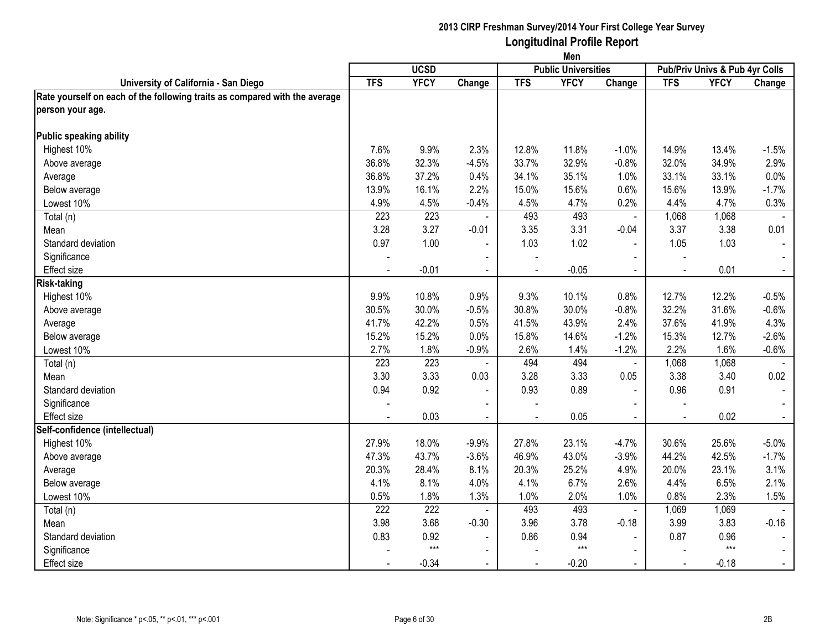|                                                                            | Men            |             |                          |                |                            |                          |                                |             |                |
|----------------------------------------------------------------------------|----------------|-------------|--------------------------|----------------|----------------------------|--------------------------|--------------------------------|-------------|----------------|
|                                                                            |                | <b>UCSD</b> |                          |                | <b>Public Universities</b> |                          | Pub/Priv Univs & Pub 4yr Colls |             |                |
| University of California - San Diego                                       | <b>TFS</b>     | <b>YFCY</b> | Change                   | <b>TFS</b>     | <b>YFCY</b>                | Change                   | <b>TFS</b>                     | <b>YFCY</b> | Change         |
| Rate yourself on each of the following traits as compared with the average |                |             |                          |                |                            |                          |                                |             |                |
| person your age.                                                           |                |             |                          |                |                            |                          |                                |             |                |
| <b>Public speaking ability</b>                                             |                |             |                          |                |                            |                          |                                |             |                |
| Highest 10%                                                                | 7.6%           | 9.9%        | 2.3%                     | 12.8%          | 11.8%                      | $-1.0%$                  | 14.9%                          | 13.4%       | $-1.5%$        |
| Above average                                                              | 36.8%          | 32.3%       | $-4.5%$                  | 33.7%          | 32.9%                      | $-0.8%$                  | 32.0%                          | 34.9%       | 2.9%           |
| Average                                                                    | 36.8%          | 37.2%       | 0.4%                     | 34.1%          | 35.1%                      | 1.0%                     | 33.1%                          | 33.1%       | 0.0%           |
| Below average                                                              | 13.9%          | 16.1%       | 2.2%                     | 15.0%          | 15.6%                      | 0.6%                     | 15.6%                          | 13.9%       | $-1.7%$        |
| Lowest 10%                                                                 | 4.9%           | 4.5%        | $-0.4%$                  | 4.5%           | 4.7%                       | 0.2%                     | 4.4%                           | 4.7%        | 0.3%           |
| Total (n)                                                                  | 223            | 223         |                          | 493            | 493                        | $\blacksquare$           | 1,068                          | 1,068       |                |
| Mean                                                                       | 3.28           | 3.27        | $-0.01$                  | 3.35           | 3.31                       | $-0.04$                  | 3.37                           | 3.38        | 0.01           |
| Standard deviation                                                         | 0.97           | 1.00        |                          | 1.03           | 1.02                       |                          | 1.05                           | 1.03        |                |
| Significance                                                               |                |             | $\blacksquare$           |                |                            |                          |                                |             |                |
| <b>Effect size</b>                                                         | $\blacksquare$ | $-0.01$     | $\blacksquare$           | $\blacksquare$ | $-0.05$                    | $\sim$                   | $\blacksquare$                 | 0.01        | $\sim$         |
| <b>Risk-taking</b>                                                         |                |             |                          |                |                            |                          |                                |             |                |
| Highest 10%                                                                | 9.9%           | 10.8%       | 0.9%                     | 9.3%           | 10.1%                      | 0.8%                     | 12.7%                          | 12.2%       | $-0.5%$        |
| Above average                                                              | 30.5%          | 30.0%       | $-0.5%$                  | 30.8%          | 30.0%                      | $-0.8%$                  | 32.2%                          | 31.6%       | $-0.6%$        |
| Average                                                                    | 41.7%          | 42.2%       | 0.5%                     | 41.5%          | 43.9%                      | 2.4%                     | 37.6%                          | 41.9%       | 4.3%           |
| Below average                                                              | 15.2%          | 15.2%       | 0.0%                     | 15.8%          | 14.6%                      | $-1.2%$                  | 15.3%                          | 12.7%       | $-2.6%$        |
| Lowest 10%                                                                 | 2.7%           | 1.8%        | $-0.9%$                  | 2.6%           | 1.4%                       | $-1.2%$                  | 2.2%                           | 1.6%        | $-0.6%$        |
| Total (n)                                                                  | 223            | 223         |                          | 494            | 494                        | ä,                       | 1,068                          | 1,068       |                |
| Mean                                                                       | 3.30           | 3.33        | 0.03                     | 3.28           | 3.33                       | 0.05                     | 3.38                           | 3.40        | 0.02           |
| Standard deviation                                                         | 0.94           | 0.92        | $\overline{\phantom{a}}$ | 0.93           | 0.89                       | $\blacksquare$           | 0.96                           | 0.91        |                |
| Significance                                                               |                |             | $\blacksquare$           |                |                            | $\blacksquare$           |                                |             |                |
| <b>Effect</b> size                                                         |                | 0.03        | $\blacksquare$           |                | 0.05                       |                          |                                | 0.02        |                |
| Self-confidence (intellectual)                                             |                |             |                          |                |                            |                          |                                |             |                |
| Highest 10%                                                                | 27.9%          | 18.0%       | $-9.9%$                  | 27.8%          | 23.1%                      | $-4.7%$                  | 30.6%                          | 25.6%       | $-5.0%$        |
| Above average                                                              | 47.3%          | 43.7%       | $-3.6%$                  | 46.9%          | 43.0%                      | $-3.9%$                  | 44.2%                          | 42.5%       | $-1.7%$        |
| Average                                                                    | 20.3%          | 28.4%       | 8.1%                     | 20.3%          | 25.2%                      | 4.9%                     | 20.0%                          | 23.1%       | 3.1%           |
| Below average                                                              | 4.1%           | 8.1%        | 4.0%                     | 4.1%           | 6.7%                       | 2.6%                     | 4.4%                           | 6.5%        | 2.1%           |
| Lowest 10%                                                                 | 0.5%           | 1.8%        | 1.3%                     | 1.0%           | 2.0%                       | 1.0%                     | 0.8%                           | 2.3%        | 1.5%           |
| Total (n)                                                                  | 222            | 222         |                          | 493            | 493                        | $\blacksquare$           | 1,069                          | 1,069       |                |
| Mean                                                                       | 3.98           | 3.68        | $-0.30$                  | 3.96           | 3.78                       | $-0.18$                  | 3.99                           | 3.83        | $-0.16$        |
| Standard deviation                                                         | 0.83           | 0.92        | $\blacksquare$           | 0.86           | 0.94                       |                          | 0.87                           | 0.96        |                |
| Significance                                                               |                | $***$       | $\blacksquare$           |                | $***$                      | $\overline{\phantom{a}}$ |                                | $***$       |                |
| <b>Effect size</b>                                                         |                | $-0.34$     | $\sim$                   | $\blacksquare$ | $-0.20$                    | $\sim$                   | $\sim$                         | $-0.18$     | $\blacksquare$ |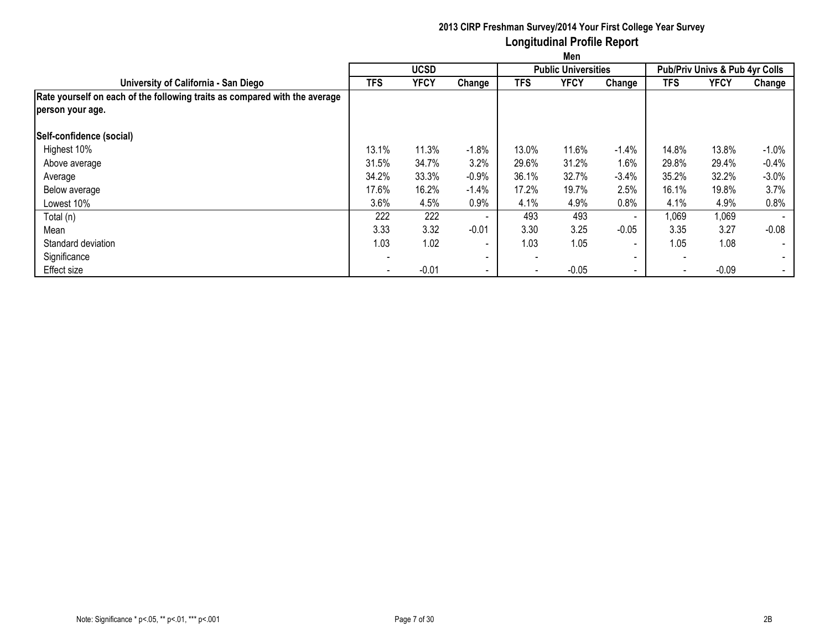|                                                                            | Men                      |             |                          |                          |                            |         |                          |                                           |          |  |  |
|----------------------------------------------------------------------------|--------------------------|-------------|--------------------------|--------------------------|----------------------------|---------|--------------------------|-------------------------------------------|----------|--|--|
|                                                                            |                          | <b>UCSD</b> |                          |                          | <b>Public Universities</b> |         |                          | <b>Pub/Priv Univs &amp; Pub 4yr Colls</b> |          |  |  |
| University of California - San Diego                                       | <b>TFS</b>               | <b>YFCY</b> | Change                   | TFS                      | <b>YFCY</b>                | Change  | <b>TFS</b>               | <b>YFCY</b>                               | Change   |  |  |
| Rate yourself on each of the following traits as compared with the average |                          |             |                          |                          |                            |         |                          |                                           |          |  |  |
| person your age.                                                           |                          |             |                          |                          |                            |         |                          |                                           |          |  |  |
| Self-confidence (social)                                                   |                          |             |                          |                          |                            |         |                          |                                           |          |  |  |
| Highest 10%                                                                | 13.1%                    | 11.3%       | $-1.8%$                  | 13.0%                    | 11.6%                      | $-1.4%$ | 14.8%                    | 13.8%                                     | $-1.0\%$ |  |  |
| Above average                                                              | 31.5%                    | 34.7%       | 3.2%                     | 29.6%                    | 31.2%                      | $1.6\%$ | 29.8%                    | 29.4%                                     | $-0.4%$  |  |  |
| Average                                                                    | 34.2%                    | 33.3%       | $-0.9%$                  | 36.1%                    | 32.7%                      | $-3.4%$ | 35.2%                    | 32.2%                                     | $-3.0%$  |  |  |
| Below average                                                              | 17.6%                    | 16.2%       | $-1.4%$                  | 17.2%                    | 19.7%                      | 2.5%    | 16.1%                    | 19.8%                                     | 3.7%     |  |  |
| Lowest 10%                                                                 | 3.6%                     | 4.5%        | 0.9%                     | 4.1%                     | 4.9%                       | 0.8%    | 4.1%                     | 4.9%                                      | 0.8%     |  |  |
| Total (n)                                                                  | 222                      | 222         | $\overline{\phantom{a}}$ | 493                      | 493                        | $\sim$  | 1,069                    | 1,069                                     |          |  |  |
| Mean                                                                       | 3.33                     | 3.32        | $-0.01$                  | 3.30                     | 3.25                       | $-0.05$ | 3.35                     | 3.27                                      | $-0.08$  |  |  |
| Standard deviation                                                         | 1.03                     | 1.02        | $\overline{\phantom{a}}$ | 1.03                     | 1.05                       | $\sim$  | 1.05                     | 1.08                                      | $\sim$   |  |  |
| Significance                                                               | $\overline{\phantom{0}}$ |             | $\blacksquare$           | $\overline{\phantom{a}}$ |                            | $\sim$  | $\overline{\phantom{0}}$ |                                           | $\sim$   |  |  |
| <b>Effect size</b>                                                         |                          | $-0.01$     | $\overline{\phantom{a}}$ | $\overline{\phantom{a}}$ | $-0.05$                    | $\sim$  | $\overline{\phantom{a}}$ | $-0.09$                                   | $\sim$   |  |  |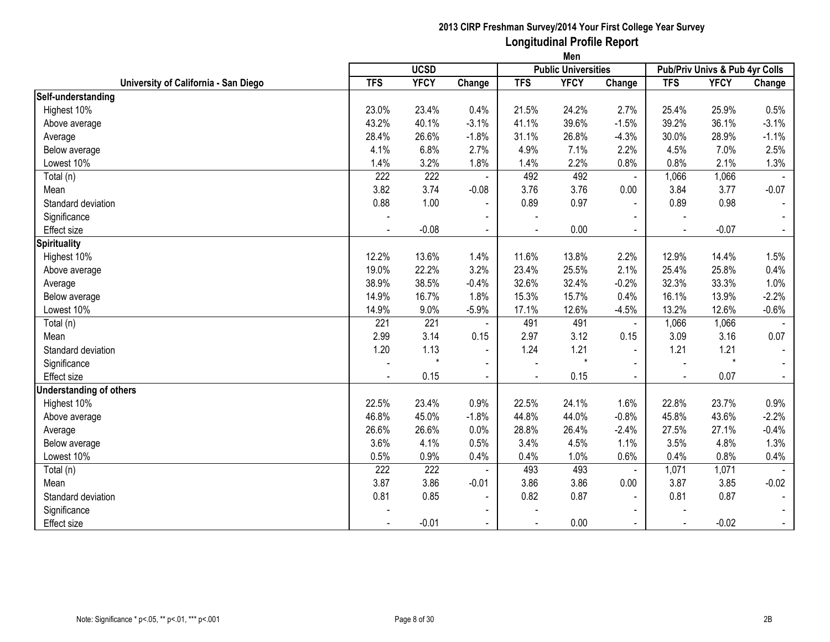|                                      | Men        |             |                |            |                            |                |                                |             |                |
|--------------------------------------|------------|-------------|----------------|------------|----------------------------|----------------|--------------------------------|-------------|----------------|
|                                      |            | <b>UCSD</b> |                |            | <b>Public Universities</b> |                | Pub/Priv Univs & Pub 4yr Colls |             |                |
| University of California - San Diego | <b>TFS</b> | <b>YFCY</b> | Change         | <b>TFS</b> | <b>YFCY</b>                | Change         | <b>TFS</b>                     | <b>YFCY</b> | Change         |
| Self-understanding                   |            |             |                |            |                            |                |                                |             |                |
| Highest 10%                          | 23.0%      | 23.4%       | 0.4%           | 21.5%      | 24.2%                      | 2.7%           | 25.4%                          | 25.9%       | 0.5%           |
| Above average                        | 43.2%      | 40.1%       | $-3.1%$        | 41.1%      | 39.6%                      | $-1.5%$        | 39.2%                          | 36.1%       | $-3.1%$        |
| Average                              | 28.4%      | 26.6%       | $-1.8%$        | 31.1%      | 26.8%                      | $-4.3%$        | 30.0%                          | 28.9%       | $-1.1%$        |
| Below average                        | 4.1%       | 6.8%        | 2.7%           | 4.9%       | 7.1%                       | 2.2%           | 4.5%                           | 7.0%        | 2.5%           |
| Lowest 10%                           | 1.4%       | 3.2%        | 1.8%           | 1.4%       | 2.2%                       | 0.8%           | 0.8%                           | 2.1%        | 1.3%           |
| Total (n)                            | 222        | 222         |                | 492        | 492                        | $\blacksquare$ | 1,066                          | 1,066       |                |
| Mean                                 | 3.82       | 3.74        | $-0.08$        | 3.76       | 3.76                       | 0.00           | 3.84                           | 3.77        | $-0.07$        |
| Standard deviation                   | 0.88       | 1.00        | $\blacksquare$ | 0.89       | 0.97                       | $\mathbf{r}$   | 0.89                           | 0.98        | $\blacksquare$ |
| Significance                         |            |             | $\blacksquare$ |            |                            |                |                                |             |                |
| <b>Effect size</b>                   |            | $-0.08$     | $\blacksquare$ |            | 0.00                       | $\blacksquare$ |                                | $-0.07$     | $\blacksquare$ |
| <b>Spirituality</b>                  |            |             |                |            |                            |                |                                |             |                |
| Highest 10%                          | 12.2%      | 13.6%       | 1.4%           | 11.6%      | 13.8%                      | 2.2%           | 12.9%                          | 14.4%       | 1.5%           |
| Above average                        | 19.0%      | 22.2%       | 3.2%           | 23.4%      | 25.5%                      | 2.1%           | 25.4%                          | 25.8%       | 0.4%           |
| Average                              | 38.9%      | 38.5%       | $-0.4%$        | 32.6%      | 32.4%                      | $-0.2%$        | 32.3%                          | 33.3%       | 1.0%           |
| Below average                        | 14.9%      | 16.7%       | 1.8%           | 15.3%      | 15.7%                      | 0.4%           | 16.1%                          | 13.9%       | $-2.2%$        |
| Lowest 10%                           | 14.9%      | 9.0%        | $-5.9%$        | 17.1%      | 12.6%                      | $-4.5%$        | 13.2%                          | 12.6%       | $-0.6%$        |
| Total (n)                            | 221        | 221         | $\blacksquare$ | 491        | 491                        | $\blacksquare$ | 1,066                          | 1,066       |                |
| Mean                                 | 2.99       | 3.14        | 0.15           | 2.97       | 3.12                       | 0.15           | 3.09                           | 3.16        | 0.07           |
| Standard deviation                   | 1.20       | 1.13        | $\blacksquare$ | 1.24       | 1.21                       | $\blacksquare$ | 1.21                           | 1.21        | $\blacksquare$ |
| Significance                         |            | $\star$     | $\blacksquare$ |            | $\star$                    |                |                                | $\star$     |                |
| <b>Effect size</b>                   |            | 0.15        | $\blacksquare$ |            | 0.15                       | $\blacksquare$ |                                | 0.07        | $\blacksquare$ |
| <b>Understanding of others</b>       |            |             |                |            |                            |                |                                |             |                |
| Highest 10%                          | 22.5%      | 23.4%       | 0.9%           | 22.5%      | 24.1%                      | 1.6%           | 22.8%                          | 23.7%       | 0.9%           |
| Above average                        | 46.8%      | 45.0%       | $-1.8%$        | 44.8%      | 44.0%                      | $-0.8%$        | 45.8%                          | 43.6%       | $-2.2%$        |
| Average                              | 26.6%      | 26.6%       | 0.0%           | 28.8%      | 26.4%                      | $-2.4%$        | 27.5%                          | 27.1%       | $-0.4%$        |
| Below average                        | 3.6%       | 4.1%        | 0.5%           | 3.4%       | 4.5%                       | 1.1%           | 3.5%                           | 4.8%        | 1.3%           |
| Lowest 10%                           | 0.5%       | 0.9%        | 0.4%           | 0.4%       | 1.0%                       | 0.6%           | 0.4%                           | 0.8%        | 0.4%           |
| Total (n)                            | 222        | 222         |                | 493        | 493                        |                | 1,071                          | 1,071       |                |
| Mean                                 | 3.87       | 3.86        | $-0.01$        | 3.86       | 3.86                       | 0.00           | 3.87                           | 3.85        | $-0.02$        |
| Standard deviation                   | 0.81       | 0.85        | $\blacksquare$ | 0.82       | 0.87                       | $\sim$         | 0.81                           | 0.87        | $\blacksquare$ |
| Significance                         |            |             |                |            |                            |                |                                |             |                |
| Effect size                          |            | $-0.01$     | $\blacksquare$ |            | 0.00                       |                |                                | $-0.02$     | $\blacksquare$ |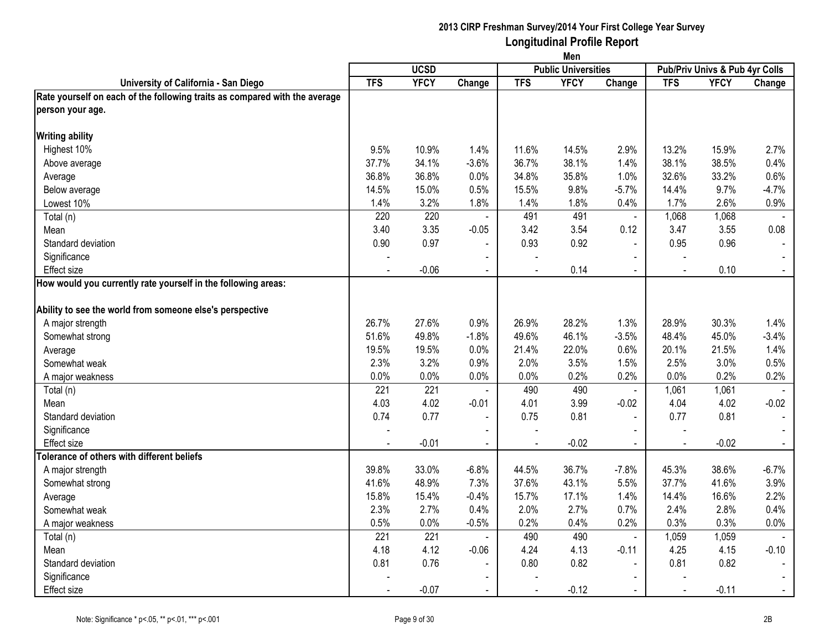|                                                                            | Men            |             |                          |                |                            |                          |            |                                |                          |
|----------------------------------------------------------------------------|----------------|-------------|--------------------------|----------------|----------------------------|--------------------------|------------|--------------------------------|--------------------------|
|                                                                            |                | <b>UCSD</b> |                          |                | <b>Public Universities</b> |                          |            | Pub/Priv Univs & Pub 4yr Colls |                          |
| University of California - San Diego                                       | <b>TFS</b>     | <b>YFCY</b> | Change                   | <b>TFS</b>     | <b>YFCY</b>                | Change                   | <b>TFS</b> | <b>YFCY</b>                    | Change                   |
| Rate yourself on each of the following traits as compared with the average |                |             |                          |                |                            |                          |            |                                |                          |
| person your age.                                                           |                |             |                          |                |                            |                          |            |                                |                          |
| <b>Writing ability</b>                                                     |                |             |                          |                |                            |                          |            |                                |                          |
| Highest 10%                                                                | 9.5%           | 10.9%       | 1.4%                     | 11.6%          | 14.5%                      | 2.9%                     | 13.2%      | 15.9%                          | 2.7%                     |
| Above average                                                              | 37.7%          | 34.1%       | $-3.6%$                  | 36.7%          | 38.1%                      | 1.4%                     | 38.1%      | 38.5%                          | 0.4%                     |
| Average                                                                    | 36.8%          | 36.8%       | 0.0%                     | 34.8%          | 35.8%                      | 1.0%                     | 32.6%      | 33.2%                          | 0.6%                     |
| Below average                                                              | 14.5%          | 15.0%       | 0.5%                     | 15.5%          | 9.8%                       | $-5.7%$                  | 14.4%      | 9.7%                           | $-4.7%$                  |
| Lowest 10%                                                                 | 1.4%           | 3.2%        | 1.8%                     | 1.4%           | 1.8%                       | 0.4%                     | 1.7%       | 2.6%                           | 0.9%                     |
| Total (n)                                                                  | 220            | 220         | $\blacksquare$           | 491            | 491                        | $\blacksquare$           | 1,068      | 1,068                          |                          |
| Mean                                                                       | 3.40           | 3.35        | $-0.05$                  | 3.42           | 3.54                       | 0.12                     | 3.47       | 3.55                           | 0.08                     |
| Standard deviation                                                         | 0.90           | 0.97        | $\overline{\phantom{a}}$ | 0.93           | 0.92                       | $\blacksquare$           | 0.95       | 0.96                           |                          |
| Significance                                                               |                |             |                          |                |                            |                          |            |                                |                          |
| <b>Effect size</b>                                                         | $\sim$         | $-0.06$     | $\blacksquare$           | $\blacksquare$ | 0.14                       | $\blacksquare$           | $\sim$     | 0.10                           |                          |
| How would you currently rate yourself in the following areas:              |                |             |                          |                |                            |                          |            |                                |                          |
| Ability to see the world from someone else's perspective                   |                |             |                          |                |                            |                          |            |                                |                          |
| A major strength                                                           | 26.7%          | 27.6%       | 0.9%                     | 26.9%          | 28.2%                      | 1.3%                     | 28.9%      | 30.3%                          | 1.4%                     |
| Somewhat strong                                                            | 51.6%          | 49.8%       | $-1.8%$                  | 49.6%          | 46.1%                      | $-3.5%$                  | 48.4%      | 45.0%                          | $-3.4%$                  |
| Average                                                                    | 19.5%          | 19.5%       | 0.0%                     | 21.4%          | 22.0%                      | 0.6%                     | 20.1%      | 21.5%                          | 1.4%                     |
| Somewhat weak                                                              | 2.3%           | 3.2%        | 0.9%                     | 2.0%           | 3.5%                       | 1.5%                     | 2.5%       | 3.0%                           | 0.5%                     |
|                                                                            | 0.0%           | 0.0%        | 0.0%                     | 0.0%           | 0.2%                       | 0.2%                     | 0.0%       | 0.2%                           | 0.2%                     |
| A major weakness<br>Total (n)                                              | 221            | 221         | $\blacksquare$           | 490            | 490                        | $\blacksquare$           | 1,061      | 1,061                          |                          |
| Mean                                                                       | 4.03           | 4.02        | $-0.01$                  | 4.01           | 3.99                       | $-0.02$                  | 4.04       | 4.02                           | $-0.02$                  |
| Standard deviation                                                         | 0.74           | 0.77        | $\blacksquare$           | 0.75           | 0.81                       | $\blacksquare$           | 0.77       | 0.81                           | $\overline{\phantom{a}}$ |
|                                                                            |                |             |                          |                |                            |                          |            |                                |                          |
| Significance<br><b>Effect size</b>                                         | L.             | $-0.01$     | $\blacksquare$           | $\overline{a}$ | $-0.02$                    | $\blacksquare$<br>$\sim$ | $\sim$     | $-0.02$                        | $\blacksquare$           |
| Tolerance of others with different beliefs                                 |                |             |                          |                |                            |                          |            |                                |                          |
| A major strength                                                           | 39.8%          | 33.0%       | $-6.8%$                  | 44.5%          | 36.7%                      | $-7.8%$                  | 45.3%      | 38.6%                          | $-6.7%$                  |
| Somewhat strong                                                            | 41.6%          | 48.9%       | 7.3%                     | 37.6%          | 43.1%                      | 5.5%                     | 37.7%      | 41.6%                          | 3.9%                     |
|                                                                            | 15.8%          | 15.4%       | $-0.4%$                  | 15.7%          | 17.1%                      | 1.4%                     | 14.4%      | 16.6%                          | 2.2%                     |
| Average<br>Somewhat weak                                                   | 2.3%           | 2.7%        | 0.4%                     | 2.0%           | 2.7%                       | 0.7%                     | 2.4%       | 2.8%                           | 0.4%                     |
|                                                                            | 0.5%           | 0.0%        | $-0.5%$                  | 0.2%           | 0.4%                       | 0.2%                     | 0.3%       | 0.3%                           | 0.0%                     |
| A major weakness                                                           | 221            | 221         | $\sim$                   | 490            | 490                        |                          | 1,059      | 1,059                          |                          |
| Total (n)                                                                  |                | 4.12        |                          |                |                            | $\blacksquare$           |            |                                |                          |
| Mean<br>Standard deviation                                                 | 4.18           | 0.76        | $-0.06$                  | 4.24<br>0.80   | 4.13<br>0.82               | $-0.11$                  | 4.25       | 4.15                           | $-0.10$                  |
|                                                                            | 0.81           |             | $\blacksquare$           |                |                            | $\blacksquare$           | 0.81       | 0.82                           |                          |
| Significance                                                               |                |             |                          |                |                            |                          |            |                                |                          |
| <b>Effect size</b>                                                         | $\blacksquare$ | $-0.07$     | $\blacksquare$           |                | $-0.12$                    |                          | $\sim$     | $-0.11$                        |                          |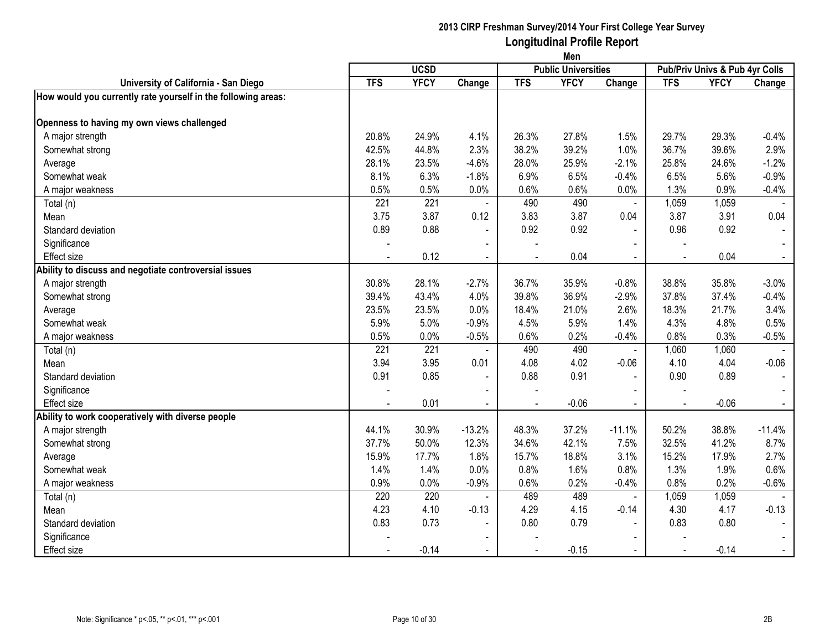|                                                               | Men        |                  |                |                |                            |                |                                |             |                |
|---------------------------------------------------------------|------------|------------------|----------------|----------------|----------------------------|----------------|--------------------------------|-------------|----------------|
|                                                               |            | <b>UCSD</b>      |                |                | <b>Public Universities</b> |                | Pub/Priv Univs & Pub 4yr Colls |             |                |
| University of California - San Diego                          | <b>TFS</b> | <b>YFCY</b>      | Change         | <b>TFS</b>     | <b>YFCY</b>                | Change         | <b>TFS</b>                     | <b>YFCY</b> | Change         |
| How would you currently rate yourself in the following areas: |            |                  |                |                |                            |                |                                |             |                |
| Openness to having my own views challenged                    |            |                  |                |                |                            |                |                                |             |                |
| A major strength                                              | 20.8%      | 24.9%            | 4.1%           | 26.3%          | 27.8%                      | 1.5%           | 29.7%                          | 29.3%       | $-0.4%$        |
| Somewhat strong                                               | 42.5%      | 44.8%            | 2.3%           | 38.2%          | 39.2%                      | 1.0%           | 36.7%                          | 39.6%       | 2.9%           |
| Average                                                       | 28.1%      | 23.5%            | $-4.6%$        | 28.0%          | 25.9%                      | $-2.1%$        | 25.8%                          | 24.6%       | $-1.2%$        |
| Somewhat weak                                                 | 8.1%       | 6.3%             | $-1.8%$        | 6.9%           | 6.5%                       | $-0.4%$        | 6.5%                           | 5.6%        | $-0.9%$        |
| A major weakness                                              | 0.5%       | 0.5%             | 0.0%           | 0.6%           | 0.6%                       | 0.0%           | 1.3%                           | 0.9%        | $-0.4%$        |
| Total (n)                                                     | 221        | 221              | $\blacksquare$ | 490            | 490                        | $\blacksquare$ | 1,059                          | 1,059       |                |
| Mean                                                          | 3.75       | 3.87             | 0.12           | 3.83           | 3.87                       | 0.04           | 3.87                           | 3.91        | 0.04           |
| Standard deviation                                            | 0.89       | 0.88             | $\blacksquare$ | 0.92           | 0.92                       | $\blacksquare$ | 0.96                           | 0.92        | $\blacksquare$ |
| Significance                                                  |            |                  | $\blacksquare$ |                |                            | $\blacksquare$ |                                |             |                |
| <b>Effect size</b>                                            |            | 0.12             | $\blacksquare$ | $\blacksquare$ | 0.04                       | $\blacksquare$ |                                | 0.04        | $\blacksquare$ |
| Ability to discuss and negotiate controversial issues         |            |                  |                |                |                            |                |                                |             |                |
| A major strength                                              | 30.8%      | 28.1%            | $-2.7%$        | 36.7%          | 35.9%                      | $-0.8%$        | 38.8%                          | 35.8%       | $-3.0%$        |
| Somewhat strong                                               | 39.4%      | 43.4%            | 4.0%           | 39.8%          | 36.9%                      | $-2.9%$        | 37.8%                          | 37.4%       | $-0.4%$        |
| Average                                                       | 23.5%      | 23.5%            | 0.0%           | 18.4%          | 21.0%                      | 2.6%           | 18.3%                          | 21.7%       | 3.4%           |
| Somewhat weak                                                 | 5.9%       | 5.0%             | $-0.9%$        | 4.5%           | 5.9%                       | 1.4%           | 4.3%                           | 4.8%        | 0.5%           |
| A major weakness                                              | 0.5%       | 0.0%             | $-0.5%$        | 0.6%           | 0.2%                       | $-0.4%$        | 0.8%                           | 0.3%        | $-0.5%$        |
| Total (n)                                                     | 221        | $\overline{221}$ | $\sim$         | 490            | 490                        | $\blacksquare$ | 1,060                          | 1,060       |                |
| Mean                                                          | 3.94       | 3.95             | 0.01           | 4.08           | 4.02                       | $-0.06$        | 4.10                           | 4.04        | $-0.06$        |
| Standard deviation                                            | 0.91       | 0.85             | $\blacksquare$ | 0.88           | 0.91                       | $\blacksquare$ | 0.90                           | 0.89        | $\blacksquare$ |
| Significance                                                  |            |                  |                |                |                            | $\sim$         |                                |             |                |
| Effect size                                                   |            | 0.01             | $\sim$         | $\blacksquare$ | $-0.06$                    | $\sim$         | $\sim$                         | $-0.06$     | $\blacksquare$ |
| Ability to work cooperatively with diverse people             |            |                  |                |                |                            |                |                                |             |                |
| A major strength                                              | 44.1%      | 30.9%            | $-13.2%$       | 48.3%          | 37.2%                      | $-11.1%$       | 50.2%                          | 38.8%       | $-11.4%$       |
| Somewhat strong                                               | 37.7%      | 50.0%            | 12.3%          | 34.6%          | 42.1%                      | 7.5%           | 32.5%                          | 41.2%       | 8.7%           |
| Average                                                       | 15.9%      | 17.7%            | 1.8%           | 15.7%          | 18.8%                      | 3.1%           | 15.2%                          | 17.9%       | 2.7%           |
| Somewhat weak                                                 | 1.4%       | 1.4%             | 0.0%           | 0.8%           | 1.6%                       | 0.8%           | 1.3%                           | 1.9%        | 0.6%           |
| A major weakness                                              | 0.9%       | 0.0%             | $-0.9%$        | 0.6%           | 0.2%                       | $-0.4%$        | 0.8%                           | 0.2%        | $-0.6%$        |
| Total (n)                                                     | 220        | 220              |                | 489            | 489                        | $\blacksquare$ | 1,059                          | 1,059       |                |
| Mean                                                          | 4.23       | 4.10             | $-0.13$        | 4.29           | 4.15                       | $-0.14$        | 4.30                           | 4.17        | $-0.13$        |
| Standard deviation                                            | 0.83       | 0.73             | $\blacksquare$ | 0.80           | 0.79                       | ÷,             | 0.83                           | 0.80        | $\blacksquare$ |
| Significance                                                  |            |                  |                |                |                            |                |                                |             |                |
| Effect size                                                   |            | $-0.14$          | $\blacksquare$ |                | $-0.15$                    |                |                                | $-0.14$     | $\blacksquare$ |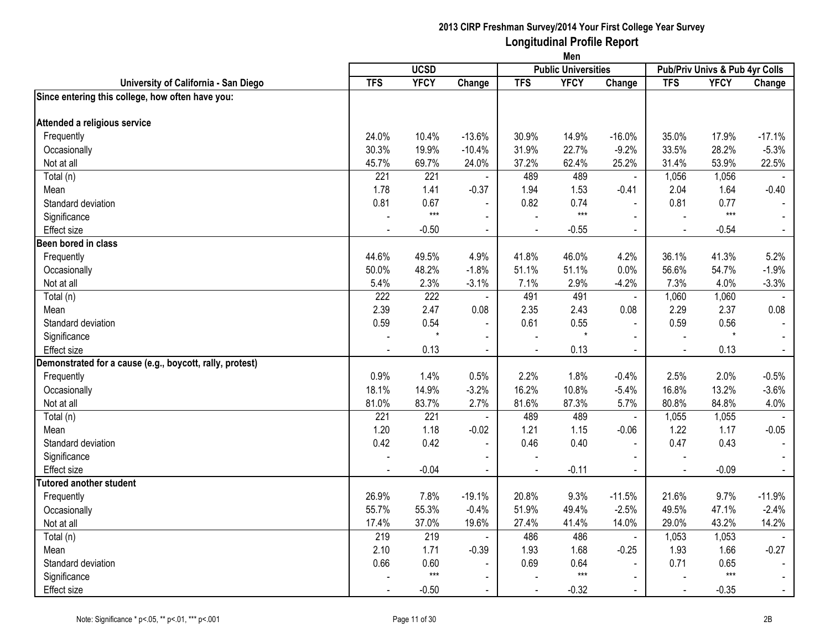|                                                          | Men        |             |                |                          |                            |                |            |                                |                |
|----------------------------------------------------------|------------|-------------|----------------|--------------------------|----------------------------|----------------|------------|--------------------------------|----------------|
|                                                          |            | <b>UCSD</b> |                |                          | <b>Public Universities</b> |                |            | Pub/Priv Univs & Pub 4yr Colls |                |
| University of California - San Diego                     | <b>TFS</b> | <b>YFCY</b> | Change         | <b>TFS</b>               | <b>YFCY</b>                | Change         | <b>TFS</b> | <b>YFCY</b>                    | Change         |
| Since entering this college, how often have you:         |            |             |                |                          |                            |                |            |                                |                |
| Attended a religious service                             |            |             |                |                          |                            |                |            |                                |                |
| Frequently                                               | 24.0%      | 10.4%       | $-13.6%$       | 30.9%                    | 14.9%                      | $-16.0%$       | 35.0%      | 17.9%                          | $-17.1%$       |
| Occasionally                                             | 30.3%      | 19.9%       | $-10.4%$       | 31.9%                    | 22.7%                      | $-9.2%$        | 33.5%      | 28.2%                          | $-5.3%$        |
| Not at all                                               | 45.7%      | 69.7%       | 24.0%          | 37.2%                    | 62.4%                      | 25.2%          | 31.4%      | 53.9%                          | 22.5%          |
| Total (n)                                                | 221        | 221         |                | 489                      | 489                        | $\blacksquare$ | 1,056      | 1,056                          |                |
| Mean                                                     | 1.78       | 1.41        | $-0.37$        | 1.94                     | 1.53                       | $-0.41$        | 2.04       | 1.64                           | $-0.40$        |
| Standard deviation                                       | 0.81       | 0.67        | $\blacksquare$ | 0.82                     | 0.74                       | $\overline{a}$ | 0.81       | 0.77                           |                |
| Significance                                             |            | $***$       | $\blacksquare$ |                          | $***$                      | $\overline{a}$ |            | $***$                          |                |
| Effect size                                              |            | $-0.50$     | $\blacksquare$ | $\blacksquare$           | $-0.55$                    | $\blacksquare$ | $\sim$     | $-0.54$                        | $\blacksquare$ |
| Been bored in class                                      |            |             |                |                          |                            |                |            |                                |                |
| Frequently                                               | 44.6%      | 49.5%       | 4.9%           | 41.8%                    | 46.0%                      | 4.2%           | 36.1%      | 41.3%                          | 5.2%           |
| Occasionally                                             | 50.0%      | 48.2%       | $-1.8%$        | 51.1%                    | 51.1%                      | 0.0%           | 56.6%      | 54.7%                          | $-1.9%$        |
| Not at all                                               | 5.4%       | 2.3%        | $-3.1%$        | 7.1%                     | 2.9%                       | $-4.2%$        | 7.3%       | 4.0%                           | $-3.3%$        |
| Total (n)                                                | 222        | 222         | $\blacksquare$ | 491                      | 491                        | $\blacksquare$ | 1,060      | 1,060                          |                |
| Mean                                                     | 2.39       | 2.47        | 0.08           | 2.35                     | 2.43                       | 0.08           | 2.29       | 2.37                           | 0.08           |
| Standard deviation                                       | 0.59       | 0.54        | $\blacksquare$ | 0.61                     | 0.55                       | $\overline{a}$ | 0.59       | 0.56                           |                |
| Significance                                             |            | $\star$     | $\sim$         |                          |                            | $\sim$         |            | $\star$                        |                |
| Effect size                                              |            | 0.13        |                |                          | 0.13                       | $\blacksquare$ |            | 0.13                           | $\blacksquare$ |
| Demonstrated for a cause (e.g., boycott, rally, protest) |            |             |                |                          |                            |                |            |                                |                |
| Frequently                                               | 0.9%       | 1.4%        | 0.5%           | 2.2%                     | 1.8%                       | $-0.4%$        | 2.5%       | 2.0%                           | $-0.5%$        |
| Occasionally                                             | 18.1%      | 14.9%       | $-3.2%$        | 16.2%                    | 10.8%                      | $-5.4%$        | 16.8%      | 13.2%                          | $-3.6%$        |
| Not at all                                               | 81.0%      | 83.7%       | 2.7%           | 81.6%                    | 87.3%                      | 5.7%           | 80.8%      | 84.8%                          | 4.0%           |
| Total (n)                                                | 221        | 221         | $\sim$         | 489                      | 489                        | $\blacksquare$ | 1,055      | 1,055                          |                |
| Mean                                                     | 1.20       | 1.18        | $-0.02$        | 1.21                     | 1.15                       | $-0.06$        | 1.22       | 1.17                           | $-0.05$        |
| Standard deviation                                       | 0.42       | 0.42        | $\blacksquare$ | 0.46                     | 0.40                       | $\overline{a}$ | 0.47       | 0.43                           | $\blacksquare$ |
| Significance                                             |            |             | $\blacksquare$ |                          |                            | $\blacksquare$ |            |                                | $\sim$         |
| Effect size                                              |            | $-0.04$     | $\blacksquare$ | $\overline{\phantom{a}}$ | $-0.11$                    | $\blacksquare$ | $\sim$     | $-0.09$                        | $\sim$         |
| <b>Tutored another student</b>                           |            |             |                |                          |                            |                |            |                                |                |
| Frequently                                               | 26.9%      | 7.8%        | $-19.1%$       | 20.8%                    | 9.3%                       | $-11.5%$       | 21.6%      | 9.7%                           | $-11.9%$       |
| Occasionally                                             | 55.7%      | 55.3%       | $-0.4%$        | 51.9%                    | 49.4%                      | $-2.5%$        | 49.5%      | 47.1%                          | $-2.4%$        |
| Not at all                                               | 17.4%      | 37.0%       | 19.6%          | 27.4%                    | 41.4%                      | 14.0%          | 29.0%      | 43.2%                          | 14.2%          |
| Total (n)                                                | 219        | 219         | $\blacksquare$ | 486                      | 486                        | $\mathbf{r}$   | 1,053      | 1,053                          |                |
| Mean                                                     | 2.10       | 1.71        | $-0.39$        | 1.93                     | 1.68                       | $-0.25$        | 1.93       | 1.66                           | $-0.27$        |
| Standard deviation                                       | 0.66       | 0.60        | $\blacksquare$ | 0.69                     | 0.64                       | $\blacksquare$ | 0.71       | 0.65                           |                |
| Significance                                             |            | $***$       | $\blacksquare$ |                          | $***$                      | $\blacksquare$ |            | $***$                          | $\blacksquare$ |
| Effect size                                              |            | $-0.50$     | $\blacksquare$ |                          | $-0.32$                    | $\sim$         |            | $-0.35$                        | $\sim$         |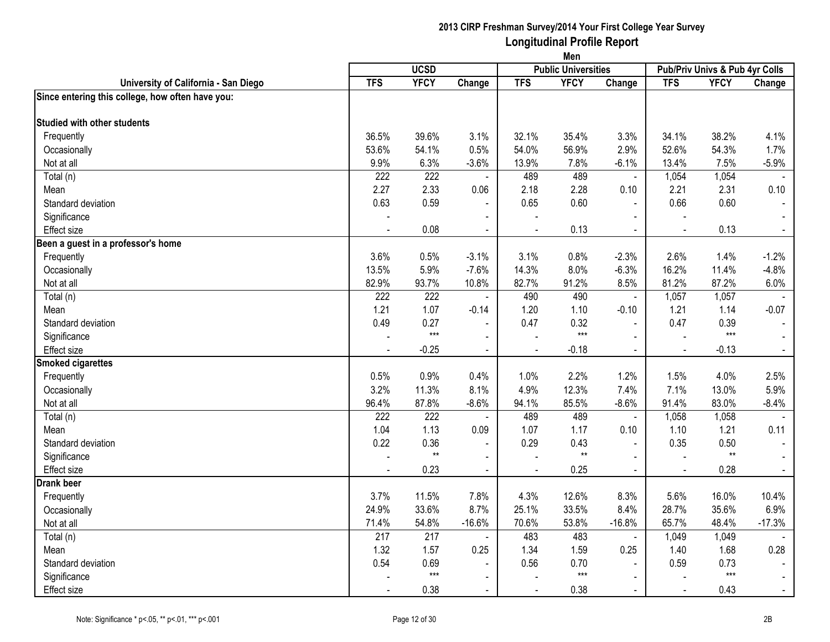|                                                  | Men           |               |                          |              |                            |                        |                |                                |                |
|--------------------------------------------------|---------------|---------------|--------------------------|--------------|----------------------------|------------------------|----------------|--------------------------------|----------------|
|                                                  |               | <b>UCSD</b>   |                          |              | <b>Public Universities</b> |                        |                | Pub/Priv Univs & Pub 4yr Colls |                |
| University of California - San Diego             | <b>TFS</b>    | <b>YFCY</b>   | Change                   | <b>TFS</b>   | <b>YFCY</b>                | Change                 | <b>TFS</b>     | <b>YFCY</b>                    | Change         |
| Since entering this college, how often have you: |               |               |                          |              |                            |                        |                |                                |                |
| Studied with other students                      |               |               |                          |              |                            |                        |                |                                |                |
|                                                  | 36.5%         | 39.6%         | 3.1%                     | 32.1%        | 35.4%                      |                        | 34.1%          | 38.2%                          |                |
| Frequently                                       |               |               | 0.5%                     |              | 56.9%                      | 3.3%<br>2.9%           | 52.6%          |                                | 4.1%<br>1.7%   |
| Occasionally<br>Not at all                       | 53.6%<br>9.9% | 54.1%<br>6.3% |                          | 54.0%        |                            |                        | 13.4%          | 54.3%<br>7.5%                  |                |
|                                                  | 222           | 222           | $-3.6%$                  | 13.9%<br>489 | 7.8%<br>489                | $-6.1%$                | 1,054          |                                | $-5.9%$        |
| Total (n)                                        | 2.27          | 2.33          | $\blacksquare$<br>0.06   | 2.18         | 2.28                       | $\blacksquare$<br>0.10 | 2.21           | 1,054<br>2.31                  | 0.10           |
| Mean                                             |               |               |                          |              |                            |                        |                |                                |                |
| Standard deviation                               | 0.63          | 0.59          |                          | 0.65         | 0.60                       | $\blacksquare$         | 0.66           | 0.60                           |                |
| Significance                                     |               |               | $\overline{\phantom{a}}$ |              |                            | $\blacksquare$         |                |                                |                |
| <b>Effect</b> size                               |               | 0.08          | $\blacksquare$           |              | 0.13                       | $\blacksquare$         | $\blacksquare$ | 0.13                           | $\blacksquare$ |
| Been a guest in a professor's home               |               |               |                          |              |                            |                        |                |                                |                |
| Frequently                                       | 3.6%          | 0.5%          | $-3.1%$                  | 3.1%         | 0.8%                       | $-2.3%$                | 2.6%           | 1.4%                           | $-1.2%$        |
| Occasionally                                     | 13.5%         | 5.9%          | $-7.6%$                  | 14.3%        | 8.0%                       | $-6.3%$                | 16.2%          | 11.4%                          | $-4.8%$        |
| Not at all                                       | 82.9%         | 93.7%         | 10.8%                    | 82.7%        | 91.2%                      | 8.5%                   | 81.2%          | 87.2%                          | 6.0%           |
| Total (n)                                        | 222           | 222           | $\blacksquare$           | 490          | 490                        | $\blacksquare$         | 1,057          | 1,057                          |                |
| Mean                                             | 1.21          | 1.07          | $-0.14$                  | 1.20         | 1.10                       | $-0.10$                | 1.21           | 1.14                           | $-0.07$        |
| Standard deviation                               | 0.49          | 0.27<br>$***$ |                          | 0.47         | 0.32<br>$***$              | $\mathbf{r}$           | 0.47           | 0.39<br>$***$                  |                |
| Significance                                     |               |               | $\sim$                   |              |                            | $\sim$                 | $\overline{a}$ |                                | $\sim$         |
| <b>Effect size</b>                               |               | $-0.25$       | $\blacksquare$           |              | $-0.18$                    | $\blacksquare$         |                | $-0.13$                        | $\blacksquare$ |
| <b>Smoked cigarettes</b>                         |               |               |                          |              |                            |                        |                |                                |                |
| Frequently                                       | 0.5%          | 0.9%          | 0.4%                     | 1.0%         | 2.2%                       | 1.2%                   | 1.5%           | 4.0%                           | 2.5%           |
| Occasionally                                     | 3.2%          | 11.3%         | 8.1%                     | 4.9%         | 12.3%                      | 7.4%                   | 7.1%           | 13.0%                          | 5.9%           |
| Not at all                                       | 96.4%         | 87.8%         | $-8.6%$                  | 94.1%        | 85.5%                      | $-8.6%$                | 91.4%          | 83.0%                          | $-8.4%$        |
| Total (n)                                        | 222           | 222           | $\blacksquare$           | 489          | 489                        | $\blacksquare$         | 1,058          | 1,058                          |                |
| Mean                                             | 1.04          | 1.13          | 0.09                     | 1.07         | 1.17                       | 0.10                   | 1.10           | 1.21                           | 0.11           |
| Standard deviation                               | 0.22          | 0.36          | $\sim$                   | 0.29         | 0.43                       | $\overline{a}$         | 0.35           | 0.50                           |                |
| Significance                                     |               | $**$          | $\blacksquare$           |              | $**$                       | $\mathbf{r}$           |                | $**$                           | $\sim$         |
| <b>Effect size</b>                               |               | 0.23          | $\blacksquare$           |              | 0.25                       | $\blacksquare$         | $\sim$         | 0.28                           | $\blacksquare$ |
| <b>Drank beer</b>                                |               |               |                          |              |                            |                        |                |                                |                |
| Frequently                                       | 3.7%          | 11.5%         | 7.8%                     | 4.3%         | 12.6%                      | 8.3%                   | 5.6%           | 16.0%                          | 10.4%          |
| Occasionally                                     | 24.9%         | 33.6%         | 8.7%                     | 25.1%        | 33.5%                      | 8.4%                   | 28.7%          | 35.6%                          | 6.9%           |
| Not at all                                       | 71.4%         | 54.8%         | $-16.6%$                 | 70.6%        | 53.8%                      | $-16.8%$               | 65.7%          | 48.4%                          | $-17.3%$       |
| Total (n)                                        | 217           | 217           | $\blacksquare$           | 483          | 483                        | $\mathbf{r}$           | 1,049          | 1,049                          |                |
| Mean                                             | 1.32          | 1.57          | 0.25                     | 1.34         | 1.59                       | 0.25                   | 1.40           | 1.68                           | 0.28           |
| Standard deviation                               | 0.54          | 0.69          |                          | 0.56         | 0.70                       |                        | 0.59           | 0.73                           |                |
| Significance                                     |               | $***$         | $\overline{\phantom{0}}$ |              | $***$                      | $\blacksquare$         |                | $***$                          | $\sim$         |
| <b>Effect size</b>                               |               | 0.38          | $\blacksquare$           |              | 0.38                       | $\sim$                 | $\blacksquare$ | 0.43                           | $\blacksquare$ |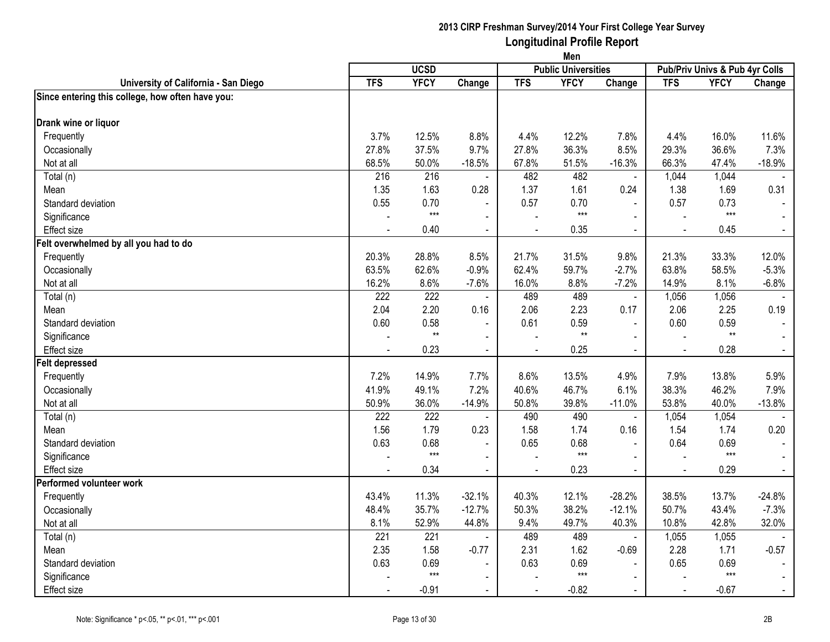|                                                  | Men        |              |                          |            |                            |                          |                |                                |                |
|--------------------------------------------------|------------|--------------|--------------------------|------------|----------------------------|--------------------------|----------------|--------------------------------|----------------|
|                                                  |            | <b>UCSD</b>  |                          |            | <b>Public Universities</b> |                          |                | Pub/Priv Univs & Pub 4yr Colls |                |
| University of California - San Diego             | <b>TFS</b> | <b>YFCY</b>  | Change                   | <b>TFS</b> | <b>YFCY</b>                | Change                   | <b>TFS</b>     | <b>YFCY</b>                    | Change         |
| Since entering this college, how often have you: |            |              |                          |            |                            |                          |                |                                |                |
| Drank wine or liquor                             |            |              |                          |            |                            |                          |                |                                |                |
| Frequently                                       | 3.7%       | 12.5%        | 8.8%                     | 4.4%       | 12.2%                      | 7.8%                     | 4.4%           | 16.0%                          | 11.6%          |
| Occasionally                                     | 27.8%      | 37.5%        | 9.7%                     | 27.8%      | 36.3%                      | 8.5%                     | 29.3%          | 36.6%                          | 7.3%           |
| Not at all                                       | 68.5%      | 50.0%        | $-18.5%$                 | 67.8%      | 51.5%                      | $-16.3%$                 | 66.3%          | 47.4%                          | $-18.9%$       |
| $\overline{\mathrm{Total}}$ (n)                  | 216        | 216          | $\blacksquare$           | 482        | 482                        | $\blacksquare$           | 1,044          | 1,044                          |                |
| Mean                                             | 1.35       | 1.63         | 0.28                     | 1.37       | 1.61                       | 0.24                     | 1.38           | 1.69                           | 0.31           |
| Standard deviation                               | 0.55       | 0.70         |                          | 0.57       | 0.70                       | $\sim$                   | 0.57           | 0.73                           |                |
| Significance                                     |            | $***$        | $\blacksquare$           |            | $***$                      | $\mathbf{r}$             | $\sim$         | $***$                          |                |
| Effect size                                      |            | 0.40         | $\blacksquare$           |            | 0.35                       | $\blacksquare$           | $\blacksquare$ | 0.45                           | $\blacksquare$ |
| Felt overwhelmed by all you had to do            |            |              |                          |            |                            |                          |                |                                |                |
| Frequently                                       | 20.3%      | 28.8%        | 8.5%                     | 21.7%      | 31.5%                      | 9.8%                     | 21.3%          | 33.3%                          | 12.0%          |
| Occasionally                                     | 63.5%      | 62.6%        | $-0.9%$                  | 62.4%      | 59.7%                      | $-2.7%$                  | 63.8%          | 58.5%                          | $-5.3%$        |
| Not at all                                       | 16.2%      | 8.6%         | $-7.6%$                  | 16.0%      | 8.8%                       | $-7.2%$                  | 14.9%          | 8.1%                           | $-6.8%$        |
| Total (n)                                        | 222        | 222          | $\blacksquare$           | 489        | 489                        | $\overline{\phantom{a}}$ | 1,056          | 1,056                          |                |
| Mean                                             | 2.04       | 2.20         | 0.16                     | 2.06       | 2.23                       | 0.17                     | 2.06           | 2.25                           | 0.19           |
| Standard deviation                               | 0.60       | 0.58         | $\blacksquare$           | 0.61       | 0.59                       | $\blacksquare$           | 0.60           | 0.59                           |                |
| Significance                                     |            | $\star\star$ | $\blacksquare$           |            | $^{\star\star}$            |                          |                | $^{\star\star}$                |                |
| Effect size                                      |            | 0.23         | $\blacksquare$           |            | 0.25                       | $\blacksquare$           |                | 0.28                           |                |
| <b>Felt depressed</b>                            |            |              |                          |            |                            |                          |                |                                |                |
| Frequently                                       | 7.2%       | 14.9%        | 7.7%                     | 8.6%       | 13.5%                      | 4.9%                     | 7.9%           | 13.8%                          | 5.9%           |
| Occasionally                                     | 41.9%      | 49.1%        | 7.2%                     | 40.6%      | 46.7%                      | 6.1%                     | 38.3%          | 46.2%                          | 7.9%           |
| Not at all                                       | 50.9%      | 36.0%        | $-14.9%$                 | 50.8%      | 39.8%                      | $-11.0%$                 | 53.8%          | 40.0%                          | $-13.8%$       |
| Total (n)                                        | 222        | 222          | $\blacksquare$           | 490        | 490                        | $\blacksquare$           | 1,054          | 1,054                          |                |
| Mean                                             | 1.56       | 1.79         | 0.23                     | 1.58       | 1.74                       | 0.16                     | 1.54           | 1.74                           | 0.20           |
| Standard deviation                               | 0.63       | 0.68         | $\sim$                   | 0.65       | 0.68                       |                          | 0.64           | 0.69                           |                |
| Significance                                     |            | $***$        | $\blacksquare$           |            | $***$                      | $\mathbf{r}$             |                | $***$                          |                |
| Effect size                                      |            | 0.34         | $\blacksquare$           |            | 0.23                       | $\blacksquare$           | $\sim$         | 0.29                           | $\blacksquare$ |
| Performed volunteer work                         |            |              |                          |            |                            |                          |                |                                |                |
| Frequently                                       | 43.4%      | 11.3%        | $-32.1%$                 | 40.3%      | 12.1%                      | $-28.2%$                 | 38.5%          | 13.7%                          | $-24.8%$       |
| Occasionally                                     | 48.4%      | 35.7%        | $-12.7%$                 | 50.3%      | 38.2%                      | $-12.1%$                 | 50.7%          | 43.4%                          | $-7.3%$        |
| Not at all                                       | 8.1%       | 52.9%        | 44.8%                    | 9.4%       | 49.7%                      | 40.3%                    | 10.8%          | 42.8%                          | 32.0%          |
| Total (n)                                        | 221        | 221          | $\sim$                   | 489        | 489                        | $\mathbf{r}$             | 1,055          | 1,055                          |                |
| Mean                                             | 2.35       | 1.58         | $-0.77$                  | 2.31       | 1.62                       | $-0.69$                  | 2.28           | 1.71                           | $-0.57$        |
| Standard deviation                               | 0.63       | 0.69         | $\blacksquare$           | 0.63       | 0.69                       |                          | 0.65           | 0.69                           |                |
| Significance                                     |            | $***$        | $\overline{\phantom{0}}$ |            | $***$                      | $\blacksquare$           |                | $***$                          |                |
| Effect size                                      |            | $-0.91$      | $\blacksquare$           |            | $-0.82$                    | $\blacksquare$           | $\sim$         | $-0.67$                        |                |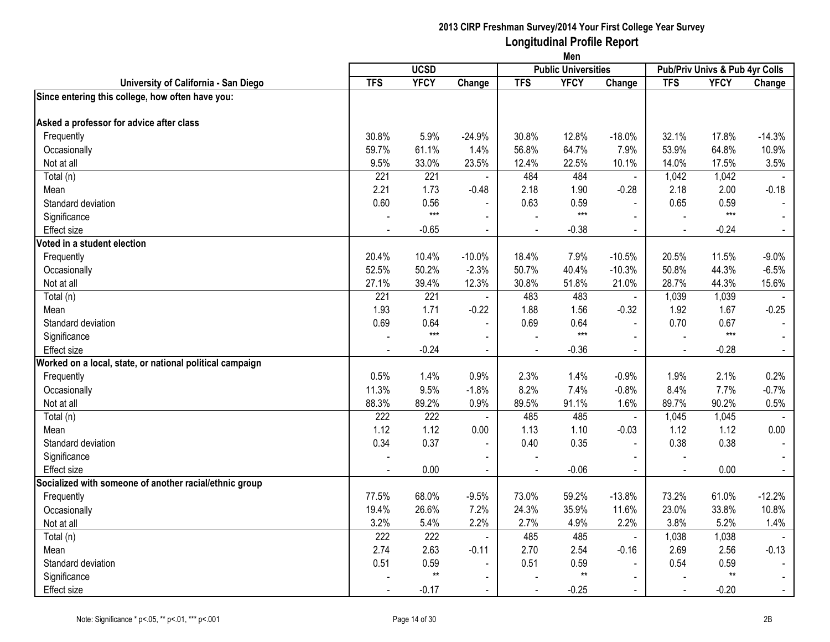|                                                          | Men        |             |                          |            |                            |                |                |                                |                |
|----------------------------------------------------------|------------|-------------|--------------------------|------------|----------------------------|----------------|----------------|--------------------------------|----------------|
|                                                          |            | <b>UCSD</b> |                          |            | <b>Public Universities</b> |                |                | Pub/Priv Univs & Pub 4yr Colls |                |
| University of California - San Diego                     | <b>TFS</b> | <b>YFCY</b> | Change                   | <b>TFS</b> | <b>YFCY</b>                | Change         | <b>TFS</b>     | <b>YFCY</b>                    | Change         |
| Since entering this college, how often have you:         |            |             |                          |            |                            |                |                |                                |                |
| Asked a professor for advice after class                 |            |             |                          |            |                            |                |                |                                |                |
| Frequently                                               | 30.8%      | 5.9%        | $-24.9%$                 | 30.8%      | 12.8%                      | $-18.0%$       | 32.1%          | 17.8%                          | $-14.3%$       |
| Occasionally                                             | 59.7%      | 61.1%       | 1.4%                     | 56.8%      | 64.7%                      | 7.9%           | 53.9%          | 64.8%                          | 10.9%          |
| Not at all                                               | 9.5%       | 33.0%       | 23.5%                    | 12.4%      | 22.5%                      | 10.1%          | 14.0%          | 17.5%                          | 3.5%           |
| Total (n)                                                | 221        | 221         |                          | 484        | 484                        | ä,             | 1,042          | 1,042                          |                |
| Mean                                                     | 2.21       | 1.73        | $-0.48$                  | 2.18       | 1.90                       | $-0.28$        | 2.18           | 2.00                           | $-0.18$        |
| Standard deviation                                       | 0.60       | 0.56        |                          | 0.63       | 0.59                       | $\mathbf{r}$   | 0.65           | 0.59                           |                |
| Significance                                             |            | $***$       | $\blacksquare$           |            | $***$                      | $\mathbf{r}$   |                | $***$                          |                |
| <b>Effect size</b>                                       |            | $-0.65$     | $\blacksquare$           |            | $-0.38$                    | $\blacksquare$ | $\blacksquare$ | $-0.24$                        | $\blacksquare$ |
| Voted in a student election                              |            |             |                          |            |                            |                |                |                                |                |
| Frequently                                               | 20.4%      | 10.4%       | $-10.0%$                 | 18.4%      | 7.9%                       | $-10.5%$       | 20.5%          | 11.5%                          | $-9.0%$        |
| Occasionally                                             | 52.5%      | 50.2%       | $-2.3%$                  | 50.7%      | 40.4%                      | $-10.3%$       | 50.8%          | 44.3%                          | $-6.5%$        |
| Not at all                                               | 27.1%      | 39.4%       | 12.3%                    | 30.8%      | 51.8%                      | 21.0%          | 28.7%          | 44.3%                          | 15.6%          |
| Total (n)                                                | 221        | 221         | $\blacksquare$           | 483        | 483                        | $\omega$       | 1,039          | 1,039                          |                |
| Mean                                                     | 1.93       | 1.71        | $-0.22$                  | 1.88       | 1.56                       | $-0.32$        | 1.92           | 1.67                           | $-0.25$        |
| Standard deviation                                       | 0.69       | 0.64        |                          | 0.69       | 0.64                       | $\blacksquare$ | 0.70           | 0.67                           |                |
| Significance                                             |            | $***$       | ٠                        |            | $***$                      | $\sim$         | $\overline{a}$ | $***$                          |                |
| <b>Effect size</b>                                       |            | $-0.24$     | $\blacksquare$           |            | $-0.36$                    | $\blacksquare$ |                | $-0.28$                        | $\blacksquare$ |
| Worked on a local, state, or national political campaign |            |             |                          |            |                            |                |                |                                |                |
| Frequently                                               | 0.5%       | 1.4%        | 0.9%                     | 2.3%       | 1.4%                       | $-0.9%$        | 1.9%           | 2.1%                           | 0.2%           |
| Occasionally                                             | 11.3%      | 9.5%        | $-1.8%$                  | 8.2%       | 7.4%                       | $-0.8%$        | 8.4%           | 7.7%                           | $-0.7%$        |
| Not at all                                               | 88.3%      | 89.2%       | 0.9%                     | 89.5%      | 91.1%                      | 1.6%           | 89.7%          | 90.2%                          | 0.5%           |
| Total (n)                                                | 222        | 222         | $\blacksquare$           | 485        | 485                        | $\blacksquare$ | 1,045          | 1,045                          |                |
| Mean                                                     | 1.12       | 1.12        | 0.00                     | 1.13       | 1.10                       | $-0.03$        | 1.12           | 1.12                           | 0.00           |
| Standard deviation                                       | 0.34       | 0.37        | $\blacksquare$           | 0.40       | 0.35                       | $\blacksquare$ | 0.38           | 0.38                           |                |
| Significance                                             |            |             | $\blacksquare$           |            |                            | $\blacksquare$ |                |                                |                |
| <b>Effect size</b>                                       |            | 0.00        | $\blacksquare$           |            | $-0.06$                    | $\blacksquare$ | $\sim$         | 0.00                           | $\blacksquare$ |
| Socialized with someone of another racial/ethnic group   |            |             |                          |            |                            |                |                |                                |                |
| Frequently                                               | 77.5%      | 68.0%       | $-9.5%$                  | 73.0%      | 59.2%                      | $-13.8%$       | 73.2%          | 61.0%                          | $-12.2%$       |
| Occasionally                                             | 19.4%      | 26.6%       | 7.2%                     | 24.3%      | 35.9%                      | 11.6%          | 23.0%          | 33.8%                          | 10.8%          |
| Not at all                                               | 3.2%       | 5.4%        | 2.2%                     | 2.7%       | 4.9%                       | 2.2%           | 3.8%           | 5.2%                           | 1.4%           |
| Total (n)                                                | 222        | 222         | $\sim$                   | 485        | 485                        | L.             | 1,038          | 1,038                          |                |
| Mean                                                     | 2.74       | 2.63        | $-0.11$                  | 2.70       | 2.54                       | $-0.16$        | 2.69           | 2.56                           | $-0.13$        |
| Standard deviation                                       | 0.51       | 0.59        |                          | 0.51       | 0.59                       | $\blacksquare$ | 0.54           | 0.59                           |                |
| Significance                                             |            | $**$        | $\overline{\phantom{0}}$ |            | $**$                       | $\blacksquare$ |                | $**$                           | $\sim$         |
| <b>Effect size</b>                                       |            | $-0.17$     | $\blacksquare$           |            | $-0.25$                    | $\blacksquare$ |                | $-0.20$                        | $\sim$         |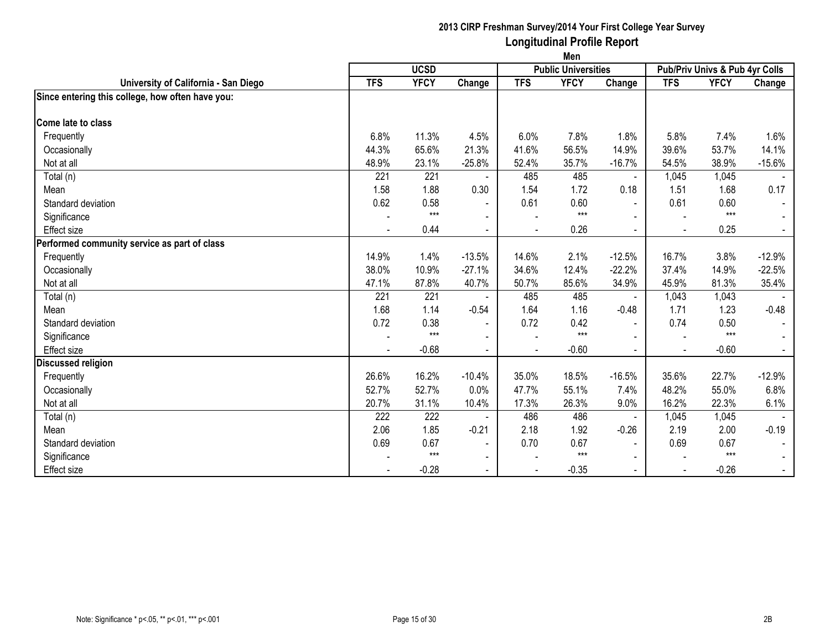|                                                  | Men            |             |                          |            |                            |                |            |                                |                |
|--------------------------------------------------|----------------|-------------|--------------------------|------------|----------------------------|----------------|------------|--------------------------------|----------------|
|                                                  |                | <b>UCSD</b> |                          |            | <b>Public Universities</b> |                |            | Pub/Priv Univs & Pub 4yr Colls |                |
| University of California - San Diego             | <b>TFS</b>     | <b>YFCY</b> | Change                   | <b>TFS</b> | <b>YFCY</b>                | Change         | <b>TFS</b> | <b>YFCY</b>                    | Change         |
| Since entering this college, how often have you: |                |             |                          |            |                            |                |            |                                |                |
| <b>Come late to class</b>                        |                |             |                          |            |                            |                |            |                                |                |
| Frequently                                       | 6.8%           | 11.3%       | 4.5%                     | 6.0%       | 7.8%                       | 1.8%           | 5.8%       | 7.4%                           | 1.6%           |
| Occasionally                                     | 44.3%          | 65.6%       | 21.3%                    | 41.6%      | 56.5%                      | 14.9%          | 39.6%      | 53.7%                          | 14.1%          |
| Not at all                                       | 48.9%          | 23.1%       | $-25.8%$                 | 52.4%      | 35.7%                      | $-16.7%$       | 54.5%      | 38.9%                          | $-15.6%$       |
| Total (n)                                        | 221            | 221         |                          | 485        | 485                        | $\blacksquare$ | 1,045      | 1,045                          |                |
| Mean                                             | 1.58           | 1.88        | 0.30                     | 1.54       | 1.72                       | 0.18           | 1.51       | 1.68                           | 0.17           |
| Standard deviation                               | 0.62           | 0.58        | $\sim$                   | 0.61       | 0.60                       | $\blacksquare$ | 0.61       | 0.60                           | $\sim$         |
| Significance                                     |                | $***$       |                          |            | $***$                      |                |            | $***$                          |                |
| <b>Effect size</b>                               |                | 0.44        | $\blacksquare$           |            | 0.26                       |                |            | 0.25                           | $\blacksquare$ |
| Performed community service as part of class     |                |             |                          |            |                            |                |            |                                |                |
| Frequently                                       | 14.9%          | 1.4%        | $-13.5%$                 | 14.6%      | 2.1%                       | $-12.5%$       | 16.7%      | 3.8%                           | $-12.9%$       |
| Occasionally                                     | 38.0%          | 10.9%       | $-27.1%$                 | 34.6%      | 12.4%                      | $-22.2%$       | 37.4%      | 14.9%                          | $-22.5%$       |
| Not at all                                       | 47.1%          | 87.8%       | 40.7%                    | 50.7%      | 85.6%                      | 34.9%          | 45.9%      | 81.3%                          | 35.4%          |
| Total (n)                                        | 221            | 221         |                          | 485        | 485                        |                | 1,043      | 1,043                          |                |
| Mean                                             | 1.68           | 1.14        | $-0.54$                  | 1.64       | 1.16                       | $-0.48$        | 1.71       | 1.23                           | $-0.48$        |
| Standard deviation                               | 0.72           | 0.38        | $\blacksquare$           | 0.72       | 0.42                       | $\blacksquare$ | 0.74       | 0.50                           |                |
| Significance                                     |                | $***$       | $\sim$                   |            | $***$                      |                |            | $***$                          |                |
| Effect size                                      | $\blacksquare$ | $-0.68$     | $\blacksquare$           | ÷,         | $-0.60$                    | $\blacksquare$ |            | $-0.60$                        | $\sim$         |
| <b>Discussed religion</b>                        |                |             |                          |            |                            |                |            |                                |                |
| Frequently                                       | 26.6%          | 16.2%       | $-10.4%$                 | 35.0%      | 18.5%                      | $-16.5%$       | 35.6%      | 22.7%                          | $-12.9%$       |
| Occasionally                                     | 52.7%          | 52.7%       | 0.0%                     | 47.7%      | 55.1%                      | 7.4%           | 48.2%      | 55.0%                          | 6.8%           |
| Not at all                                       | 20.7%          | 31.1%       | 10.4%                    | 17.3%      | 26.3%                      | 9.0%           | 16.2%      | 22.3%                          | 6.1%           |
| Total (n)                                        | 222            | 222         |                          | 486        | 486                        | $\blacksquare$ | 1,045      | 1,045                          |                |
| Mean                                             | 2.06           | 1.85        | $-0.21$                  | 2.18       | 1.92                       | $-0.26$        | 2.19       | 2.00                           | $-0.19$        |
| Standard deviation                               | 0.69           | 0.67        | $\overline{\phantom{a}}$ | 0.70       | 0.67                       | $\blacksquare$ | 0.69       | 0.67                           |                |
| Significance                                     |                | $***$       | $\overline{\phantom{a}}$ |            | $***$                      |                |            | $***$                          |                |
| <b>Effect size</b>                               |                | $-0.28$     | $\sim$                   |            | $-0.35$                    | $\blacksquare$ |            | $-0.26$                        | $\sim$         |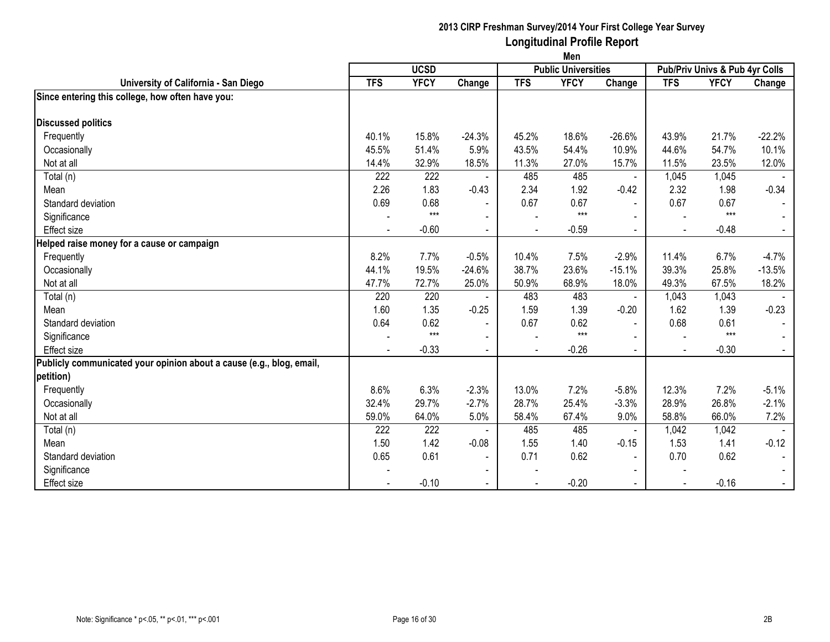|                                                                      | Men        |             |                          |                |                            |                |                |                                |                |
|----------------------------------------------------------------------|------------|-------------|--------------------------|----------------|----------------------------|----------------|----------------|--------------------------------|----------------|
|                                                                      |            | <b>UCSD</b> |                          |                | <b>Public Universities</b> |                |                | Pub/Priv Univs & Pub 4yr Colls |                |
| University of California - San Diego                                 | <b>TFS</b> | <b>YFCY</b> | Change                   | <b>TFS</b>     | <b>YFCY</b>                | Change         | <b>TFS</b>     | <b>YFCY</b>                    | Change         |
| Since entering this college, how often have you:                     |            |             |                          |                |                            |                |                |                                |                |
| <b>Discussed politics</b>                                            |            |             |                          |                |                            |                |                |                                |                |
| Frequently                                                           | 40.1%      | 15.8%       | $-24.3%$                 | 45.2%          | 18.6%                      | $-26.6%$       | 43.9%          | 21.7%                          | $-22.2%$       |
| Occasionally                                                         | 45.5%      | 51.4%       | 5.9%                     | 43.5%          | 54.4%                      | 10.9%          | 44.6%          | 54.7%                          | 10.1%          |
| Not at all                                                           | 14.4%      | 32.9%       | 18.5%                    | 11.3%          | 27.0%                      | 15.7%          | 11.5%          | 23.5%                          | 12.0%          |
| Total (n)                                                            | 222        | 222         |                          | 485            | 485                        | $\blacksquare$ | 1,045          | 1,045                          |                |
| Mean                                                                 | 2.26       | 1.83        | $-0.43$                  | 2.34           | 1.92                       | $-0.42$        | 2.32           | 1.98                           | $-0.34$        |
| Standard deviation                                                   | 0.69       | 0.68        | $\blacksquare$           | 0.67           | 0.67                       | $\sim$         | 0.67           | 0.67                           |                |
| Significance                                                         |            | $***$       | $\overline{\phantom{a}}$ |                | $***$                      | $\sim$         |                | $***$                          |                |
| <b>Effect size</b>                                                   |            | $-0.60$     | $\overline{\phantom{a}}$ | $\blacksquare$ | $-0.59$                    | $\sim$         | $\blacksquare$ | $-0.48$                        | $\blacksquare$ |
| Helped raise money for a cause or campaign                           |            |             |                          |                |                            |                |                |                                |                |
| Frequently                                                           | 8.2%       | 7.7%        | $-0.5%$                  | 10.4%          | 7.5%                       | $-2.9%$        | 11.4%          | 6.7%                           | $-4.7%$        |
| Occasionally                                                         | 44.1%      | 19.5%       | $-24.6%$                 | 38.7%          | 23.6%                      | $-15.1%$       | 39.3%          | 25.8%                          | $-13.5%$       |
| Not at all                                                           | 47.7%      | 72.7%       | 25.0%                    | 50.9%          | 68.9%                      | 18.0%          | 49.3%          | 67.5%                          | 18.2%          |
| Total (n)                                                            | 220        | 220         |                          | 483            | 483                        | $\blacksquare$ | 1,043          | 1,043                          |                |
| Mean                                                                 | 1.60       | 1.35        | $-0.25$                  | 1.59           | 1.39                       | $-0.20$        | 1.62           | 1.39                           | $-0.23$        |
| Standard deviation                                                   | 0.64       | 0.62        | $\blacksquare$           | 0.67           | 0.62                       | $\blacksquare$ | 0.68           | 0.61                           |                |
| Significance                                                         |            | $***$       | $\overline{\phantom{a}}$ |                | $***$                      | $\blacksquare$ |                | $***$                          |                |
| <b>Effect size</b>                                                   |            | $-0.33$     | $\blacksquare$           |                | $-0.26$                    | $\sim$         |                | $-0.30$                        |                |
| Publicly communicated your opinion about a cause (e.g., blog, email, |            |             |                          |                |                            |                |                |                                |                |
| petition)                                                            |            |             |                          |                |                            |                |                |                                |                |
| Frequently                                                           | 8.6%       | 6.3%        | $-2.3%$                  | 13.0%          | 7.2%                       | $-5.8%$        | 12.3%          | 7.2%                           | $-5.1%$        |
| Occasionally                                                         | 32.4%      | 29.7%       | $-2.7%$                  | 28.7%          | 25.4%                      | $-3.3%$        | 28.9%          | 26.8%                          | $-2.1%$        |
| Not at all                                                           | 59.0%      | 64.0%       | 5.0%                     | 58.4%          | 67.4%                      | 9.0%           | 58.8%          | 66.0%                          | 7.2%           |
| Total (n)                                                            | 222        | 222         |                          | 485            | 485                        | $\blacksquare$ | 1,042          | 1,042                          |                |
| Mean                                                                 | 1.50       | 1.42        | $-0.08$                  | 1.55           | 1.40                       | $-0.15$        | 1.53           | 1.41                           | $-0.12$        |
| Standard deviation                                                   | 0.65       | 0.61        | $\overline{\phantom{a}}$ | 0.71           | 0.62                       | $\blacksquare$ | 0.70           | 0.62                           |                |
| Significance                                                         |            |             | $\blacksquare$           |                |                            | $\blacksquare$ |                |                                |                |
| <b>Effect size</b>                                                   |            | $-0.10$     | $\blacksquare$           |                | $-0.20$                    | $\blacksquare$ |                | $-0.16$                        | $\blacksquare$ |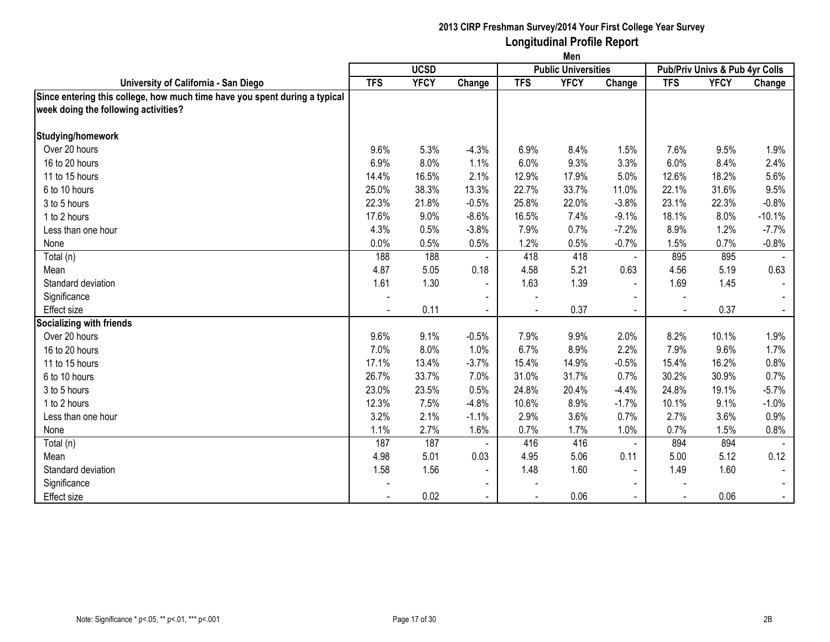|                                                                            | Men        |             |                          |            |                            |                          |            |                                |          |
|----------------------------------------------------------------------------|------------|-------------|--------------------------|------------|----------------------------|--------------------------|------------|--------------------------------|----------|
|                                                                            |            | <b>UCSD</b> |                          |            | <b>Public Universities</b> |                          |            | Pub/Priv Univs & Pub 4yr Colls |          |
| University of California - San Diego                                       | <b>TFS</b> | <b>YFCY</b> | Change                   | <b>TFS</b> | <b>YFCY</b>                | Change                   | <b>TFS</b> | <b>YFCY</b>                    | Change   |
| Since entering this college, how much time have you spent during a typical |            |             |                          |            |                            |                          |            |                                |          |
| week doing the following activities?                                       |            |             |                          |            |                            |                          |            |                                |          |
|                                                                            |            |             |                          |            |                            |                          |            |                                |          |
| Studying/homework                                                          |            |             |                          |            |                            |                          |            |                                |          |
| Over 20 hours                                                              | 9.6%       | 5.3%        | $-4.3%$                  | 6.9%       | 8.4%                       | 1.5%                     | 7.6%       | 9.5%                           | 1.9%     |
| 16 to 20 hours                                                             | 6.9%       | 8.0%        | 1.1%                     | 6.0%       | 9.3%                       | 3.3%                     | 6.0%       | 8.4%                           | 2.4%     |
| 11 to 15 hours                                                             | 14.4%      | 16.5%       | 2.1%                     | 12.9%      | 17.9%                      | 5.0%                     | 12.6%      | 18.2%                          | 5.6%     |
| 6 to 10 hours                                                              | 25.0%      | 38.3%       | 13.3%                    | 22.7%      | 33.7%                      | 11.0%                    | 22.1%      | 31.6%                          | 9.5%     |
| 3 to 5 hours                                                               | 22.3%      | 21.8%       | $-0.5%$                  | 25.8%      | 22.0%                      | $-3.8%$                  | 23.1%      | 22.3%                          | $-0.8%$  |
| 1 to 2 hours                                                               | 17.6%      | 9.0%        | $-8.6%$                  | 16.5%      | 7.4%                       | $-9.1%$                  | 18.1%      | 8.0%                           | $-10.1%$ |
| Less than one hour                                                         | 4.3%       | 0.5%        | $-3.8%$                  | 7.9%       | 0.7%                       | $-7.2%$                  | 8.9%       | 1.2%                           | $-7.7%$  |
| None                                                                       | 0.0%       | 0.5%        | 0.5%                     | 1.2%       | 0.5%                       | $-0.7%$                  | 1.5%       | 0.7%                           | $-0.8%$  |
| Total (n)                                                                  | 188        | 188         |                          | 418        | 418                        | $\blacksquare$           | 895        | 895                            |          |
| Mean                                                                       | 4.87       | 5.05        | 0.18                     | 4.58       | 5.21                       | 0.63                     | 4.56       | 5.19                           | 0.63     |
| Standard deviation                                                         | 1.61       | 1.30        | $\blacksquare$           | 1.63       | 1.39                       | $\overline{\phantom{a}}$ | 1.69       | 1.45                           |          |
| Significance                                                               |            |             | $\overline{\phantom{a}}$ |            |                            | $\blacksquare$           |            |                                |          |
| <b>Effect size</b>                                                         |            | 0.11        |                          |            | 0.37                       |                          |            | 0.37                           |          |
| Socializing with friends                                                   |            |             |                          |            |                            |                          |            |                                |          |
| Over 20 hours                                                              | 9.6%       | 9.1%        | $-0.5%$                  | 7.9%       | 9.9%                       | 2.0%                     | 8.2%       | 10.1%                          | 1.9%     |
| 16 to 20 hours                                                             | 7.0%       | 8.0%        | 1.0%                     | 6.7%       | 8.9%                       | 2.2%                     | 7.9%       | 9.6%                           | 1.7%     |
| 11 to 15 hours                                                             | 17.1%      | 13.4%       | $-3.7%$                  | 15.4%      | 14.9%                      | $-0.5%$                  | 15.4%      | 16.2%                          | 0.8%     |
| 6 to 10 hours                                                              | 26.7%      | 33.7%       | 7.0%                     | 31.0%      | 31.7%                      | 0.7%                     | 30.2%      | 30.9%                          | 0.7%     |
| 3 to 5 hours                                                               | 23.0%      | 23.5%       | 0.5%                     | 24.8%      | 20.4%                      | $-4.4%$                  | 24.8%      | 19.1%                          | $-5.7%$  |
| 1 to 2 hours                                                               | 12.3%      | 7.5%        | $-4.8%$                  | 10.6%      | 8.9%                       | $-1.7%$                  | 10.1%      | 9.1%                           | $-1.0%$  |
| Less than one hour                                                         | 3.2%       | 2.1%        | $-1.1%$                  | 2.9%       | 3.6%                       | 0.7%                     | 2.7%       | 3.6%                           | 0.9%     |
| None                                                                       | 1.1%       | 2.7%        | 1.6%                     | 0.7%       | 1.7%                       | 1.0%                     | 0.7%       | 1.5%                           | 0.8%     |
| Total (n)                                                                  | 187        | 187         |                          | 416        | 416                        | $\blacksquare$           | 894        | 894                            |          |
| Mean                                                                       | 4.98       | 5.01        | 0.03                     | 4.95       | 5.06                       | 0.11                     | 5.00       | 5.12                           | 0.12     |
| Standard deviation                                                         | 1.58       | 1.56        | $\sim$                   | 1.48       | 1.60                       | $\blacksquare$           | 1.49       | 1.60                           |          |
| Significance                                                               |            |             | $\blacksquare$           |            |                            | $\blacksquare$           |            |                                |          |
| <b>Effect size</b>                                                         |            | 0.02        | $\sim$                   |            | 0.06                       | $\sim$                   |            | 0.06                           | $\sim$   |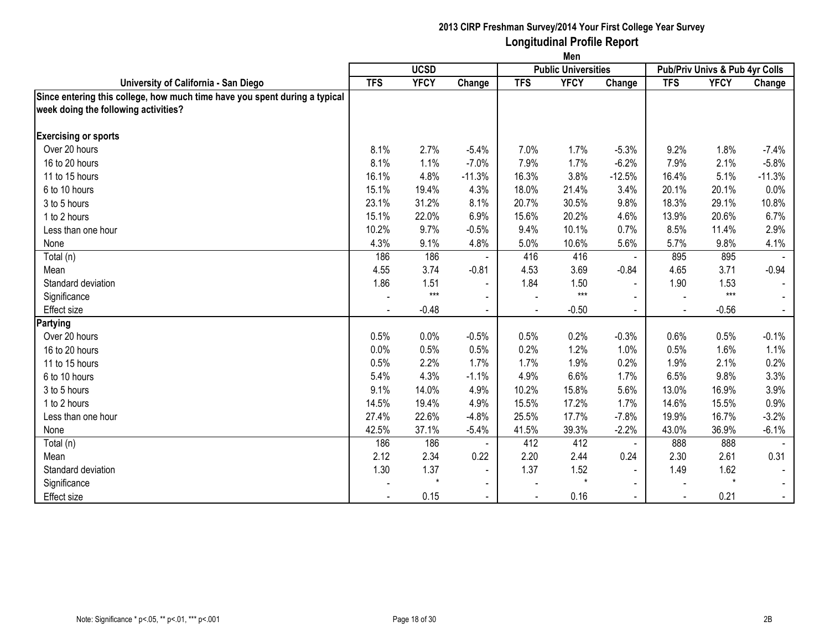|                                                                            | Men        |             |                |            |                            |                |                                |             |          |  |
|----------------------------------------------------------------------------|------------|-------------|----------------|------------|----------------------------|----------------|--------------------------------|-------------|----------|--|
|                                                                            |            | <b>UCSD</b> |                |            | <b>Public Universities</b> |                | Pub/Priv Univs & Pub 4yr Colls |             |          |  |
| University of California - San Diego                                       | <b>TFS</b> | <b>YFCY</b> | Change         | <b>TFS</b> | <b>YFCY</b>                | Change         | <b>TFS</b>                     | <b>YFCY</b> | Change   |  |
| Since entering this college, how much time have you spent during a typical |            |             |                |            |                            |                |                                |             |          |  |
| week doing the following activities?                                       |            |             |                |            |                            |                |                                |             |          |  |
|                                                                            |            |             |                |            |                            |                |                                |             |          |  |
| <b>Exercising or sports</b>                                                |            |             |                |            |                            |                |                                |             |          |  |
| Over 20 hours                                                              | 8.1%       | 2.7%        | $-5.4%$        | 7.0%       | 1.7%                       | $-5.3%$        | 9.2%                           | 1.8%        | $-7.4%$  |  |
| 16 to 20 hours                                                             | 8.1%       | 1.1%        | $-7.0%$        | 7.9%       | 1.7%                       | $-6.2%$        | 7.9%                           | 2.1%        | $-5.8%$  |  |
| 11 to 15 hours                                                             | 16.1%      | 4.8%        | $-11.3%$       | 16.3%      | 3.8%                       | $-12.5%$       | 16.4%                          | 5.1%        | $-11.3%$ |  |
| 6 to 10 hours                                                              | 15.1%      | 19.4%       | 4.3%           | 18.0%      | 21.4%                      | 3.4%           | 20.1%                          | 20.1%       | 0.0%     |  |
| 3 to 5 hours                                                               | 23.1%      | 31.2%       | 8.1%           | 20.7%      | 30.5%                      | 9.8%           | 18.3%                          | 29.1%       | 10.8%    |  |
| 1 to 2 hours                                                               | 15.1%      | 22.0%       | 6.9%           | 15.6%      | 20.2%                      | 4.6%           | 13.9%                          | 20.6%       | 6.7%     |  |
| Less than one hour                                                         | 10.2%      | 9.7%        | $-0.5%$        | 9.4%       | 10.1%                      | 0.7%           | 8.5%                           | 11.4%       | 2.9%     |  |
| None                                                                       | 4.3%       | 9.1%        | 4.8%           | 5.0%       | 10.6%                      | 5.6%           | 5.7%                           | 9.8%        | 4.1%     |  |
| Total (n)                                                                  | 186        | 186         |                | 416        | 416                        |                | 895                            | 895         |          |  |
| Mean                                                                       | 4.55       | 3.74        | $-0.81$        | 4.53       | 3.69                       | $-0.84$        | 4.65                           | 3.71        | $-0.94$  |  |
| Standard deviation                                                         | 1.86       | 1.51        | $\blacksquare$ | 1.84       | 1.50                       | $\blacksquare$ | 1.90                           | 1.53        |          |  |
| Significance                                                               |            | $***$       | $\blacksquare$ |            | $***$                      |                |                                | $***$       |          |  |
| Effect size                                                                |            | $-0.48$     | $\sim$         |            | $-0.50$                    |                |                                | $-0.56$     |          |  |
| Partying                                                                   |            |             |                |            |                            |                |                                |             |          |  |
| Over 20 hours                                                              | 0.5%       | 0.0%        | $-0.5%$        | 0.5%       | 0.2%                       | $-0.3%$        | 0.6%                           | 0.5%        | $-0.1%$  |  |
| 16 to 20 hours                                                             | 0.0%       | 0.5%        | 0.5%           | 0.2%       | 1.2%                       | 1.0%           | 0.5%                           | 1.6%        | 1.1%     |  |
| 11 to 15 hours                                                             | 0.5%       | 2.2%        | 1.7%           | 1.7%       | 1.9%                       | 0.2%           | 1.9%                           | 2.1%        | 0.2%     |  |
| 6 to 10 hours                                                              | 5.4%       | 4.3%        | $-1.1%$        | 4.9%       | 6.6%                       | 1.7%           | 6.5%                           | 9.8%        | 3.3%     |  |
| 3 to 5 hours                                                               | 9.1%       | 14.0%       | 4.9%           | 10.2%      | 15.8%                      | 5.6%           | 13.0%                          | 16.9%       | 3.9%     |  |
| 1 to 2 hours                                                               | 14.5%      | 19.4%       | 4.9%           | 15.5%      | 17.2%                      | 1.7%           | 14.6%                          | 15.5%       | 0.9%     |  |
| Less than one hour                                                         | 27.4%      | 22.6%       | $-4.8%$        | 25.5%      | 17.7%                      | $-7.8%$        | 19.9%                          | 16.7%       | $-3.2%$  |  |
| None                                                                       | 42.5%      | 37.1%       | $-5.4%$        | 41.5%      | 39.3%                      | $-2.2%$        | 43.0%                          | 36.9%       | $-6.1%$  |  |
| Total (n)                                                                  | 186        | 186         |                | 412        | 412                        | $\blacksquare$ | 888                            | 888         |          |  |
| Mean                                                                       | 2.12       | 2.34        | 0.22           | 2.20       | 2.44                       | 0.24           | 2.30                           | 2.61        | 0.31     |  |
| Standard deviation                                                         | 1.30       | 1.37        | $\blacksquare$ | 1.37       | 1.52                       | $\blacksquare$ | 1.49                           | 1.62        |          |  |
| Significance                                                               |            | $\star$     | $\sim$         |            | $\star$                    | $\blacksquare$ |                                | $\star$     |          |  |
| <b>Effect size</b>                                                         |            | 0.15        |                |            | 0.16                       |                |                                | 0.21        |          |  |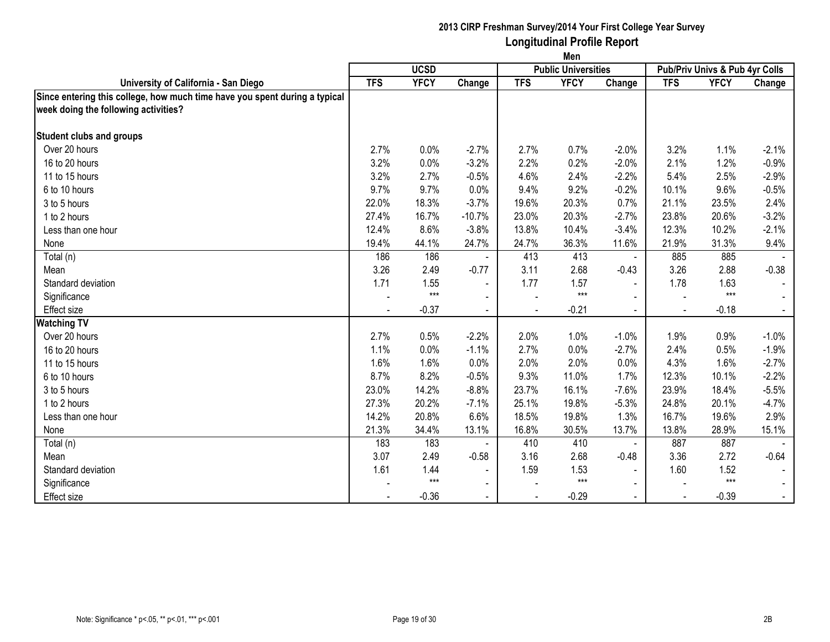|                                                                            | Men        |             |                |            |                            |                |                                |             |         |  |
|----------------------------------------------------------------------------|------------|-------------|----------------|------------|----------------------------|----------------|--------------------------------|-------------|---------|--|
|                                                                            |            | <b>UCSD</b> |                |            | <b>Public Universities</b> |                | Pub/Priv Univs & Pub 4yr Colls |             |         |  |
| University of California - San Diego                                       | <b>TFS</b> | <b>YFCY</b> | Change         | <b>TFS</b> | <b>YFCY</b>                | Change         | <b>TFS</b>                     | <b>YFCY</b> | Change  |  |
| Since entering this college, how much time have you spent during a typical |            |             |                |            |                            |                |                                |             |         |  |
| week doing the following activities?                                       |            |             |                |            |                            |                |                                |             |         |  |
| <b>Student clubs and groups</b>                                            |            |             |                |            |                            |                |                                |             |         |  |
| Over 20 hours                                                              | 2.7%       | 0.0%        | $-2.7%$        | 2.7%       | 0.7%                       | $-2.0%$        | 3.2%                           | 1.1%        | $-2.1%$ |  |
| 16 to 20 hours                                                             | 3.2%       | 0.0%        | $-3.2%$        | 2.2%       | 0.2%                       | $-2.0%$        | 2.1%                           | 1.2%        | $-0.9%$ |  |
| 11 to 15 hours                                                             | 3.2%       | 2.7%        | $-0.5%$        | 4.6%       | 2.4%                       | $-2.2%$        | 5.4%                           | 2.5%        | $-2.9%$ |  |
| 6 to 10 hours                                                              | 9.7%       | 9.7%        | 0.0%           | 9.4%       | 9.2%                       | $-0.2%$        | 10.1%                          | 9.6%        | $-0.5%$ |  |
| 3 to 5 hours                                                               | 22.0%      | 18.3%       | $-3.7%$        | 19.6%      | 20.3%                      | 0.7%           | 21.1%                          | 23.5%       | 2.4%    |  |
| 1 to 2 hours                                                               | 27.4%      | 16.7%       | $-10.7%$       | 23.0%      | 20.3%                      | $-2.7%$        | 23.8%                          | 20.6%       | $-3.2%$ |  |
| Less than one hour                                                         | 12.4%      | 8.6%        | $-3.8%$        | 13.8%      | 10.4%                      | $-3.4%$        | 12.3%                          | 10.2%       | $-2.1%$ |  |
| None                                                                       | 19.4%      | 44.1%       | 24.7%          | 24.7%      | 36.3%                      | 11.6%          | 21.9%                          | 31.3%       | 9.4%    |  |
| Total (n)                                                                  | 186        | 186         |                | 413        | 413                        | $\blacksquare$ | 885                            | 885         |         |  |
| Mean                                                                       | 3.26       | 2.49        | $-0.77$        | 3.11       | 2.68                       | $-0.43$        | 3.26                           | 2.88        | $-0.38$ |  |
| Standard deviation                                                         | 1.71       | 1.55        | $\blacksquare$ | 1.77       | 1.57                       | $\blacksquare$ | 1.78                           | 1.63        |         |  |
| Significance                                                               |            | $***$       | $\blacksquare$ |            | $***$                      |                |                                | $***$       |         |  |
| Effect size                                                                |            | $-0.37$     | $\blacksquare$ |            | $-0.21$                    |                |                                | $-0.18$     |         |  |
| <b>Watching TV</b>                                                         |            |             |                |            |                            |                |                                |             |         |  |
| Over 20 hours                                                              | 2.7%       | 0.5%        | $-2.2%$        | 2.0%       | 1.0%                       | $-1.0%$        | 1.9%                           | 0.9%        | $-1.0%$ |  |
| 16 to 20 hours                                                             | 1.1%       | 0.0%        | $-1.1%$        | 2.7%       | 0.0%                       | $-2.7%$        | 2.4%                           | 0.5%        | $-1.9%$ |  |
| 11 to 15 hours                                                             | 1.6%       | 1.6%        | 0.0%           | 2.0%       | 2.0%                       | 0.0%           | 4.3%                           | 1.6%        | $-2.7%$ |  |
| 6 to 10 hours                                                              | 8.7%       | 8.2%        | $-0.5%$        | 9.3%       | 11.0%                      | 1.7%           | 12.3%                          | 10.1%       | $-2.2%$ |  |
| 3 to 5 hours                                                               | 23.0%      | 14.2%       | $-8.8%$        | 23.7%      | 16.1%                      | $-7.6%$        | 23.9%                          | 18.4%       | $-5.5%$ |  |
| 1 to 2 hours                                                               | 27.3%      | 20.2%       | $-7.1%$        | 25.1%      | 19.8%                      | $-5.3%$        | 24.8%                          | 20.1%       | $-4.7%$ |  |
| Less than one hour                                                         | 14.2%      | 20.8%       | 6.6%           | 18.5%      | 19.8%                      | 1.3%           | 16.7%                          | 19.6%       | 2.9%    |  |
| None                                                                       | 21.3%      | 34.4%       | 13.1%          | 16.8%      | 30.5%                      | 13.7%          | 13.8%                          | 28.9%       | 15.1%   |  |
| Total (n)                                                                  | 183        | 183         |                | 410        | 410                        | $\blacksquare$ | 887                            | 887         |         |  |
| Mean                                                                       | 3.07       | 2.49        | $-0.58$        | 3.16       | 2.68                       | $-0.48$        | 3.36                           | 2.72        | $-0.64$ |  |
| Standard deviation                                                         | 1.61       | 1.44        | $\blacksquare$ | 1.59       | 1.53                       | $\blacksquare$ | 1.60                           | 1.52        |         |  |
| Significance                                                               |            | $***$       | $\blacksquare$ |            | $***$                      | $\blacksquare$ |                                | $***$       |         |  |
| <b>Effect size</b>                                                         |            | $-0.36$     |                |            | $-0.29$                    |                |                                | $-0.39$     | $\sim$  |  |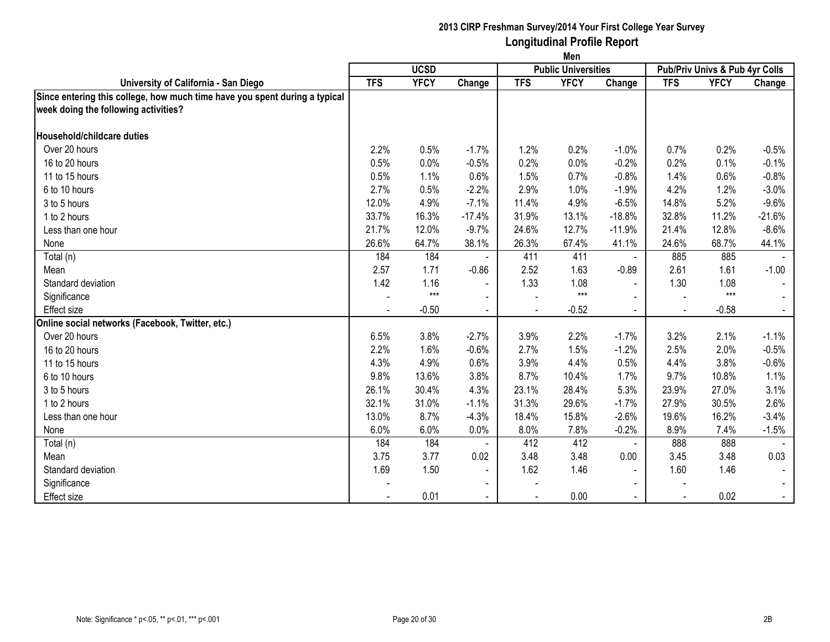|                                                                            | Men        |             |                          |            |                            |                |                                |             |          |  |
|----------------------------------------------------------------------------|------------|-------------|--------------------------|------------|----------------------------|----------------|--------------------------------|-------------|----------|--|
|                                                                            |            | <b>UCSD</b> |                          |            | <b>Public Universities</b> |                | Pub/Priv Univs & Pub 4yr Colls |             |          |  |
| University of California - San Diego                                       | <b>TFS</b> | <b>YFCY</b> | Change                   | <b>TFS</b> | <b>YFCY</b>                | Change         | <b>TFS</b>                     | <b>YFCY</b> | Change   |  |
| Since entering this college, how much time have you spent during a typical |            |             |                          |            |                            |                |                                |             |          |  |
| week doing the following activities?                                       |            |             |                          |            |                            |                |                                |             |          |  |
|                                                                            |            |             |                          |            |                            |                |                                |             |          |  |
| Household/childcare duties                                                 |            |             |                          |            |                            |                |                                |             |          |  |
| Over 20 hours                                                              | 2.2%       | 0.5%        | $-1.7%$                  | 1.2%       | 0.2%                       | $-1.0%$        | 0.7%                           | 0.2%        | $-0.5%$  |  |
| 16 to 20 hours                                                             | 0.5%       | 0.0%        | $-0.5%$                  | 0.2%       | 0.0%                       | $-0.2%$        | 0.2%                           | 0.1%        | $-0.1%$  |  |
| 11 to 15 hours                                                             | 0.5%       | 1.1%        | 0.6%                     | 1.5%       | 0.7%                       | $-0.8%$        | 1.4%                           | 0.6%        | $-0.8%$  |  |
| 6 to 10 hours                                                              | 2.7%       | 0.5%        | $-2.2%$                  | 2.9%       | 1.0%                       | $-1.9%$        | 4.2%                           | 1.2%        | $-3.0%$  |  |
| 3 to 5 hours                                                               | 12.0%      | 4.9%        | $-7.1%$                  | 11.4%      | 4.9%                       | $-6.5%$        | 14.8%                          | 5.2%        | $-9.6%$  |  |
| 1 to 2 hours                                                               | 33.7%      | 16.3%       | $-17.4%$                 | 31.9%      | 13.1%                      | $-18.8%$       | 32.8%                          | 11.2%       | $-21.6%$ |  |
| Less than one hour                                                         | 21.7%      | 12.0%       | $-9.7%$                  | 24.6%      | 12.7%                      | $-11.9%$       | 21.4%                          | 12.8%       | $-8.6%$  |  |
| None                                                                       | 26.6%      | 64.7%       | 38.1%                    | 26.3%      | 67.4%                      | 41.1%          | 24.6%                          | 68.7%       | 44.1%    |  |
| Total (n)                                                                  | 184        | 184         |                          | 411        | 411                        | $\blacksquare$ | 885                            | 885         |          |  |
| Mean                                                                       | 2.57       | 1.71        | $-0.86$                  | 2.52       | 1.63                       | $-0.89$        | 2.61                           | 1.61        | $-1.00$  |  |
| Standard deviation                                                         | 1.42       | 1.16        | $\blacksquare$           | 1.33       | 1.08                       | $\blacksquare$ | 1.30                           | 1.08        |          |  |
| Significance                                                               |            | $***$       | $\sim$                   |            | $***$                      |                |                                | $***$       |          |  |
| <b>Effect size</b>                                                         |            | $-0.50$     | $\sim$                   |            | $-0.52$                    |                |                                | $-0.58$     |          |  |
| Online social networks (Facebook, Twitter, etc.)                           |            |             |                          |            |                            |                |                                |             |          |  |
| Over 20 hours                                                              | 6.5%       | 3.8%        | $-2.7%$                  | 3.9%       | 2.2%                       | $-1.7%$        | 3.2%                           | 2.1%        | $-1.1%$  |  |
| 16 to 20 hours                                                             | 2.2%       | 1.6%        | $-0.6%$                  | 2.7%       | 1.5%                       | $-1.2%$        | 2.5%                           | 2.0%        | $-0.5%$  |  |
| 11 to 15 hours                                                             | 4.3%       | 4.9%        | 0.6%                     | 3.9%       | 4.4%                       | 0.5%           | 4.4%                           | 3.8%        | $-0.6%$  |  |
| 6 to 10 hours                                                              | 9.8%       | 13.6%       | 3.8%                     | 8.7%       | 10.4%                      | 1.7%           | 9.7%                           | 10.8%       | 1.1%     |  |
| 3 to 5 hours                                                               | 26.1%      | 30.4%       | 4.3%                     | 23.1%      | 28.4%                      | 5.3%           | 23.9%                          | 27.0%       | 3.1%     |  |
| 1 to 2 hours                                                               | 32.1%      | 31.0%       | $-1.1%$                  | 31.3%      | 29.6%                      | $-1.7%$        | 27.9%                          | 30.5%       | 2.6%     |  |
| Less than one hour                                                         | 13.0%      | 8.7%        | $-4.3%$                  | 18.4%      | 15.8%                      | $-2.6%$        | 19.6%                          | 16.2%       | $-3.4%$  |  |
| None                                                                       | 6.0%       | 6.0%        | 0.0%                     | 8.0%       | 7.8%                       | $-0.2%$        | 8.9%                           | 7.4%        | $-1.5%$  |  |
| Total (n)                                                                  | 184        | 184         |                          | 412        | 412                        | $\blacksquare$ | 888                            | 888         |          |  |
| Mean                                                                       | 3.75       | 3.77        | 0.02                     | 3.48       | 3.48                       | 0.00           | 3.45                           | 3.48        | 0.03     |  |
| Standard deviation                                                         | 1.69       | 1.50        | $\blacksquare$           | 1.62       | 1.46                       | $\blacksquare$ | 1.60                           | 1.46        |          |  |
| Significance                                                               |            |             | $\overline{\phantom{a}}$ |            |                            | $\blacksquare$ |                                |             |          |  |
| <b>Effect size</b>                                                         |            | 0.01        |                          |            | 0.00                       |                |                                | 0.02        |          |  |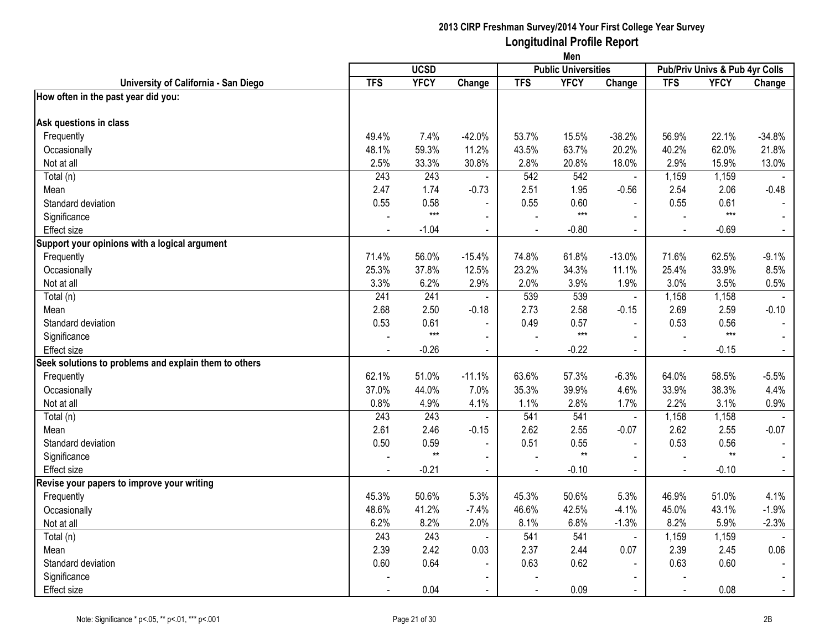|                                                       | Men            |             |                          |                          |                            |                |                |                                |                |
|-------------------------------------------------------|----------------|-------------|--------------------------|--------------------------|----------------------------|----------------|----------------|--------------------------------|----------------|
|                                                       |                | <b>UCSD</b> |                          |                          | <b>Public Universities</b> |                |                | Pub/Priv Univs & Pub 4yr Colls |                |
| University of California - San Diego                  | <b>TFS</b>     | <b>YFCY</b> | Change                   | <b>TFS</b>               | <b>YFCY</b>                | Change         | <b>TFS</b>     | <b>YFCY</b>                    | Change         |
| How often in the past year did you:                   |                |             |                          |                          |                            |                |                |                                |                |
|                                                       |                |             |                          |                          |                            |                |                |                                |                |
| Ask questions in class                                |                |             |                          |                          |                            |                |                |                                |                |
| Frequently                                            | 49.4%          | 7.4%        | $-42.0%$                 | 53.7%                    | 15.5%                      | $-38.2%$       | 56.9%          | 22.1%                          | $-34.8%$       |
| Occasionally                                          | 48.1%          | 59.3%       | 11.2%                    | 43.5%                    | 63.7%                      | 20.2%          | 40.2%          | 62.0%                          | 21.8%          |
| Not at all                                            | 2.5%           | 33.3%       | 30.8%                    | 2.8%                     | 20.8%                      | 18.0%          | 2.9%           | 15.9%                          | 13.0%          |
| Total (n)                                             | 243            | 243         | $\blacksquare$           | 542                      | 542                        | $\blacksquare$ | 1,159          | 1,159                          |                |
| Mean                                                  | 2.47           | 1.74        | $-0.73$                  | 2.51                     | 1.95                       | $-0.56$        | 2.54           | 2.06                           | $-0.48$        |
| Standard deviation                                    | 0.55           | 0.58        | $\blacksquare$           | 0.55                     | 0.60                       |                | 0.55           | 0.61                           |                |
| Significance                                          |                | $***$       | $\blacksquare$           |                          | $***$                      | $\mathbf{r}$   |                | $***$                          |                |
| Effect size                                           |                | $-1.04$     | $\blacksquare$           | $\overline{\phantom{a}}$ | $-0.80$                    | $\blacksquare$ | $\sim$         | $-0.69$                        | $\blacksquare$ |
| Support your opinions with a logical argument         |                |             |                          |                          |                            |                |                |                                |                |
| Frequently                                            | 71.4%          | 56.0%       | $-15.4%$                 | 74.8%                    | 61.8%                      | $-13.0%$       | 71.6%          | 62.5%                          | $-9.1%$        |
| Occasionally                                          | 25.3%          | 37.8%       | 12.5%                    | 23.2%                    | 34.3%                      | 11.1%          | 25.4%          | 33.9%                          | 8.5%           |
| Not at all                                            | 3.3%           | 6.2%        | 2.9%                     | 2.0%                     | 3.9%                       | 1.9%           | 3.0%           | 3.5%                           | 0.5%           |
| Total (n)                                             | 241            | 241         | $\sim$                   | 539                      | 539                        | $\mathbf{r}$   | 1,158          | 1,158                          |                |
| Mean                                                  | 2.68           | 2.50        | $-0.18$                  | 2.73                     | 2.58                       | $-0.15$        | 2.69           | 2.59                           | $-0.10$        |
| Standard deviation                                    | 0.53           | 0.61        | $\blacksquare$           | 0.49                     | 0.57                       | $\overline{a}$ | 0.53           | 0.56                           |                |
| Significance                                          |                | $***$       | $\blacksquare$           |                          | $***$                      | $\blacksquare$ |                | $***$                          | $\mathbf{r}$   |
| <b>Effect size</b>                                    |                | $-0.26$     | $\blacksquare$           |                          | $-0.22$                    | $\sim$         |                | $-0.15$                        | $\blacksquare$ |
| Seek solutions to problems and explain them to others |                |             |                          |                          |                            |                |                |                                |                |
| Frequently                                            | 62.1%          | 51.0%       | $-11.1%$                 | 63.6%                    | 57.3%                      | $-6.3%$        | 64.0%          | 58.5%                          | $-5.5%$        |
| Occasionally                                          | 37.0%          | 44.0%       | 7.0%                     | 35.3%                    | 39.9%                      | 4.6%           | 33.9%          | 38.3%                          | 4.4%           |
| Not at all                                            | 0.8%           | 4.9%        | 4.1%                     | 1.1%                     | 2.8%                       | 1.7%           | 2.2%           | 3.1%                           | 0.9%           |
| Total (n)                                             | 243            | 243         | $\sim$                   | 541                      | 541                        | $\sim$         | 1,158          | 1,158                          |                |
| Mean                                                  | 2.61           | 2.46        | $-0.15$                  | 2.62                     | 2.55                       | $-0.07$        | 2.62           | 2.55                           | $-0.07$        |
| Standard deviation                                    | 0.50           | 0.59        | $\overline{\phantom{a}}$ | 0.51                     | 0.55                       | $\blacksquare$ | 0.53           | 0.56                           | $\blacksquare$ |
| Significance                                          |                | $**$        | $\blacksquare$           |                          | $**$                       |                |                | $^{\star\star}$                | $\blacksquare$ |
| Effect size                                           | $\blacksquare$ | $-0.21$     | $\blacksquare$           | $\blacksquare$           | $-0.10$                    | $\blacksquare$ | $\blacksquare$ | $-0.10$                        | $\sim$         |
| Revise your papers to improve your writing            |                |             |                          |                          |                            |                |                |                                |                |
| Frequently                                            | 45.3%          | 50.6%       | 5.3%                     | 45.3%                    | 50.6%                      | 5.3%           | 46.9%          | 51.0%                          | 4.1%           |
| Occasionally                                          | 48.6%          | 41.2%       | $-7.4%$                  | 46.6%                    | 42.5%                      | $-4.1%$        | 45.0%          | 43.1%                          | $-1.9%$        |
| Not at all                                            | 6.2%           | 8.2%        | 2.0%                     | 8.1%                     | 6.8%                       | $-1.3%$        | 8.2%           | 5.9%                           | $-2.3%$        |
| Total (n)                                             | 243            | 243         | $\sim$                   | 541                      | 541                        | $\blacksquare$ | 1,159          | 1,159                          |                |
| Mean                                                  | 2.39           | 2.42        | 0.03                     | 2.37                     | 2.44                       | 0.07           | 2.39           | 2.45                           | 0.06           |
| Standard deviation                                    | 0.60           | 0.64        | $\blacksquare$           | 0.63                     | 0.62                       | $\blacksquare$ | 0.63           | 0.60                           |                |
| Significance                                          |                |             |                          |                          |                            |                |                |                                |                |
| Effect size                                           |                | 0.04        | $\blacksquare$           |                          | 0.09                       |                |                | 0.08                           | $\blacksquare$ |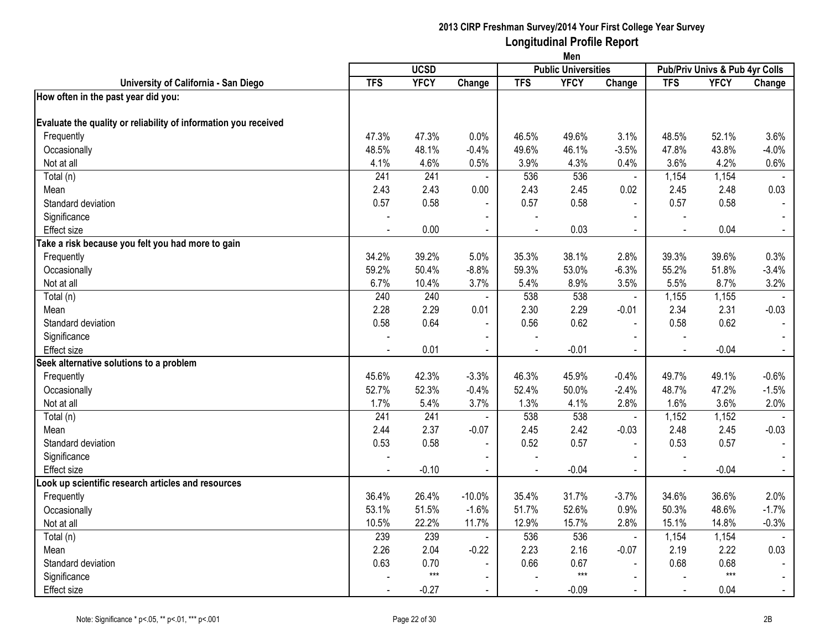|                                                                 | Men        |             |                |                          |                            |                |            |                                |                |
|-----------------------------------------------------------------|------------|-------------|----------------|--------------------------|----------------------------|----------------|------------|--------------------------------|----------------|
|                                                                 |            | <b>UCSD</b> |                |                          | <b>Public Universities</b> |                |            | Pub/Priv Univs & Pub 4yr Colls |                |
| University of California - San Diego                            | <b>TFS</b> | <b>YFCY</b> | Change         | <b>TFS</b>               | <b>YFCY</b>                | Change         | <b>TFS</b> | <b>YFCY</b>                    | Change         |
| How often in the past year did you:                             |            |             |                |                          |                            |                |            |                                |                |
| Evaluate the quality or reliability of information you received |            |             |                |                          |                            |                |            |                                |                |
| Frequently                                                      | 47.3%      | 47.3%       | 0.0%           | 46.5%                    | 49.6%                      | 3.1%           | 48.5%      | 52.1%                          | 3.6%           |
| Occasionally                                                    | 48.5%      | 48.1%       | $-0.4%$        | 49.6%                    | 46.1%                      | $-3.5%$        | 47.8%      | 43.8%                          | $-4.0%$        |
| Not at all                                                      | 4.1%       | 4.6%        | 0.5%           | 3.9%                     | 4.3%                       | 0.4%           | 3.6%       | 4.2%                           | 0.6%           |
| Total (n)                                                       | 241        | 241         | $\blacksquare$ | 536                      | 536                        | $\blacksquare$ | 1,154      | 1,154                          |                |
| Mean                                                            | 2.43       | 2.43        | 0.00           | 2.43                     | 2.45                       | 0.02           | 2.45       | 2.48                           | 0.03           |
| Standard deviation                                              | 0.57       | 0.58        |                | 0.57                     | 0.58                       | $\blacksquare$ | 0.57       | 0.58                           | $\sim$         |
| Significance                                                    |            |             | $\blacksquare$ |                          |                            | $\blacksquare$ |            |                                |                |
| Effect size                                                     |            | 0.00        | $\blacksquare$ | $\blacksquare$           | 0.03                       | $\blacksquare$ |            | 0.04                           | $\blacksquare$ |
| Take a risk because you felt you had more to gain               |            |             |                |                          |                            |                |            |                                |                |
| Frequently                                                      | 34.2%      | 39.2%       | 5.0%           | 35.3%                    | 38.1%                      | 2.8%           | 39.3%      | 39.6%                          | 0.3%           |
| Occasionally                                                    | 59.2%      | 50.4%       | $-8.8%$        | 59.3%                    | 53.0%                      | $-6.3%$        | 55.2%      | 51.8%                          | $-3.4%$        |
| Not at all                                                      | 6.7%       | 10.4%       | 3.7%           | 5.4%                     | 8.9%                       | 3.5%           | 5.5%       | 8.7%                           | 3.2%           |
| Total (n)                                                       | 240        | 240         | $\blacksquare$ | 538                      | 538                        | $\blacksquare$ | 1,155      | 1,155                          |                |
| Mean                                                            | 2.28       | 2.29        | 0.01           | 2.30                     | 2.29                       | $-0.01$        | 2.34       | 2.31                           | $-0.03$        |
| Standard deviation                                              | 0.58       | 0.64        | $\blacksquare$ | 0.56                     | 0.62                       | $\blacksquare$ | 0.58       | 0.62                           |                |
| Significance                                                    |            |             | $\sim$         |                          |                            |                |            |                                |                |
| Effect size                                                     |            | 0.01        |                |                          | $-0.01$                    |                |            | $-0.04$                        | $\blacksquare$ |
| Seek alternative solutions to a problem                         |            |             |                |                          |                            |                |            |                                |                |
| Frequently                                                      | 45.6%      | 42.3%       | $-3.3%$        | 46.3%                    | 45.9%                      | $-0.4%$        | 49.7%      | 49.1%                          | $-0.6%$        |
| Occasionally                                                    | 52.7%      | 52.3%       | $-0.4%$        | 52.4%                    | 50.0%                      | $-2.4%$        | 48.7%      | 47.2%                          | $-1.5%$        |
| Not at all                                                      | 1.7%       | 5.4%        | 3.7%           | 1.3%                     | 4.1%                       | 2.8%           | 1.6%       | 3.6%                           | 2.0%           |
| Total (n)                                                       | 241        | 241         | $\blacksquare$ | 538                      | 538                        | $\blacksquare$ | 1,152      | 1,152                          |                |
| Mean                                                            | 2.44       | 2.37        | $-0.07$        | 2.45                     | 2.42                       | $-0.03$        | 2.48       | 2.45                           | $-0.03$        |
| Standard deviation                                              | 0.53       | 0.58        | $\blacksquare$ | 0.52                     | 0.57                       | $\overline{a}$ | 0.53       | 0.57                           | $\blacksquare$ |
| Significance                                                    |            |             | $\blacksquare$ |                          |                            | $\blacksquare$ |            |                                |                |
| <b>Effect size</b>                                              |            | $-0.10$     | $\blacksquare$ | $\overline{\phantom{a}}$ | $-0.04$                    | $\blacksquare$ |            | $-0.04$                        | $\sim$         |
| ook up scientific research articles and resources               |            |             |                |                          |                            |                |            |                                |                |
| Frequently                                                      | 36.4%      | 26.4%       | $-10.0%$       | 35.4%                    | 31.7%                      | $-3.7%$        | 34.6%      | 36.6%                          | 2.0%           |
| Occasionally                                                    | 53.1%      | 51.5%       | $-1.6%$        | 51.7%                    | 52.6%                      | 0.9%           | 50.3%      | 48.6%                          | $-1.7%$        |
| Not at all                                                      | 10.5%      | 22.2%       | 11.7%          | 12.9%                    | 15.7%                      | 2.8%           | 15.1%      | 14.8%                          | $-0.3%$        |
| Total (n)                                                       | 239        | 239         | $\blacksquare$ | 536                      | 536                        | $\mathbf{r}$   | 1,154      | 1,154                          |                |
| Mean                                                            | 2.26       | 2.04        | $-0.22$        | 2.23                     | 2.16                       | $-0.07$        | 2.19       | 2.22                           | 0.03           |
| Standard deviation                                              | 0.63       | 0.70        | $\blacksquare$ | 0.66                     | 0.67                       |                | 0.68       | 0.68                           |                |
| Significance                                                    |            | $***$       | $\blacksquare$ |                          | $***$                      | $\blacksquare$ |            | $***$                          | $\blacksquare$ |
| Effect size                                                     |            | $-0.27$     | $\blacksquare$ |                          | $-0.09$                    | $\sim$         |            | 0.04                           | $\sim$         |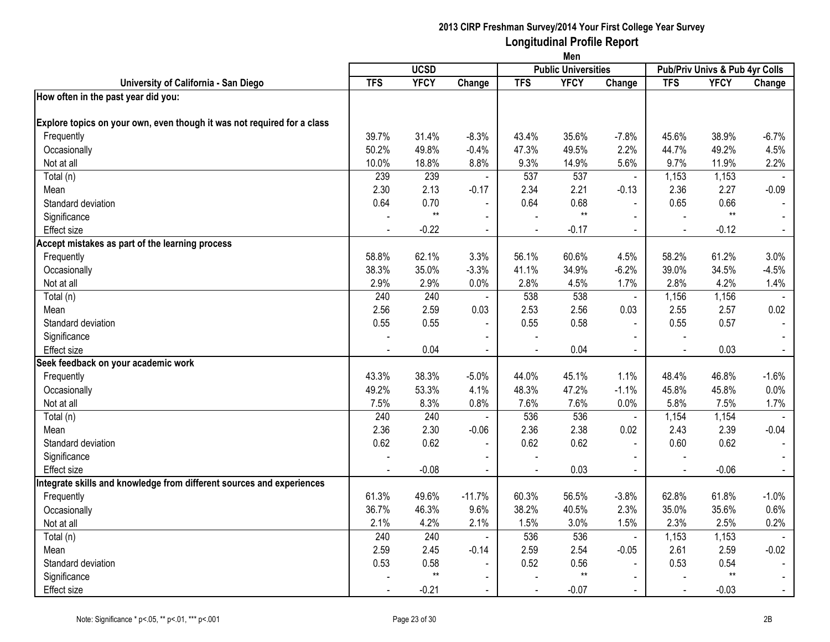|                                                                         | Men            |             |                          |                |                            |                           |                |                                |                                     |
|-------------------------------------------------------------------------|----------------|-------------|--------------------------|----------------|----------------------------|---------------------------|----------------|--------------------------------|-------------------------------------|
|                                                                         |                | <b>UCSD</b> |                          |                | <b>Public Universities</b> |                           |                | Pub/Priv Univs & Pub 4yr Colls |                                     |
| University of California - San Diego                                    | <b>TFS</b>     | <b>YFCY</b> | Change                   | <b>TFS</b>     | <b>YFCY</b>                | Change                    | <b>TFS</b>     | <b>YFCY</b>                    | Change                              |
| How often in the past year did you:                                     |                |             |                          |                |                            |                           |                |                                |                                     |
| Explore topics on your own, even though it was not required for a class |                |             |                          |                |                            |                           |                |                                |                                     |
| Frequently                                                              | 39.7%          | 31.4%       | $-8.3%$                  | 43.4%          | 35.6%                      | $-7.8%$                   | 45.6%          | 38.9%                          | $-6.7%$                             |
| Occasionally                                                            | 50.2%          | 49.8%       | $-0.4%$                  | 47.3%          | 49.5%                      | 2.2%                      | 44.7%          | 49.2%                          | 4.5%                                |
| Not at all                                                              | 10.0%          | 18.8%       | 8.8%                     | 9.3%           | 14.9%                      | 5.6%                      | 9.7%           | 11.9%                          | 2.2%                                |
| Total (n)                                                               | 239            | 239         | $\blacksquare$           | 537            | 537                        | $\blacksquare$            | 1,153          | 1,153                          | $\sim$                              |
| Mean                                                                    | 2.30           | 2.13        | $-0.17$                  | 2.34           | 2.21                       | $-0.13$                   | 2.36           | 2.27                           | $-0.09$                             |
| Standard deviation                                                      | 0.64           | 0.70        |                          | 0.64           | 0.68                       | $\mathbf{r}$              | 0.65           | 0.66                           | $\sim$                              |
| Significance                                                            |                | $**$        | $\blacksquare$           |                | $**$                       | $\blacksquare$            |                | $**$                           |                                     |
| <b>Effect size</b>                                                      |                | $-0.22$     | $\blacksquare$           | $\blacksquare$ | $-0.17$                    | $\blacksquare$            | $\sim$         | $-0.12$                        | $\sim$                              |
| Accept mistakes as part of the learning process                         |                |             |                          |                |                            |                           |                |                                |                                     |
| Frequently                                                              | 58.8%          | 62.1%       | 3.3%                     | 56.1%          | 60.6%                      | 4.5%                      | 58.2%          | 61.2%                          | 3.0%                                |
| Occasionally                                                            | 38.3%          | 35.0%       | $-3.3%$                  | 41.1%          | 34.9%                      | $-6.2%$                   | 39.0%          | 34.5%                          | $-4.5%$                             |
| Not at all                                                              | 2.9%           | 2.9%        | 0.0%                     | 2.8%           | 4.5%                       | 1.7%                      | 2.8%           | 4.2%                           | 1.4%                                |
| Total (n)                                                               | 240            | 240         | $\blacksquare$           | 538            | 538                        | $\mathbf{r}$              | 1,156          | 1,156                          |                                     |
| Mean                                                                    | 2.56           | 2.59        | 0.03                     | 2.53           | 2.56                       | 0.03                      | 2.55           | 2.57                           | 0.02                                |
| Standard deviation                                                      | 0.55           | 0.55        | $\overline{\phantom{a}}$ | 0.55           | 0.58                       | $\blacksquare$            | 0.55           | 0.57                           |                                     |
| Significance                                                            |                |             |                          |                |                            | $\overline{\phantom{a}}$  |                |                                |                                     |
| <b>Effect size</b>                                                      |                | 0.04        |                          |                | 0.04                       |                           |                | 0.03                           | $\sim$                              |
| Seek feedback on your academic work                                     |                |             |                          |                |                            |                           |                |                                |                                     |
| Frequently                                                              | 43.3%          | 38.3%       | $-5.0%$                  | 44.0%          | 45.1%                      | 1.1%                      | 48.4%          | 46.8%                          | $-1.6%$                             |
| Occasionally                                                            | 49.2%          | 53.3%       | 4.1%                     | 48.3%          | 47.2%                      | $-1.1%$                   | 45.8%          | 45.8%                          | 0.0%                                |
| Not at all                                                              | 7.5%           | 8.3%        | 0.8%                     | 7.6%           | 7.6%                       | 0.0%                      | 5.8%           | 7.5%                           | 1.7%                                |
| Total (n)                                                               | 240            | 240         | $\sim$                   | 536            | 536                        | $\blacksquare$            | 1,154          | 1,154                          |                                     |
| Mean                                                                    | 2.36           | 2.30        | $-0.06$                  | 2.36           | 2.38                       | 0.02                      | 2.43           | 2.39                           | $\overline{\phantom{a}}$<br>$-0.04$ |
| Standard deviation                                                      | 0.62           | 0.62        |                          | 0.62           | 0.62                       | $\overline{a}$            | 0.60           | 0.62                           |                                     |
| Significance                                                            |                |             | $\overline{\phantom{a}}$ |                |                            |                           |                |                                | $\blacksquare$                      |
| <b>Effect size</b>                                                      | $\blacksquare$ | $-0.08$     | $\blacksquare$           | $\blacksquare$ | 0.03                       | $\blacksquare$            | $\blacksquare$ | $-0.06$                        | $\sim$                              |
| Integrate skills and knowledge from different sources and experiences   |                |             |                          |                |                            |                           |                |                                |                                     |
| Frequently                                                              | 61.3%          | 49.6%       | $-11.7%$                 | 60.3%          | 56.5%                      | $-3.8%$                   | 62.8%          | 61.8%                          | $-1.0%$                             |
| Occasionally                                                            | 36.7%          | 46.3%       | 9.6%                     | 38.2%          | 40.5%                      | 2.3%                      | 35.0%          | 35.6%                          | 0.6%                                |
| Not at all                                                              | 2.1%           | 4.2%        | 2.1%                     | 1.5%           | 3.0%                       | 1.5%                      | 2.3%           | 2.5%                           | 0.2%                                |
|                                                                         | 240            | 240         | $\sim$                   | 536            | 536                        |                           | 1,153          | 1,153                          | $\sim$                              |
| Total (n)                                                               | 2.59           | 2.45        | $-0.14$                  | 2.59           | 2.54                       | $\blacksquare$<br>$-0.05$ | 2.61           | 2.59                           | $-0.02$                             |
| Mean<br>Standard deviation                                              | 0.53           | 0.58        |                          | 0.52           | 0.56                       |                           | 0.53           | 0.54                           |                                     |
|                                                                         |                | $**$        | $\blacksquare$           |                | $**$                       | $\blacksquare$            |                | $***$                          |                                     |
| Significance                                                            |                |             |                          |                |                            | $\blacksquare$            |                |                                |                                     |
| <b>Effect size</b>                                                      |                | $-0.21$     | $\blacksquare$           |                | $-0.07$                    | $\sim$                    |                | $-0.03$                        | $\sim$                              |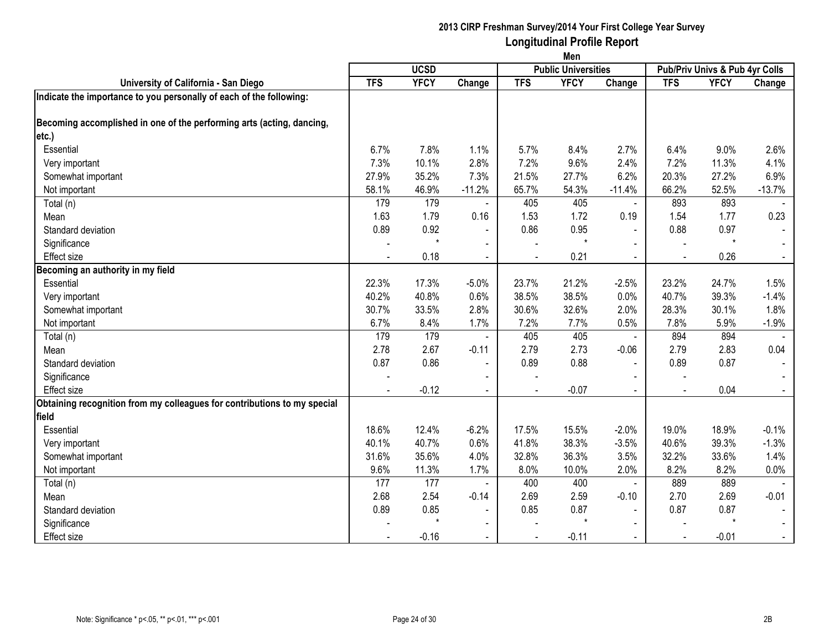|                                                                          | Men        |             |                          |                |                            |                |            |                                |                |
|--------------------------------------------------------------------------|------------|-------------|--------------------------|----------------|----------------------------|----------------|------------|--------------------------------|----------------|
|                                                                          |            | <b>UCSD</b> |                          |                | <b>Public Universities</b> |                |            | Pub/Priv Univs & Pub 4yr Colls |                |
| University of California - San Diego                                     | <b>TFS</b> | <b>YFCY</b> | Change                   | <b>TFS</b>     | <b>YFCY</b>                | Change         | <b>TFS</b> | <b>YFCY</b>                    | Change         |
| Indicate the importance to you personally of each of the following:      |            |             |                          |                |                            |                |            |                                |                |
| Becoming accomplished in one of the performing arts (acting, dancing,    |            |             |                          |                |                            |                |            |                                |                |
| etc.)                                                                    |            |             |                          |                |                            |                |            |                                |                |
| Essential                                                                | 6.7%       | 7.8%        | 1.1%                     | 5.7%           | 8.4%                       | 2.7%           | 6.4%       | 9.0%                           | 2.6%           |
| Very important                                                           | 7.3%       | 10.1%       | 2.8%                     | 7.2%           | 9.6%                       | 2.4%           | 7.2%       | 11.3%                          | 4.1%           |
| Somewhat important                                                       | 27.9%      | 35.2%       | 7.3%                     | 21.5%          | 27.7%                      | 6.2%           | 20.3%      | 27.2%                          | 6.9%           |
| Not important                                                            | 58.1%      | 46.9%       | $-11.2%$                 | 65.7%          | 54.3%                      | $-11.4%$       | 66.2%      | 52.5%                          | $-13.7%$       |
| Total (n)                                                                | 179        | 179         |                          | 405            | 405                        | $\blacksquare$ | 893        | 893                            |                |
| Mean                                                                     | 1.63       | 1.79        | 0.16                     | 1.53           | 1.72                       | 0.19           | 1.54       | 1.77                           | 0.23           |
| Standard deviation                                                       | 0.89       | 0.92        | $\blacksquare$           | 0.86           | 0.95                       | $\blacksquare$ | 0.88       | 0.97                           |                |
| Significance                                                             |            | $\star$     | $\blacksquare$           |                | $\star$                    |                |            | $\star$                        |                |
| <b>Effect size</b>                                                       |            | 0.18        | $\blacksquare$           |                | 0.21                       |                |            | 0.26                           |                |
| Becoming an authority in my field                                        |            |             |                          |                |                            |                |            |                                |                |
| Essential                                                                | 22.3%      | 17.3%       | $-5.0%$                  | 23.7%          | 21.2%                      | $-2.5%$        | 23.2%      | 24.7%                          | 1.5%           |
| Very important                                                           | 40.2%      | 40.8%       | 0.6%                     | 38.5%          | 38.5%                      | 0.0%           | 40.7%      | 39.3%                          | $-1.4%$        |
| Somewhat important                                                       | 30.7%      | 33.5%       | 2.8%                     | 30.6%          | 32.6%                      | 2.0%           | 28.3%      | 30.1%                          | 1.8%           |
| Not important                                                            | 6.7%       | 8.4%        | 1.7%                     | 7.2%           | 7.7%                       | 0.5%           | 7.8%       | 5.9%                           | $-1.9%$        |
| Total (n)                                                                | 179        | 179         |                          | 405            | 405                        | $\blacksquare$ | 894        | 894                            |                |
| Mean                                                                     | 2.78       | 2.67        | $-0.11$                  | 2.79           | 2.73                       | $-0.06$        | 2.79       | 2.83                           | 0.04           |
| Standard deviation                                                       | 0.87       | 0.86        | $\sim$                   | 0.89           | 0.88                       | $\blacksquare$ | 0.89       | 0.87                           |                |
| Significance                                                             |            |             | $\blacksquare$           |                |                            | $\blacksquare$ |            |                                |                |
| <b>Effect size</b>                                                       | $\sim$     | $-0.12$     | $\sim$                   | $\overline{a}$ | $-0.07$                    | $\sim$         |            | 0.04                           | $\sim$         |
| Obtaining recognition from my colleagues for contributions to my special |            |             |                          |                |                            |                |            |                                |                |
| field                                                                    |            |             |                          |                |                            |                |            |                                |                |
| Essential                                                                | 18.6%      | 12.4%       | $-6.2%$                  | 17.5%          | 15.5%                      | $-2.0%$        | 19.0%      | 18.9%                          | $-0.1%$        |
| Very important                                                           | 40.1%      | 40.7%       | 0.6%                     | 41.8%          | 38.3%                      | $-3.5%$        | 40.6%      | 39.3%                          | $-1.3%$        |
| Somewhat important                                                       | 31.6%      | 35.6%       | 4.0%                     | 32.8%          | 36.3%                      | 3.5%           | 32.2%      | 33.6%                          | 1.4%           |
| Not important                                                            | 9.6%       | 11.3%       | 1.7%                     | 8.0%           | 10.0%                      | 2.0%           | 8.2%       | 8.2%                           | 0.0%           |
| Total (n)                                                                | 177        | 177         |                          | 400            | 400                        | $\blacksquare$ | 889        | 889                            |                |
| Mean                                                                     | 2.68       | 2.54        | $-0.14$                  | 2.69           | 2.59                       | $-0.10$        | 2.70       | 2.69                           | $-0.01$        |
| Standard deviation                                                       | 0.89       | 0.85        | $\overline{\phantom{a}}$ | 0.85           | 0.87                       | $\sim$         | 0.87       | 0.87                           | $\blacksquare$ |
| Significance                                                             |            |             | $\sim$                   |                |                            | $\blacksquare$ |            | $\star$                        |                |
| <b>Effect size</b>                                                       |            | $-0.16$     | $\overline{\phantom{a}}$ |                | $-0.11$                    |                |            | $-0.01$                        | $\sim$         |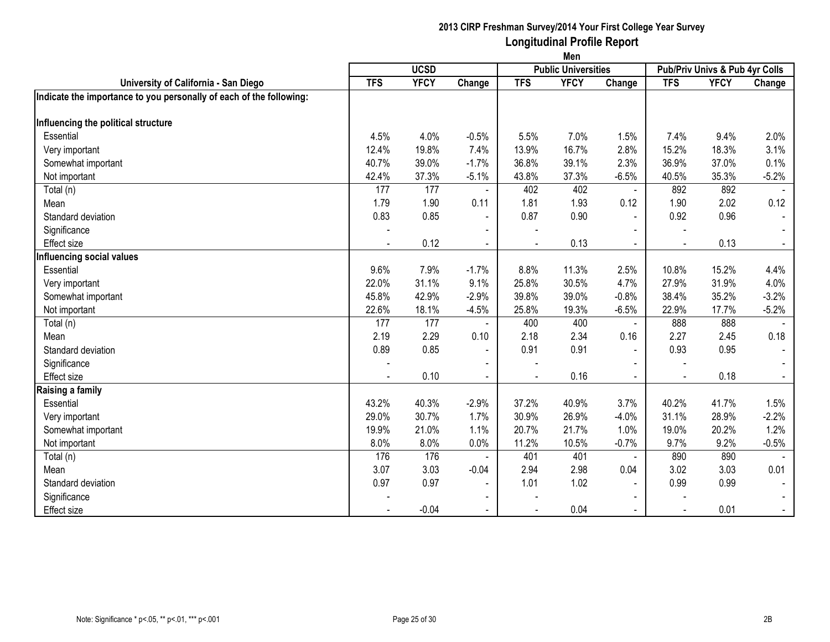|                                                                     | Men                                       |             |                |            |             |                |            |                                |         |  |
|---------------------------------------------------------------------|-------------------------------------------|-------------|----------------|------------|-------------|----------------|------------|--------------------------------|---------|--|
|                                                                     | <b>UCSD</b><br><b>Public Universities</b> |             |                |            |             |                |            | Pub/Priv Univs & Pub 4yr Colls |         |  |
| University of California - San Diego                                | <b>TFS</b>                                | <b>YFCY</b> | Change         | <b>TFS</b> | <b>YFCY</b> | Change         | <b>TFS</b> | <b>YFCY</b>                    | Change  |  |
| Indicate the importance to you personally of each of the following: |                                           |             |                |            |             |                |            |                                |         |  |
|                                                                     |                                           |             |                |            |             |                |            |                                |         |  |
| Influencing the political structure                                 |                                           |             |                |            |             |                |            |                                |         |  |
| Essential                                                           | 4.5%                                      | 4.0%        | $-0.5%$        | 5.5%       | 7.0%        | 1.5%           | 7.4%       | 9.4%                           | 2.0%    |  |
| Very important                                                      | 12.4%                                     | 19.8%       | 7.4%           | 13.9%      | 16.7%       | 2.8%           | 15.2%      | 18.3%                          | 3.1%    |  |
| Somewhat important                                                  | 40.7%                                     | 39.0%       | $-1.7%$        | 36.8%      | 39.1%       | 2.3%           | 36.9%      | 37.0%                          | 0.1%    |  |
| Not important                                                       | 42.4%                                     | 37.3%       | $-5.1%$        | 43.8%      | 37.3%       | $-6.5%$        | 40.5%      | 35.3%                          | $-5.2%$ |  |
| Total (n)                                                           | 177                                       | 177         |                | 402        | 402         | $\blacksquare$ | 892        | 892                            |         |  |
| Mean                                                                | 1.79                                      | 1.90        | 0.11           | 1.81       | 1.93        | 0.12           | 1.90       | 2.02                           | 0.12    |  |
| Standard deviation                                                  | 0.83                                      | 0.85        | $\sim$         | 0.87       | 0.90        | $\blacksquare$ | 0.92       | 0.96                           |         |  |
| Significance                                                        |                                           |             | $\blacksquare$ |            |             | $\blacksquare$ |            |                                |         |  |
| <b>Effect size</b>                                                  |                                           | 0.12        | $\blacksquare$ |            | 0.13        |                |            | 0.13                           |         |  |
| Influencing social values                                           |                                           |             |                |            |             |                |            |                                |         |  |
| Essential                                                           | 9.6%                                      | 7.9%        | $-1.7%$        | 8.8%       | 11.3%       | 2.5%           | 10.8%      | 15.2%                          | 4.4%    |  |
| Very important                                                      | 22.0%                                     | 31.1%       | 9.1%           | 25.8%      | 30.5%       | 4.7%           | 27.9%      | 31.9%                          | 4.0%    |  |
| Somewhat important                                                  | 45.8%                                     | 42.9%       | $-2.9%$        | 39.8%      | 39.0%       | $-0.8%$        | 38.4%      | 35.2%                          | $-3.2%$ |  |
| Not important                                                       | 22.6%                                     | 18.1%       | $-4.5%$        | 25.8%      | 19.3%       | $-6.5%$        | 22.9%      | 17.7%                          | $-5.2%$ |  |
| Total (n)                                                           | 177                                       | 177         |                | 400        | 400         | $\blacksquare$ | 888        | 888                            |         |  |
| Mean                                                                | 2.19                                      | 2.29        | 0.10           | 2.18       | 2.34        | 0.16           | 2.27       | 2.45                           | 0.18    |  |
| Standard deviation                                                  | 0.89                                      | 0.85        | $\blacksquare$ | 0.91       | 0.91        | $\sim$         | 0.93       | 0.95                           | $\sim$  |  |
| Significance                                                        |                                           |             |                |            |             |                |            |                                |         |  |
| <b>Effect size</b>                                                  |                                           | 0.10        | $\blacksquare$ |            | 0.16        |                |            | 0.18                           |         |  |
| Raising a family                                                    |                                           |             |                |            |             |                |            |                                |         |  |
| Essential                                                           | 43.2%                                     | 40.3%       | $-2.9%$        | 37.2%      | 40.9%       | 3.7%           | 40.2%      | 41.7%                          | 1.5%    |  |
| Very important                                                      | 29.0%                                     | 30.7%       | 1.7%           | 30.9%      | 26.9%       | $-4.0%$        | 31.1%      | 28.9%                          | $-2.2%$ |  |
| Somewhat important                                                  | 19.9%                                     | 21.0%       | 1.1%           | 20.7%      | 21.7%       | 1.0%           | 19.0%      | 20.2%                          | 1.2%    |  |
| Not important                                                       | 8.0%                                      | 8.0%        | 0.0%           | 11.2%      | 10.5%       | $-0.7%$        | 9.7%       | 9.2%                           | $-0.5%$ |  |
| Total (n)                                                           | 176                                       | 176         |                | 401        | 401         | $\blacksquare$ | 890        | 890                            |         |  |
| Mean                                                                | 3.07                                      | 3.03        | $-0.04$        | 2.94       | 2.98        | 0.04           | 3.02       | 3.03                           | 0.01    |  |
| Standard deviation                                                  | 0.97                                      | 0.97        | $\blacksquare$ | 1.01       | 1.02        | $\blacksquare$ | 0.99       | 0.99                           | $\sim$  |  |
| Significance                                                        |                                           |             | $\blacksquare$ |            |             | $\blacksquare$ |            |                                |         |  |
| <b>Effect size</b>                                                  |                                           | $-0.04$     |                |            | 0.04        | $\sim$         |            | 0.01                           | $\sim$  |  |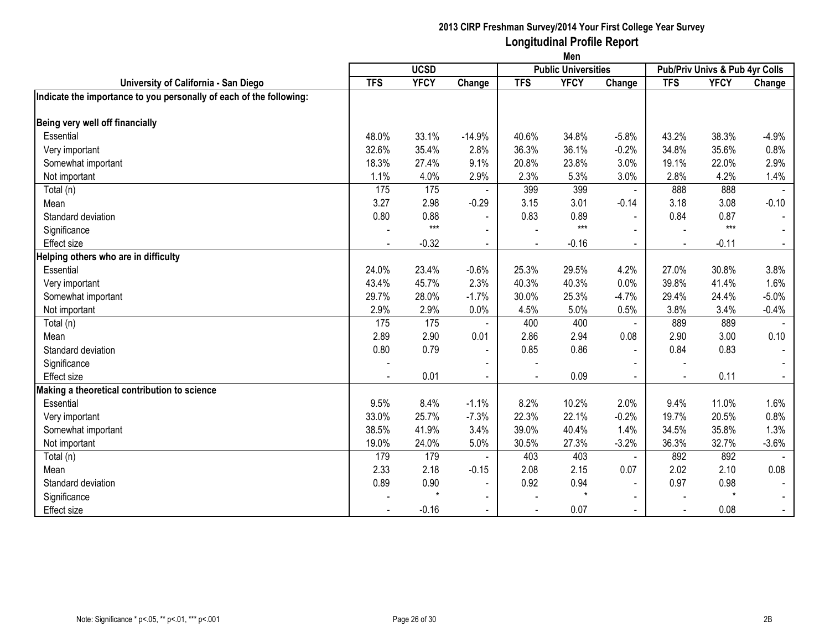|                                                                     | Men         |             |                          |                |             |                                                              |            |             |          |  |
|---------------------------------------------------------------------|-------------|-------------|--------------------------|----------------|-------------|--------------------------------------------------------------|------------|-------------|----------|--|
|                                                                     | <b>UCSD</b> |             |                          |                |             | <b>Public Universities</b><br>Pub/Priv Univs & Pub 4yr Colls |            |             |          |  |
| University of California - San Diego                                | <b>TFS</b>  | <b>YFCY</b> | Change                   | <b>TFS</b>     | <b>YFCY</b> | Change                                                       | <b>TFS</b> | <b>YFCY</b> | Change   |  |
| Indicate the importance to you personally of each of the following: |             |             |                          |                |             |                                                              |            |             |          |  |
| Being very well off financially                                     |             |             |                          |                |             |                                                              |            |             |          |  |
| Essential                                                           | 48.0%       | 33.1%       | $-14.9%$                 | 40.6%          | 34.8%       | $-5.8%$                                                      | 43.2%      | 38.3%       | $-4.9%$  |  |
| Very important                                                      | 32.6%       | 35.4%       | 2.8%                     | 36.3%          | 36.1%       | $-0.2%$                                                      | 34.8%      | 35.6%       | 0.8%     |  |
| Somewhat important                                                  | 18.3%       | 27.4%       | 9.1%                     | 20.8%          | 23.8%       | 3.0%                                                         | 19.1%      | 22.0%       | 2.9%     |  |
| Not important                                                       | 1.1%        | 4.0%        | 2.9%                     | 2.3%           | 5.3%        | 3.0%                                                         | 2.8%       | 4.2%        | 1.4%     |  |
| Total (n)                                                           | 175         | 175         |                          | 399            | 399         |                                                              | 888        | 888         |          |  |
| Mean                                                                | 3.27        | 2.98        | $-0.29$                  | 3.15           | 3.01        | $-0.14$                                                      | 3.18       | 3.08        | $-0.10$  |  |
| Standard deviation                                                  | 0.80        | 0.88        | $\sim$                   | 0.83           | 0.89        | $\blacksquare$                                               | 0.84       | 0.87        |          |  |
| Significance                                                        |             | $***$       | $\blacksquare$           |                | $***$       |                                                              |            | $***$       |          |  |
| <b>Effect size</b>                                                  |             | $-0.32$     |                          |                | $-0.16$     |                                                              |            | $-0.11$     |          |  |
| Helping others who are in difficulty                                |             |             |                          |                |             |                                                              |            |             |          |  |
| Essential                                                           | 24.0%       | 23.4%       | $-0.6%$                  | 25.3%          | 29.5%       | 4.2%                                                         | 27.0%      | 30.8%       | 3.8%     |  |
| Very important                                                      | 43.4%       | 45.7%       | 2.3%                     | 40.3%          | 40.3%       | 0.0%                                                         | 39.8%      | 41.4%       | 1.6%     |  |
| Somewhat important                                                  | 29.7%       | 28.0%       | $-1.7%$                  | 30.0%          | 25.3%       | $-4.7%$                                                      | 29.4%      | 24.4%       | $-5.0%$  |  |
| Not important                                                       | 2.9%        | 2.9%        | 0.0%                     | 4.5%           | 5.0%        | 0.5%                                                         | 3.8%       | 3.4%        | $-0.4%$  |  |
| Total (n)                                                           | 175         | 175         |                          | 400            | 400         | $\blacksquare$                                               | 889        | 889         |          |  |
| Mean                                                                | 2.89        | 2.90        | 0.01                     | 2.86           | 2.94        | 0.08                                                         | 2.90       | 3.00        | 0.10     |  |
| Standard deviation                                                  | 0.80        | 0.79        | $\overline{\phantom{a}}$ | 0.85           | 0.86        | $\blacksquare$                                               | 0.84       | 0.83        | $\sim$   |  |
| Significance                                                        |             |             |                          |                |             | $\sim$                                                       |            |             |          |  |
| <b>Effect</b> size                                                  |             | 0.01        |                          |                | 0.09        |                                                              |            | 0.11        |          |  |
| Making a theoretical contribution to science                        |             |             |                          |                |             |                                                              |            |             |          |  |
| Essential                                                           | 9.5%        | 8.4%        | $-1.1%$                  | 8.2%           | 10.2%       | 2.0%                                                         | 9.4%       | 11.0%       | 1.6%     |  |
| Very important                                                      | 33.0%       | 25.7%       | $-7.3%$                  | 22.3%          | 22.1%       | $-0.2%$                                                      | 19.7%      | 20.5%       | 0.8%     |  |
| Somewhat important                                                  | 38.5%       | 41.9%       | 3.4%                     | 39.0%          | 40.4%       | 1.4%                                                         | 34.5%      | 35.8%       | 1.3%     |  |
| Not important                                                       | 19.0%       | 24.0%       | 5.0%                     | 30.5%          | 27.3%       | $-3.2%$                                                      | 36.3%      | 32.7%       | $-3.6\%$ |  |
| Total (n)                                                           | 179         | 179         |                          | 403            | 403         | $\blacksquare$                                               | 892        | 892         |          |  |
| Mean                                                                | 2.33        | 2.18        | $-0.15$                  | 2.08           | 2.15        | 0.07                                                         | 2.02       | 2.10        | 0.08     |  |
| Standard deviation                                                  | 0.89        | 0.90        | $\blacksquare$           | 0.92           | 0.94        | $\blacksquare$                                               | 0.97       | 0.98        |          |  |
| Significance                                                        |             | $\star$     | $\blacksquare$           |                | $\star$     | $\blacksquare$                                               |            | $\star$     |          |  |
| <b>Effect size</b>                                                  |             | $-0.16$     |                          | $\blacksquare$ | 0.07        | $\blacksquare$                                               |            | 0.08        | $\sim$   |  |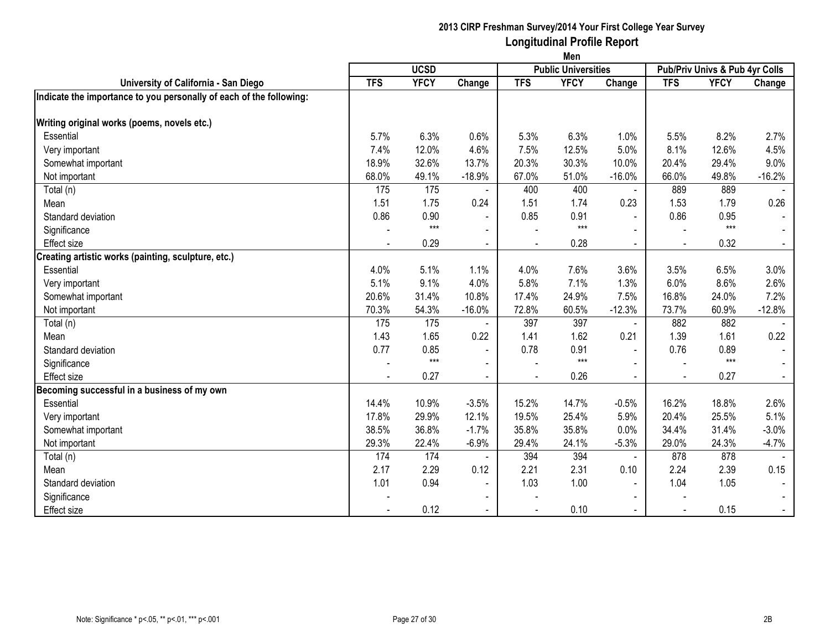|                                                                     | Men                                       |             |                          |            |             |                |            |                                |          |  |
|---------------------------------------------------------------------|-------------------------------------------|-------------|--------------------------|------------|-------------|----------------|------------|--------------------------------|----------|--|
|                                                                     | <b>UCSD</b><br><b>Public Universities</b> |             |                          |            |             |                |            | Pub/Priv Univs & Pub 4yr Colls |          |  |
| University of California - San Diego                                | <b>TFS</b>                                | <b>YFCY</b> | Change                   | <b>TFS</b> | <b>YFCY</b> | Change         | <b>TFS</b> | <b>YFCY</b>                    | Change   |  |
| Indicate the importance to you personally of each of the following: |                                           |             |                          |            |             |                |            |                                |          |  |
| Writing original works (poems, novels etc.)                         |                                           |             |                          |            |             |                |            |                                |          |  |
| Essential                                                           | 5.7%                                      | 6.3%        | 0.6%                     | 5.3%       | 6.3%        | 1.0%           | 5.5%       | 8.2%                           | 2.7%     |  |
| Very important                                                      | 7.4%                                      | 12.0%       | 4.6%                     | 7.5%       | 12.5%       | 5.0%           | 8.1%       | 12.6%                          | 4.5%     |  |
| Somewhat important                                                  | 18.9%                                     | 32.6%       | 13.7%                    | 20.3%      | 30.3%       | 10.0%          | 20.4%      | 29.4%                          | 9.0%     |  |
| Not important                                                       | 68.0%                                     | 49.1%       | $-18.9%$                 | 67.0%      | 51.0%       | $-16.0%$       | 66.0%      | 49.8%                          | $-16.2%$ |  |
| Total (n)                                                           | 175                                       | 175         |                          | 400        | 400         |                | 889        | 889                            |          |  |
| Mean                                                                | 1.51                                      | 1.75        | 0.24                     | 1.51       | 1.74        | 0.23           | 1.53       | 1.79                           | 0.26     |  |
| Standard deviation                                                  | 0.86                                      | 0.90        | $\sim$                   | 0.85       | 0.91        | $\blacksquare$ | 0.86       | 0.95                           |          |  |
| Significance                                                        |                                           | $***$       | $\blacksquare$           |            | $***$       | $\blacksquare$ |            | $***$                          |          |  |
| <b>Effect size</b>                                                  |                                           | 0.29        | $\blacksquare$           |            | 0.28        |                |            | 0.32                           |          |  |
| Creating artistic works (painting, sculpture, etc.)                 |                                           |             |                          |            |             |                |            |                                |          |  |
| Essential                                                           | 4.0%                                      | 5.1%        | 1.1%                     | 4.0%       | 7.6%        | 3.6%           | 3.5%       | 6.5%                           | 3.0%     |  |
| Very important                                                      | 5.1%                                      | 9.1%        | 4.0%                     | 5.8%       | 7.1%        | 1.3%           | 6.0%       | 8.6%                           | 2.6%     |  |
| Somewhat important                                                  | 20.6%                                     | 31.4%       | 10.8%                    | 17.4%      | 24.9%       | 7.5%           | 16.8%      | 24.0%                          | 7.2%     |  |
| Not important                                                       | 70.3%                                     | 54.3%       | $-16.0%$                 | 72.8%      | 60.5%       | $-12.3%$       | 73.7%      | 60.9%                          | $-12.8%$ |  |
| Total (n)                                                           | 175                                       | 175         |                          | 397        | 397         | $\blacksquare$ | 882        | 882                            |          |  |
| Mean                                                                | 1.43                                      | 1.65        | 0.22                     | 1.41       | 1.62        | 0.21           | 1.39       | 1.61                           | 0.22     |  |
| Standard deviation                                                  | 0.77                                      | 0.85        | $\overline{\phantom{a}}$ | 0.78       | 0.91        | $\sim$         | 0.76       | 0.89                           |          |  |
| Significance                                                        |                                           | $***$       | $\blacksquare$           |            | $***$       | $\blacksquare$ |            | $***$                          |          |  |
| <b>Effect size</b>                                                  |                                           | 0.27        | $\blacksquare$           |            | 0.26        |                |            | 0.27                           |          |  |
| Becoming successful in a business of my own                         |                                           |             |                          |            |             |                |            |                                |          |  |
| Essential                                                           | 14.4%                                     | 10.9%       | $-3.5%$                  | 15.2%      | 14.7%       | $-0.5%$        | 16.2%      | 18.8%                          | 2.6%     |  |
| Very important                                                      | 17.8%                                     | 29.9%       | 12.1%                    | 19.5%      | 25.4%       | 5.9%           | 20.4%      | 25.5%                          | 5.1%     |  |
| Somewhat important                                                  | 38.5%                                     | 36.8%       | $-1.7%$                  | 35.8%      | 35.8%       | 0.0%           | 34.4%      | 31.4%                          | $-3.0%$  |  |
| Not important                                                       | 29.3%                                     | 22.4%       | $-6.9%$                  | 29.4%      | 24.1%       | $-5.3%$        | 29.0%      | 24.3%                          | $-4.7%$  |  |
| Total (n)                                                           | 174                                       | 174         |                          | 394        | 394         | $\blacksquare$ | 878        | 878                            |          |  |
| Mean                                                                | 2.17                                      | 2.29        | 0.12                     | 2.21       | 2.31        | 0.10           | 2.24       | 2.39                           | 0.15     |  |
| Standard deviation                                                  | 1.01                                      | 0.94        | $\blacksquare$           | 1.03       | 1.00        | $\blacksquare$ | 1.04       | 1.05                           |          |  |
| Significance                                                        |                                           |             | $\blacksquare$           |            |             | $\blacksquare$ |            |                                |          |  |
| <b>Effect size</b>                                                  |                                           | 0.12        | $\blacksquare$           |            | 0.10        | $\sim$         |            | 0.15                           | $\sim$   |  |
|                                                                     |                                           |             |                          |            |             |                |            |                                |          |  |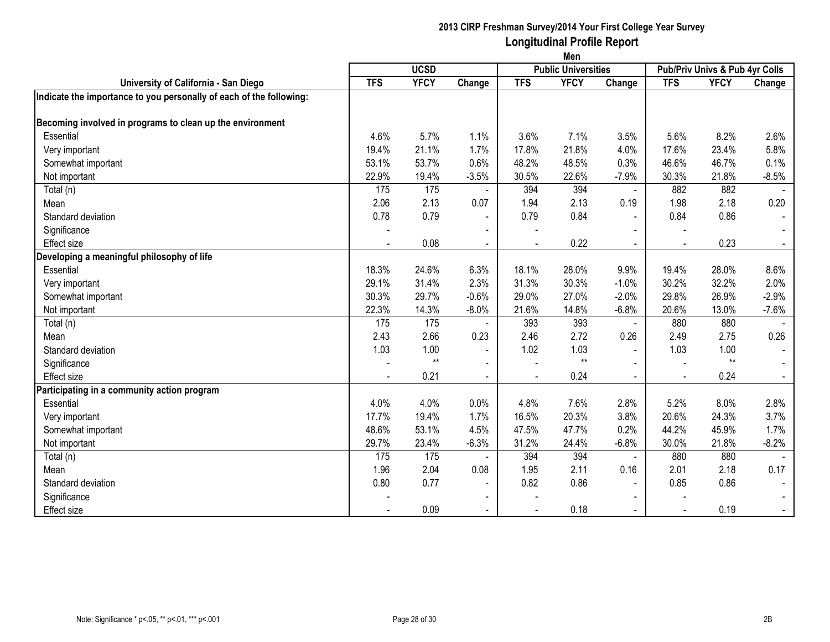|                                                                     | Men                                       |             |                          |            |             |                |                                |             |                |  |
|---------------------------------------------------------------------|-------------------------------------------|-------------|--------------------------|------------|-------------|----------------|--------------------------------|-------------|----------------|--|
|                                                                     | <b>UCSD</b><br><b>Public Universities</b> |             |                          |            |             |                | Pub/Priv Univs & Pub 4yr Colls |             |                |  |
| University of California - San Diego                                | <b>TFS</b>                                | <b>YFCY</b> | Change                   | <b>TFS</b> | <b>YFCY</b> | Change         | <b>TFS</b>                     | <b>YFCY</b> | Change         |  |
| Indicate the importance to you personally of each of the following: |                                           |             |                          |            |             |                |                                |             |                |  |
| Becoming involved in programs to clean up the environment           |                                           |             |                          |            |             |                |                                |             |                |  |
| Essential                                                           | 4.6%                                      | 5.7%        | 1.1%                     | 3.6%       | 7.1%        | 3.5%           | 5.6%                           | 8.2%        | 2.6%           |  |
| Very important                                                      | 19.4%                                     | 21.1%       | 1.7%                     | 17.8%      | 21.8%       | 4.0%           | 17.6%                          | 23.4%       | 5.8%           |  |
| Somewhat important                                                  | 53.1%                                     | 53.7%       | 0.6%                     | 48.2%      | 48.5%       | 0.3%           | 46.6%                          | 46.7%       | 0.1%           |  |
| Not important                                                       | 22.9%                                     | 19.4%       | $-3.5%$                  | 30.5%      | 22.6%       | $-7.9%$        | 30.3%                          | 21.8%       | $-8.5%$        |  |
| Total (n)                                                           | 175                                       | 175         |                          | 394        | 394         |                | 882                            | 882         |                |  |
| Mean                                                                | 2.06                                      | 2.13        | 0.07                     | 1.94       | 2.13        | 0.19           | 1.98                           | 2.18        | 0.20           |  |
| Standard deviation                                                  | 0.78                                      | 0.79        | $\blacksquare$           | 0.79       | 0.84        | $\blacksquare$ | 0.84                           | 0.86        | $\blacksquare$ |  |
| Significance                                                        |                                           |             | $\overline{\phantom{a}}$ |            |             |                |                                |             |                |  |
| Effect size                                                         |                                           | 0.08        | $\blacksquare$           |            | 0.22        |                |                                | 0.23        |                |  |
| Developing a meaningful philosophy of life                          |                                           |             |                          |            |             |                |                                |             |                |  |
| Essential                                                           | 18.3%                                     | 24.6%       | 6.3%                     | 18.1%      | 28.0%       | 9.9%           | 19.4%                          | 28.0%       | 8.6%           |  |
| Very important                                                      | 29.1%                                     | 31.4%       | 2.3%                     | 31.3%      | 30.3%       | $-1.0%$        | 30.2%                          | 32.2%       | 2.0%           |  |
| Somewhat important                                                  | 30.3%                                     | 29.7%       | $-0.6%$                  | 29.0%      | 27.0%       | $-2.0%$        | 29.8%                          | 26.9%       | $-2.9%$        |  |
| Not important                                                       | 22.3%                                     | 14.3%       | $-8.0%$                  | 21.6%      | 14.8%       | $-6.8%$        | 20.6%                          | 13.0%       | $-7.6%$        |  |
| Total (n)                                                           | 175                                       | 175         |                          | 393        | 393         | $\blacksquare$ | 880                            | 880         |                |  |
| Mean                                                                | 2.43                                      | 2.66        | 0.23                     | 2.46       | 2.72        | 0.26           | 2.49                           | 2.75        | 0.26           |  |
| Standard deviation                                                  | 1.03                                      | 1.00        | $\blacksquare$           | 1.02       | 1.03        | $\blacksquare$ | 1.03                           | 1.00        | $\sim$         |  |
| Significance                                                        |                                           | $***$       | $\overline{\phantom{a}}$ |            | $**$        |                |                                | $**$        | $\sim$         |  |
| <b>Effect size</b>                                                  |                                           | 0.21        | $\blacksquare$           |            | 0.24        |                |                                | 0.24        |                |  |
| Participating in a community action program                         |                                           |             |                          |            |             |                |                                |             |                |  |
| Essential                                                           | 4.0%                                      | 4.0%        | 0.0%                     | 4.8%       | 7.6%        | 2.8%           | 5.2%                           | 8.0%        | 2.8%           |  |
| Very important                                                      | 17.7%                                     | 19.4%       | 1.7%                     | 16.5%      | 20.3%       | 3.8%           | 20.6%                          | 24.3%       | 3.7%           |  |
| Somewhat important                                                  | 48.6%                                     | 53.1%       | 4.5%                     | 47.5%      | 47.7%       | 0.2%           | 44.2%                          | 45.9%       | 1.7%           |  |
| Not important                                                       | 29.7%                                     | 23.4%       | $-6.3%$                  | 31.2%      | 24.4%       | $-6.8%$        | 30.0%                          | 21.8%       | $-8.2%$        |  |
| Total (n)                                                           | 175                                       | 175         |                          | 394        | 394         | $\sim$         | 880                            | 880         |                |  |
| Mean                                                                | 1.96                                      | 2.04        | 0.08                     | 1.95       | 2.11        | 0.16           | 2.01                           | 2.18        | 0.17           |  |
| Standard deviation                                                  | 0.80                                      | 0.77        | $\blacksquare$           | 0.82       | 0.86        | $\blacksquare$ | 0.85                           | 0.86        |                |  |
| Significance                                                        |                                           |             | $\blacksquare$           |            |             | $\blacksquare$ |                                |             |                |  |
| <b>Effect size</b>                                                  |                                           | 0.09        | $\blacksquare$           |            | 0.18        |                |                                | 0.19        | $\sim$         |  |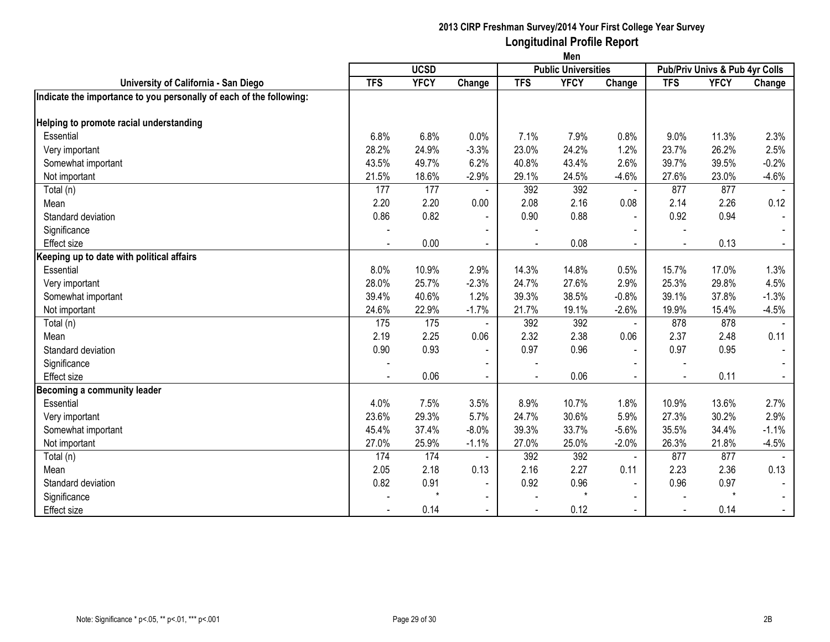|                                                                     | Men                                       |             |                          |            |             |                |            |                                |         |  |
|---------------------------------------------------------------------|-------------------------------------------|-------------|--------------------------|------------|-------------|----------------|------------|--------------------------------|---------|--|
|                                                                     | <b>UCSD</b><br><b>Public Universities</b> |             |                          |            |             |                |            | Pub/Priv Univs & Pub 4yr Colls |         |  |
| University of California - San Diego                                | <b>TFS</b>                                | <b>YFCY</b> | Change                   | <b>TFS</b> | <b>YFCY</b> | Change         | <b>TFS</b> | <b>YFCY</b>                    | Change  |  |
| Indicate the importance to you personally of each of the following: |                                           |             |                          |            |             |                |            |                                |         |  |
|                                                                     |                                           |             |                          |            |             |                |            |                                |         |  |
| Helping to promote racial understanding                             |                                           |             |                          |            |             |                |            |                                |         |  |
| Essential                                                           | 6.8%                                      | 6.8%        | 0.0%                     | 7.1%       | 7.9%        | 0.8%           | 9.0%       | 11.3%                          | 2.3%    |  |
| Very important                                                      | 28.2%                                     | 24.9%       | $-3.3%$                  | 23.0%      | 24.2%       | 1.2%           | 23.7%      | 26.2%                          | 2.5%    |  |
| Somewhat important                                                  | 43.5%                                     | 49.7%       | 6.2%                     | 40.8%      | 43.4%       | 2.6%           | 39.7%      | 39.5%                          | $-0.2%$ |  |
| Not important                                                       | 21.5%                                     | 18.6%       | $-2.9%$                  | 29.1%      | 24.5%       | $-4.6%$        | 27.6%      | 23.0%                          | $-4.6%$ |  |
| Total (n)                                                           | 177                                       | 177         |                          | 392        | 392         | $\blacksquare$ | 877        | 877                            |         |  |
| Mean                                                                | 2.20                                      | 2.20        | 0.00                     | 2.08       | 2.16        | 0.08           | 2.14       | 2.26                           | 0.12    |  |
| Standard deviation                                                  | 0.86                                      | 0.82        | $\sim$                   | 0.90       | 0.88        | $\blacksquare$ | 0.92       | 0.94                           |         |  |
| Significance                                                        |                                           |             | $\blacksquare$           |            |             | $\blacksquare$ |            |                                |         |  |
| <b>Effect size</b>                                                  |                                           | 0.00        | $\blacksquare$           |            | 0.08        |                |            | 0.13                           |         |  |
| Keeping up to date with political affairs                           |                                           |             |                          |            |             |                |            |                                |         |  |
| Essential                                                           | 8.0%                                      | 10.9%       | 2.9%                     | 14.3%      | 14.8%       | 0.5%           | 15.7%      | 17.0%                          | 1.3%    |  |
| Very important                                                      | 28.0%                                     | 25.7%       | $-2.3%$                  | 24.7%      | 27.6%       | 2.9%           | 25.3%      | 29.8%                          | 4.5%    |  |
| Somewhat important                                                  | 39.4%                                     | 40.6%       | 1.2%                     | 39.3%      | 38.5%       | $-0.8%$        | 39.1%      | 37.8%                          | $-1.3%$ |  |
| Not important                                                       | 24.6%                                     | 22.9%       | $-1.7%$                  | 21.7%      | 19.1%       | $-2.6%$        | 19.9%      | 15.4%                          | $-4.5%$ |  |
| Total (n)                                                           | 175                                       | 175         |                          | 392        | 392         | $\blacksquare$ | 878        | 878                            |         |  |
| Mean                                                                | 2.19                                      | 2.25        | 0.06                     | 2.32       | 2.38        | 0.06           | 2.37       | 2.48                           | 0.11    |  |
| Standard deviation                                                  | 0.90                                      | 0.93        | $\overline{\phantom{a}}$ | 0.97       | 0.96        | $\blacksquare$ | 0.97       | 0.95                           | $\sim$  |  |
| Significance                                                        |                                           |             |                          |            |             |                |            |                                |         |  |
| <b>Effect size</b>                                                  |                                           | 0.06        | $\blacksquare$           |            | 0.06        |                |            | 0.11                           |         |  |
| Becoming a community leader                                         |                                           |             |                          |            |             |                |            |                                |         |  |
| Essential                                                           | 4.0%                                      | 7.5%        | 3.5%                     | 8.9%       | 10.7%       | 1.8%           | 10.9%      | 13.6%                          | 2.7%    |  |
| Very important                                                      | 23.6%                                     | 29.3%       | 5.7%                     | 24.7%      | 30.6%       | 5.9%           | 27.3%      | 30.2%                          | 2.9%    |  |
| Somewhat important                                                  | 45.4%                                     | 37.4%       | $-8.0%$                  | 39.3%      | 33.7%       | $-5.6%$        | 35.5%      | 34.4%                          | $-1.1%$ |  |
| Not important                                                       | 27.0%                                     | 25.9%       | $-1.1%$                  | 27.0%      | 25.0%       | $-2.0%$        | 26.3%      | 21.8%                          | $-4.5%$ |  |
| Total (n)                                                           | 174                                       | 174         |                          | 392        | 392         | $\blacksquare$ | 877        | 877                            |         |  |
| Mean                                                                | 2.05                                      | 2.18        | 0.13                     | 2.16       | 2.27        | 0.11           | 2.23       | 2.36                           | 0.13    |  |
| Standard deviation                                                  | 0.82                                      | 0.91        | $\blacksquare$           | 0.92       | 0.96        | $\blacksquare$ | 0.96       | 0.97                           |         |  |
| Significance                                                        |                                           | $\star$     | $\blacksquare$           |            | $\star$     | $\sim$         |            | $\star$                        |         |  |
| <b>Effect size</b>                                                  |                                           | 0.14        | $\blacksquare$           |            | 0.12        | $\sim$         |            | 0.14                           | $\sim$  |  |